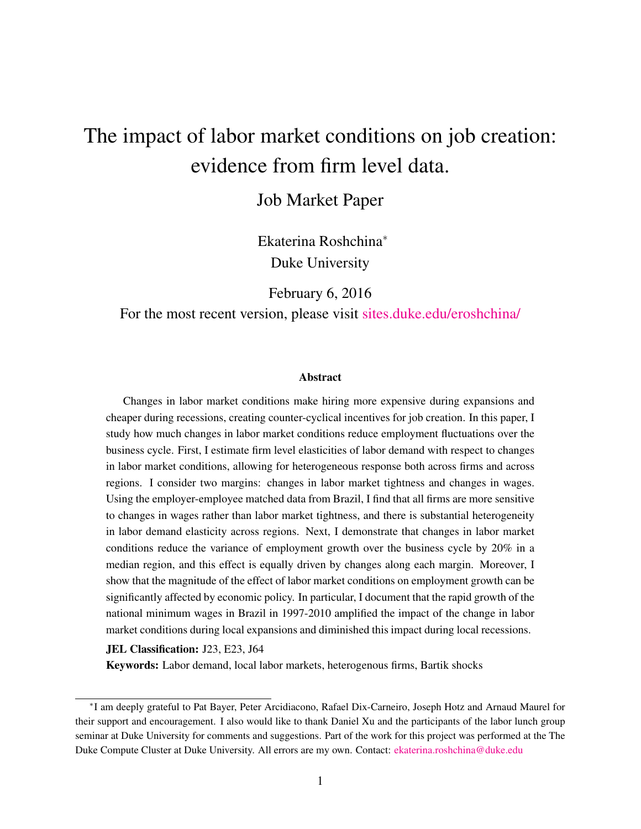# The impact of labor market conditions on job creation: evidence from firm level data.

### Job Market Paper

Ekaterina Roshchina<sup>∗</sup> Duke University

February 6, 2016

For the most recent version, please visit [sites.duke.edu/eroshchina/](http://sites.duke.edu/eroshchina/)

#### Abstract

Changes in labor market conditions make hiring more expensive during expansions and cheaper during recessions, creating counter-cyclical incentives for job creation. In this paper, I study how much changes in labor market conditions reduce employment fluctuations over the business cycle. First, I estimate firm level elasticities of labor demand with respect to changes in labor market conditions, allowing for heterogeneous response both across firms and across regions. I consider two margins: changes in labor market tightness and changes in wages. Using the employer-employee matched data from Brazil, I find that all firms are more sensitive to changes in wages rather than labor market tightness, and there is substantial heterogeneity in labor demand elasticity across regions. Next, I demonstrate that changes in labor market conditions reduce the variance of employment growth over the business cycle by 20% in a median region, and this effect is equally driven by changes along each margin. Moreover, I show that the magnitude of the effect of labor market conditions on employment growth can be significantly affected by economic policy. In particular, I document that the rapid growth of the national minimum wages in Brazil in 1997-2010 amplified the impact of the change in labor market conditions during local expansions and diminished this impact during local recessions.

JEL Classification: J23, E23, J64

Keywords: Labor demand, local labor markets, heterogenous firms, Bartik shocks

<sup>∗</sup> I am deeply grateful to Pat Bayer, Peter Arcidiacono, Rafael Dix-Carneiro, Joseph Hotz and Arnaud Maurel for their support and encouragement. I also would like to thank Daniel Xu and the participants of the labor lunch group seminar at Duke University for comments and suggestions. Part of the work for this project was performed at the The Duke Compute Cluster at Duke University. All errors are my own. Contact: [ekaterina.roshchina@duke.edu](mailto:ekaterina.roshchina@duke.com)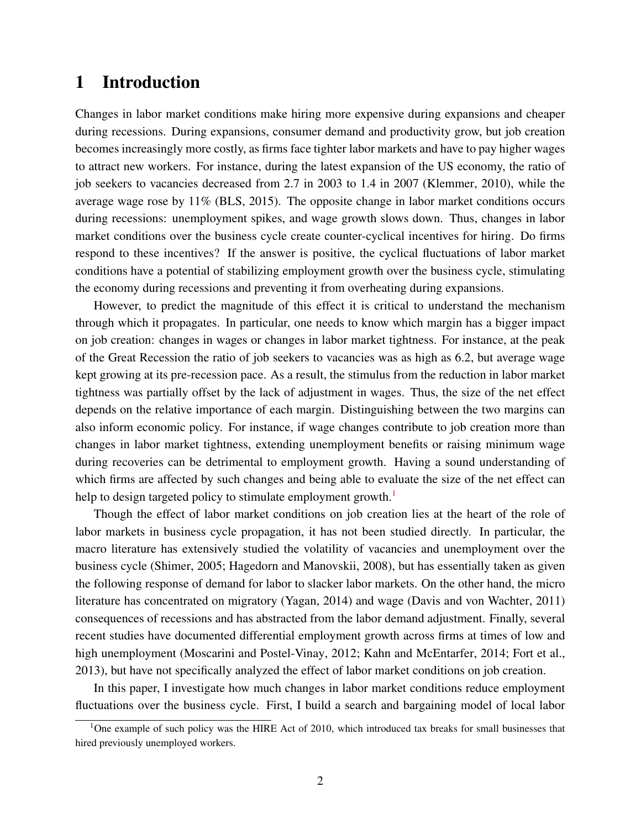### 1 Introduction

Changes in labor market conditions make hiring more expensive during expansions and cheaper during recessions. During expansions, consumer demand and productivity grow, but job creation becomes increasingly more costly, as firms face tighter labor markets and have to pay higher wages to attract new workers. For instance, during the latest expansion of the US economy, the ratio of job seekers to vacancies decreased from 2.7 in 2003 to 1.4 in 2007 [\(Klemmer,](#page-38-0) [2010\)](#page-38-0), while the average wage rose by 11% [\(BLS,](#page-37-0) [2015\)](#page-37-0). The opposite change in labor market conditions occurs during recessions: unemployment spikes, and wage growth slows down. Thus, changes in labor market conditions over the business cycle create counter-cyclical incentives for hiring. Do firms respond to these incentives? If the answer is positive, the cyclical fluctuations of labor market conditions have a potential of stabilizing employment growth over the business cycle, stimulating the economy during recessions and preventing it from overheating during expansions.

However, to predict the magnitude of this effect it is critical to understand the mechanism through which it propagates. In particular, one needs to know which margin has a bigger impact on job creation: changes in wages or changes in labor market tightness. For instance, at the peak of the Great Recession the ratio of job seekers to vacancies was as high as 6.2, but average wage kept growing at its pre-recession pace. As a result, the stimulus from the reduction in labor market tightness was partially offset by the lack of adjustment in wages. Thus, the size of the net effect depends on the relative importance of each margin. Distinguishing between the two margins can also inform economic policy. For instance, if wage changes contribute to job creation more than changes in labor market tightness, extending unemployment benefits or raising minimum wage during recoveries can be detrimental to employment growth. Having a sound understanding of which firms are affected by such changes and being able to evaluate the size of the net effect can help to design targeted policy to stimulate employment growth.<sup>[1](#page-1-0)</sup>

Though the effect of labor market conditions on job creation lies at the heart of the role of labor markets in business cycle propagation, it has not been studied directly. In particular, the macro literature has extensively studied the volatility of vacancies and unemployment over the business cycle [\(Shimer,](#page-38-1) [2005;](#page-38-1) [Hagedorn and Manovskii,](#page-37-1) [2008\)](#page-37-1), but has essentially taken as given the following response of demand for labor to slacker labor markets. On the other hand, the micro literature has concentrated on migratory [\(Yagan,](#page-38-2) [2014\)](#page-38-2) and wage [\(Davis and von Wachter,](#page-37-2) [2011\)](#page-37-2) consequences of recessions and has abstracted from the labor demand adjustment. Finally, several recent studies have documented differential employment growth across firms at times of low and high unemployment [\(Moscarini and Postel-Vinay,](#page-38-3) [2012;](#page-38-3) [Kahn and McEntarfer,](#page-38-4) [2014;](#page-38-4) [Fort et al.,](#page-37-3) [2013\)](#page-37-3), but have not specifically analyzed the effect of labor market conditions on job creation.

In this paper, I investigate how much changes in labor market conditions reduce employment fluctuations over the business cycle. First, I build a search and bargaining model of local labor

<span id="page-1-0"></span><sup>&</sup>lt;sup>1</sup>One example of such policy was the HIRE Act of 2010, which introduced tax breaks for small businesses that hired previously unemployed workers.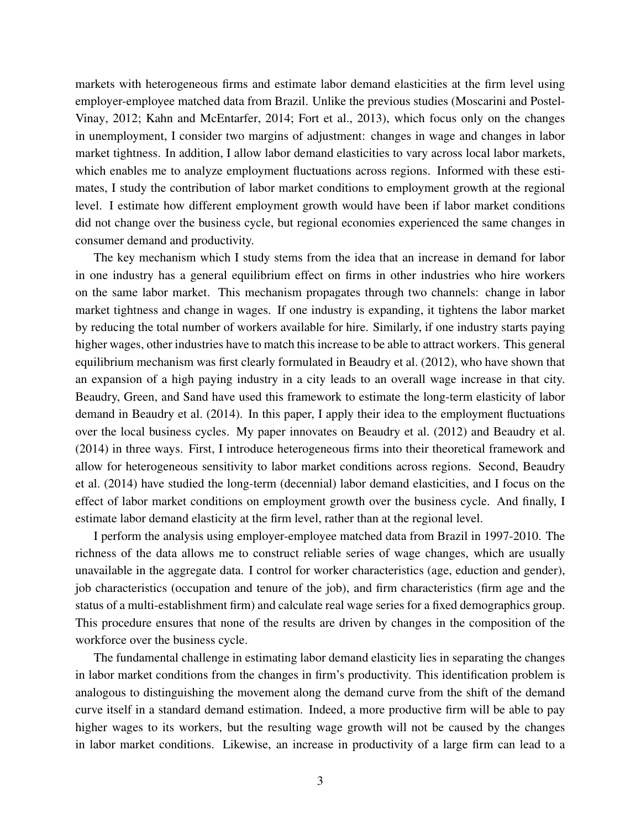markets with heterogeneous firms and estimate labor demand elasticities at the firm level using employer-employee matched data from Brazil. Unlike the previous studies [\(Moscarini and Postel-](#page-38-3)[Vinay,](#page-38-3) [2012;](#page-38-3) [Kahn and McEntarfer,](#page-38-4) [2014;](#page-38-4) [Fort et al.,](#page-37-3) [2013\)](#page-37-3), which focus only on the changes in unemployment, I consider two margins of adjustment: changes in wage and changes in labor market tightness. In addition, I allow labor demand elasticities to vary across local labor markets, which enables me to analyze employment fluctuations across regions. Informed with these estimates, I study the contribution of labor market conditions to employment growth at the regional level. I estimate how different employment growth would have been if labor market conditions did not change over the business cycle, but regional economies experienced the same changes in consumer demand and productivity.

The key mechanism which I study stems from the idea that an increase in demand for labor in one industry has a general equilibrium effect on firms in other industries who hire workers on the same labor market. This mechanism propagates through two channels: change in labor market tightness and change in wages. If one industry is expanding, it tightens the labor market by reducing the total number of workers available for hire. Similarly, if one industry starts paying higher wages, other industries have to match this increase to be able to attract workers. This general equilibrium mechanism was first clearly formulated in [Beaudry et al.](#page-37-4) [\(2012\)](#page-37-4), who have shown that an expansion of a high paying industry in a city leads to an overall wage increase in that city. [Beaudry, Green, and Sand](#page-37-5) have used this framework to estimate the long-term elasticity of labor demand in [Beaudry et al.](#page-37-5) [\(2014\)](#page-37-5). In this paper, I apply their idea to the employment fluctuations over the local business cycles. My paper innovates on [Beaudry et al.](#page-37-4) [\(2012\)](#page-37-4) and [Beaudry et al.](#page-37-5) [\(2014\)](#page-37-5) in three ways. First, I introduce heterogeneous firms into their theoretical framework and allow for heterogeneous sensitivity to labor market conditions across regions. Second, [Beaudry](#page-37-5) [et al.](#page-37-5) [\(2014\)](#page-37-5) have studied the long-term (decennial) labor demand elasticities, and I focus on the effect of labor market conditions on employment growth over the business cycle. And finally, I estimate labor demand elasticity at the firm level, rather than at the regional level.

I perform the analysis using employer-employee matched data from Brazil in 1997-2010. The richness of the data allows me to construct reliable series of wage changes, which are usually unavailable in the aggregate data. I control for worker characteristics (age, eduction and gender), job characteristics (occupation and tenure of the job), and firm characteristics (firm age and the status of a multi-establishment firm) and calculate real wage series for a fixed demographics group. This procedure ensures that none of the results are driven by changes in the composition of the workforce over the business cycle.

The fundamental challenge in estimating labor demand elasticity lies in separating the changes in labor market conditions from the changes in firm's productivity. This identification problem is analogous to distinguishing the movement along the demand curve from the shift of the demand curve itself in a standard demand estimation. Indeed, a more productive firm will be able to pay higher wages to its workers, but the resulting wage growth will not be caused by the changes in labor market conditions. Likewise, an increase in productivity of a large firm can lead to a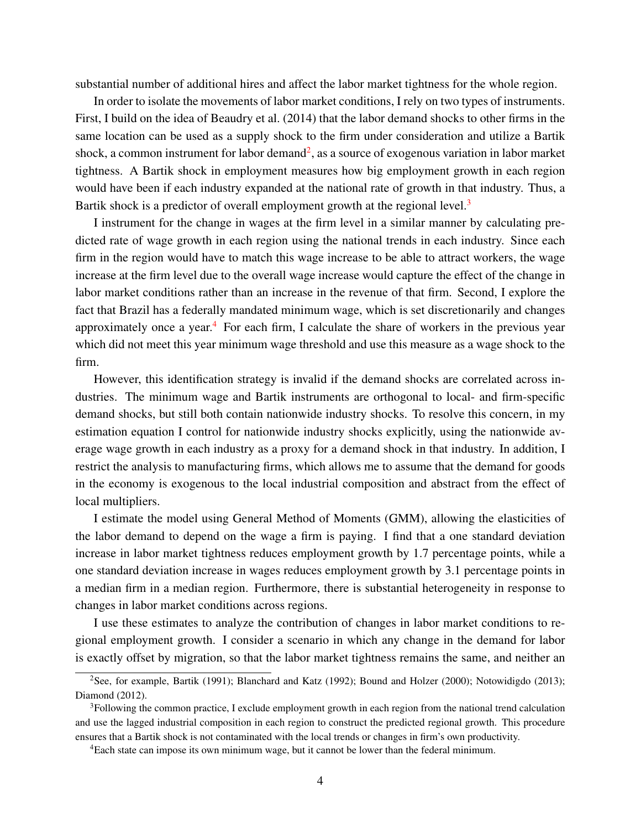substantial number of additional hires and affect the labor market tightness for the whole region.

In order to isolate the movements of labor market conditions, I rely on two types of instruments. First, I build on the idea of [Beaudry et al.](#page-37-5) [\(2014\)](#page-37-5) that the labor demand shocks to other firms in the same location can be used as a supply shock to the firm under consideration and utilize a Bartik shock, a common instrument for labor demand<sup>[2](#page-3-0)</sup>, as a source of exogenous variation in labor market tightness. A Bartik shock in employment measures how big employment growth in each region would have been if each industry expanded at the national rate of growth in that industry. Thus, a Bartik shock is a predictor of overall employment growth at the regional level.<sup>[3](#page-3-1)</sup>

I instrument for the change in wages at the firm level in a similar manner by calculating predicted rate of wage growth in each region using the national trends in each industry. Since each firm in the region would have to match this wage increase to be able to attract workers, the wage increase at the firm level due to the overall wage increase would capture the effect of the change in labor market conditions rather than an increase in the revenue of that firm. Second, I explore the fact that Brazil has a federally mandated minimum wage, which is set discretionarily and changes approximately once a year.<sup>[4](#page-3-2)</sup> For each firm, I calculate the share of workers in the previous year which did not meet this year minimum wage threshold and use this measure as a wage shock to the firm.

However, this identification strategy is invalid if the demand shocks are correlated across industries. The minimum wage and Bartik instruments are orthogonal to local- and firm-specific demand shocks, but still both contain nationwide industry shocks. To resolve this concern, in my estimation equation I control for nationwide industry shocks explicitly, using the nationwide average wage growth in each industry as a proxy for a demand shock in that industry. In addition, I restrict the analysis to manufacturing firms, which allows me to assume that the demand for goods in the economy is exogenous to the local industrial composition and abstract from the effect of local multipliers.

I estimate the model using General Method of Moments (GMM), allowing the elasticities of the labor demand to depend on the wage a firm is paying. I find that a one standard deviation increase in labor market tightness reduces employment growth by 1.7 percentage points, while a one standard deviation increase in wages reduces employment growth by 3.1 percentage points in a median firm in a median region. Furthermore, there is substantial heterogeneity in response to changes in labor market conditions across regions.

I use these estimates to analyze the contribution of changes in labor market conditions to regional employment growth. I consider a scenario in which any change in the demand for labor is exactly offset by migration, so that the labor market tightness remains the same, and neither an

<span id="page-3-0"></span><sup>&</sup>lt;sup>2</sup>See, for example, [Bartik](#page-36-0) [\(1991\)](#page-36-0); [Blanchard and Katz](#page-37-6) [\(1992\)](#page-37-6); [Bound and Holzer](#page-37-7) [\(2000\)](#page-37-7); [Notowidigdo](#page-38-5) [\(2013\)](#page-38-5); [Diamond](#page-37-8) [\(2012\)](#page-37-8).

<span id="page-3-1"></span><sup>3</sup>Following the common practice, I exclude employment growth in each region from the national trend calculation and use the lagged industrial composition in each region to construct the predicted regional growth. This procedure ensures that a Bartik shock is not contaminated with the local trends or changes in firm's own productivity.

<span id="page-3-2"></span><sup>4</sup>Each state can impose its own minimum wage, but it cannot be lower than the federal minimum.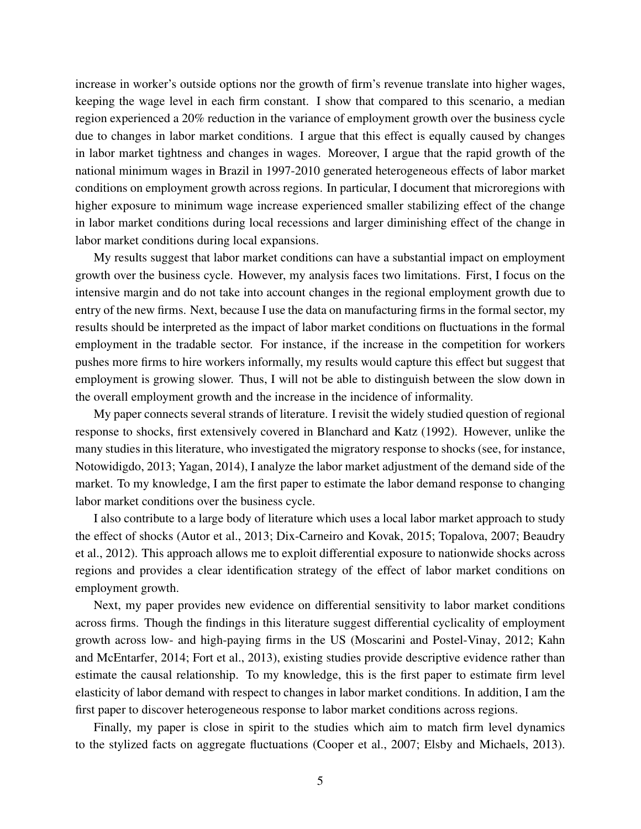increase in worker's outside options nor the growth of firm's revenue translate into higher wages, keeping the wage level in each firm constant. I show that compared to this scenario, a median region experienced a 20% reduction in the variance of employment growth over the business cycle due to changes in labor market conditions. I argue that this effect is equally caused by changes in labor market tightness and changes in wages. Moreover, I argue that the rapid growth of the national minimum wages in Brazil in 1997-2010 generated heterogeneous effects of labor market conditions on employment growth across regions. In particular, I document that microregions with higher exposure to minimum wage increase experienced smaller stabilizing effect of the change in labor market conditions during local recessions and larger diminishing effect of the change in labor market conditions during local expansions.

My results suggest that labor market conditions can have a substantial impact on employment growth over the business cycle. However, my analysis faces two limitations. First, I focus on the intensive margin and do not take into account changes in the regional employment growth due to entry of the new firms. Next, because I use the data on manufacturing firms in the formal sector, my results should be interpreted as the impact of labor market conditions on fluctuations in the formal employment in the tradable sector. For instance, if the increase in the competition for workers pushes more firms to hire workers informally, my results would capture this effect but suggest that employment is growing slower. Thus, I will not be able to distinguish between the slow down in the overall employment growth and the increase in the incidence of informality.

My paper connects several strands of literature. I revisit the widely studied question of regional response to shocks, first extensively covered in [Blanchard and Katz](#page-37-6) [\(1992\)](#page-37-6). However, unlike the many studies in this literature, who investigated the migratory response to shocks (see, for instance, [Notowidigdo,](#page-38-5) [2013;](#page-38-5) [Yagan,](#page-38-2) [2014\)](#page-38-2), I analyze the labor market adjustment of the demand side of the market. To my knowledge, I am the first paper to estimate the labor demand response to changing labor market conditions over the business cycle.

I also contribute to a large body of literature which uses a local labor market approach to study the effect of shocks [\(Autor et al.,](#page-36-1) [2013;](#page-36-1) [Dix-Carneiro and Kovak,](#page-37-9) [2015;](#page-37-9) [Topalova,](#page-38-6) [2007;](#page-38-6) [Beaudry](#page-37-4) [et al.,](#page-37-4) [2012\)](#page-37-4). This approach allows me to exploit differential exposure to nationwide shocks across regions and provides a clear identification strategy of the effect of labor market conditions on employment growth.

Next, my paper provides new evidence on differential sensitivity to labor market conditions across firms. Though the findings in this literature suggest differential cyclicality of employment growth across low- and high-paying firms in the US [\(Moscarini and Postel-Vinay,](#page-38-3) [2012;](#page-38-3) [Kahn](#page-38-4) [and McEntarfer,](#page-38-4) [2014;](#page-38-4) [Fort et al.,](#page-37-3) [2013\)](#page-37-3), existing studies provide descriptive evidence rather than estimate the causal relationship. To my knowledge, this is the first paper to estimate firm level elasticity of labor demand with respect to changes in labor market conditions. In addition, I am the first paper to discover heterogeneous response to labor market conditions across regions.

Finally, my paper is close in spirit to the studies which aim to match firm level dynamics to the stylized facts on aggregate fluctuations [\(Cooper et al.,](#page-37-10) [2007;](#page-37-10) [Elsby and Michaels,](#page-37-11) [2013\)](#page-37-11).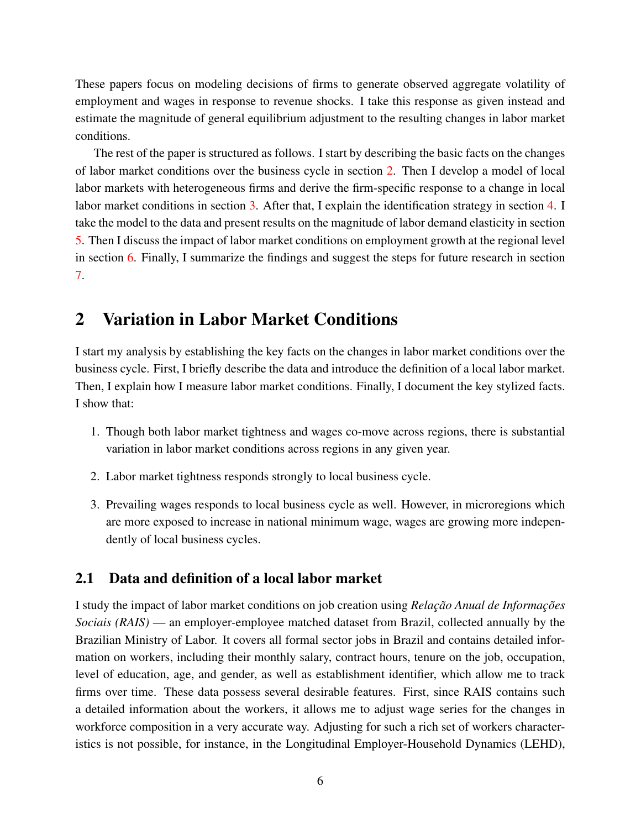These papers focus on modeling decisions of firms to generate observed aggregate volatility of employment and wages in response to revenue shocks. I take this response as given instead and estimate the magnitude of general equilibrium adjustment to the resulting changes in labor market conditions.

The rest of the paper is structured as follows. I start by describing the basic facts on the changes of labor market conditions over the business cycle in section [2.](#page-5-0) Then I develop a model of local labor markets with heterogeneous firms and derive the firm-specific response to a change in local labor market conditions in section [3.](#page-10-0) After that, I explain the identification strategy in section [4.](#page-18-0) I take the model to the data and present results on the magnitude of labor demand elasticity in section [5.](#page-23-0) Then I discuss the impact of labor market conditions on employment growth at the regional level in section [6.](#page-32-0) Finally, I summarize the findings and suggest the steps for future research in section [7.](#page-36-2)

### <span id="page-5-0"></span>2 Variation in Labor Market Conditions

I start my analysis by establishing the key facts on the changes in labor market conditions over the business cycle. First, I briefly describe the data and introduce the definition of a local labor market. Then, I explain how I measure labor market conditions. Finally, I document the key stylized facts. I show that:

- 1. Though both labor market tightness and wages co-move across regions, there is substantial variation in labor market conditions across regions in any given year.
- 2. Labor market tightness responds strongly to local business cycle.
- 3. Prevailing wages responds to local business cycle as well. However, in microregions which are more exposed to increase in national minimum wage, wages are growing more independently of local business cycles.

#### 2.1 Data and definition of a local labor market

I study the impact of labor market conditions on job creation using *Relação Anual de Informações Sociais (RAIS)* — an employer-employee matched dataset from Brazil, collected annually by the Brazilian Ministry of Labor. It covers all formal sector jobs in Brazil and contains detailed information on workers, including their monthly salary, contract hours, tenure on the job, occupation, level of education, age, and gender, as well as establishment identifier, which allow me to track firms over time. These data possess several desirable features. First, since RAIS contains such a detailed information about the workers, it allows me to adjust wage series for the changes in workforce composition in a very accurate way. Adjusting for such a rich set of workers characteristics is not possible, for instance, in the Longitudinal Employer-Household Dynamics (LEHD),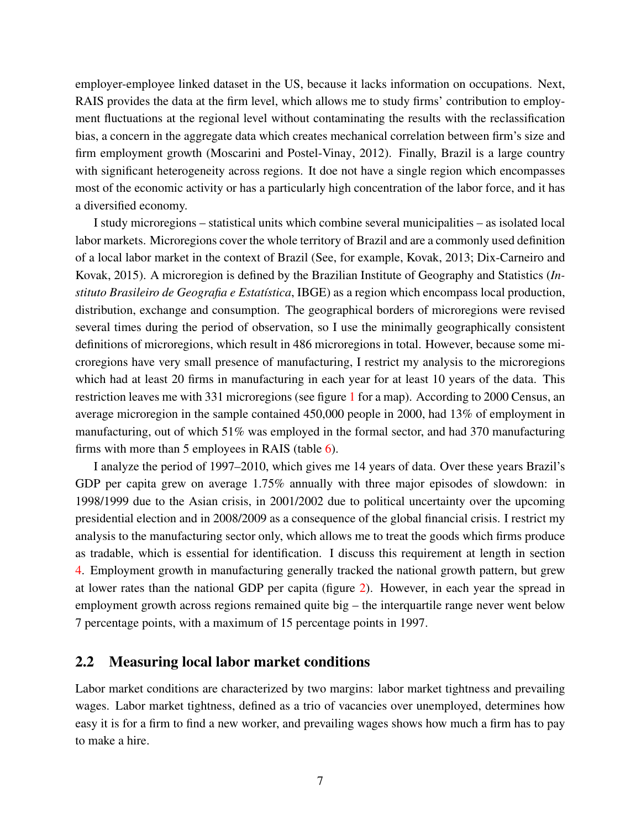employer-employee linked dataset in the US, because it lacks information on occupations. Next, RAIS provides the data at the firm level, which allows me to study firms' contribution to employment fluctuations at the regional level without contaminating the results with the reclassification bias, a concern in the aggregate data which creates mechanical correlation between firm's size and firm employment growth [\(Moscarini and Postel-Vinay,](#page-38-3) [2012\)](#page-38-3). Finally, Brazil is a large country with significant heterogeneity across regions. It doe not have a single region which encompasses most of the economic activity or has a particularly high concentration of the labor force, and it has a diversified economy.

I study microregions – statistical units which combine several municipalities – as isolated local labor markets. Microregions cover the whole territory of Brazil and are a commonly used definition of a local labor market in the context of Brazil (See, for example, [Kovak,](#page-38-7) [2013;](#page-38-7) [Dix-Carneiro and](#page-37-9) [Kovak,](#page-37-9) [2015\)](#page-37-9). A microregion is defined by the Brazilian Institute of Geography and Statistics (*Instituto Brasileiro de Geografia e Estatística*, IBGE) as a region which encompass local production, distribution, exchange and consumption. The geographical borders of microregions were revised several times during the period of observation, so I use the minimally geographically consistent definitions of microregions, which result in 486 microregions in total. However, because some microregions have very small presence of manufacturing, I restrict my analysis to the microregions which had at least 20 firms in manufacturing in each year for at least 10 years of the data. This restriction leaves me with 331 microregions (see figure [1](#page-57-0) for a map). According to 2000 Census, an average microregion in the sample contained 450,000 people in 2000, had 13% of employment in manufacturing, out of which 51% was employed in the formal sector, and had 370 manufacturing firms with more than 5 employees in RAIS (table [6\)](#page-44-0).

I analyze the period of 1997–2010, which gives me 14 years of data. Over these years Brazil's GDP per capita grew on average 1.75% annually with three major episodes of slowdown: in 1998/1999 due to the Asian crisis, in 2001/2002 due to political uncertainty over the upcoming presidential election and in 2008/2009 as a consequence of the global financial crisis. I restrict my analysis to the manufacturing sector only, which allows me to treat the goods which firms produce as tradable, which is essential for identification. I discuss this requirement at length in section [4.](#page-18-0) Employment growth in manufacturing generally tracked the national growth pattern, but grew at lower rates than the national GDP per capita (figure [2\)](#page-58-0). However, in each year the spread in employment growth across regions remained quite big – the interquartile range never went below 7 percentage points, with a maximum of 15 percentage points in 1997.

#### 2.2 Measuring local labor market conditions

Labor market conditions are characterized by two margins: labor market tightness and prevailing wages. Labor market tightness, defined as a trio of vacancies over unemployed, determines how easy it is for a firm to find a new worker, and prevailing wages shows how much a firm has to pay to make a hire.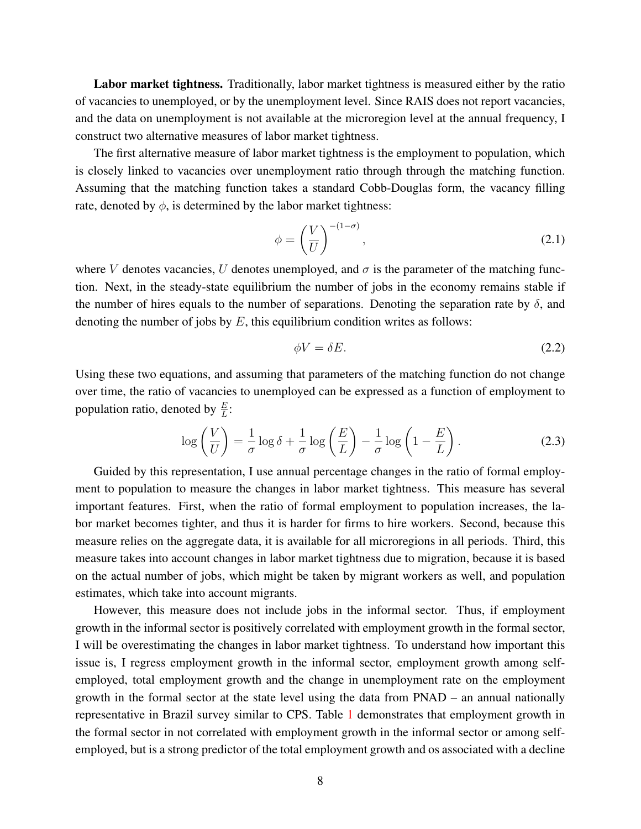Labor market tightness. Traditionally, labor market tightness is measured either by the ratio of vacancies to unemployed, or by the unemployment level. Since RAIS does not report vacancies, and the data on unemployment is not available at the microregion level at the annual frequency, I construct two alternative measures of labor market tightness.

The first alternative measure of labor market tightness is the employment to population, which is closely linked to vacancies over unemployment ratio through through the matching function. Assuming that the matching function takes a standard Cobb-Douglas form, the vacancy filling rate, denoted by  $\phi$ , is determined by the labor market tightness:

$$
\phi = \left(\frac{V}{U}\right)^{-(1-\sigma)},\tag{2.1}
$$

where V denotes vacancies, U denotes unemployed, and  $\sigma$  is the parameter of the matching function. Next, in the steady-state equilibrium the number of jobs in the economy remains stable if the number of hires equals to the number of separations. Denoting the separation rate by  $\delta$ , and denoting the number of jobs by  $E$ , this equilibrium condition writes as follows:

$$
\phi V = \delta E. \tag{2.2}
$$

Using these two equations, and assuming that parameters of the matching function do not change over time, the ratio of vacancies to unemployed can be expressed as a function of employment to population ratio, denoted by  $\frac{E}{L}$ :

$$
\log\left(\frac{V}{U}\right) = \frac{1}{\sigma}\log\delta + \frac{1}{\sigma}\log\left(\frac{E}{L}\right) - \frac{1}{\sigma}\log\left(1 - \frac{E}{L}\right). \tag{2.3}
$$

Guided by this representation, I use annual percentage changes in the ratio of formal employment to population to measure the changes in labor market tightness. This measure has several important features. First, when the ratio of formal employment to population increases, the labor market becomes tighter, and thus it is harder for firms to hire workers. Second, because this measure relies on the aggregate data, it is available for all microregions in all periods. Third, this measure takes into account changes in labor market tightness due to migration, because it is based on the actual number of jobs, which might be taken by migrant workers as well, and population estimates, which take into account migrants.

However, this measure does not include jobs in the informal sector. Thus, if employment growth in the informal sector is positively correlated with employment growth in the formal sector, I will be overestimating the changes in labor market tightness. To understand how important this issue is, I regress employment growth in the informal sector, employment growth among selfemployed, total employment growth and the change in unemployment rate on the employment growth in the formal sector at the state level using the data from PNAD – an annual nationally representative in Brazil survey similar to CPS. Table [1](#page-39-0) demonstrates that employment growth in the formal sector in not correlated with employment growth in the informal sector or among selfemployed, but is a strong predictor of the total employment growth and os associated with a decline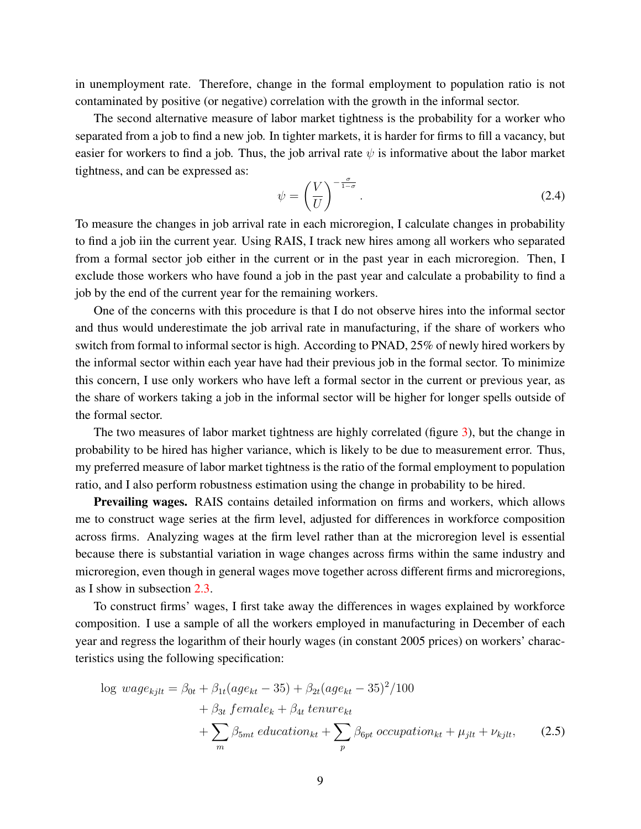in unemployment rate. Therefore, change in the formal employment to population ratio is not contaminated by positive (or negative) correlation with the growth in the informal sector.

The second alternative measure of labor market tightness is the probability for a worker who separated from a job to find a new job. In tighter markets, it is harder for firms to fill a vacancy, but easier for workers to find a job. Thus, the job arrival rate  $\psi$  is informative about the labor market tightness, and can be expressed as:

$$
\psi = \left(\frac{V}{U}\right)^{-\frac{\sigma}{1-\sigma}}.\tag{2.4}
$$

To measure the changes in job arrival rate in each microregion, I calculate changes in probability to find a job iin the current year. Using RAIS, I track new hires among all workers who separated from a formal sector job either in the current or in the past year in each microregion. Then, I exclude those workers who have found a job in the past year and calculate a probability to find a job by the end of the current year for the remaining workers.

One of the concerns with this procedure is that I do not observe hires into the informal sector and thus would underestimate the job arrival rate in manufacturing, if the share of workers who switch from formal to informal sector is high. According to PNAD, 25% of newly hired workers by the informal sector within each year have had their previous job in the formal sector. To minimize this concern, I use only workers who have left a formal sector in the current or previous year, as the share of workers taking a job in the informal sector will be higher for longer spells outside of the formal sector.

The two measures of labor market tightness are highly correlated (figure [3\)](#page-58-1), but the change in probability to be hired has higher variance, which is likely to be due to measurement error. Thus, my preferred measure of labor market tightness is the ratio of the formal employment to population ratio, and I also perform robustness estimation using the change in probability to be hired.

**Prevailing wages.** RAIS contains detailed information on firms and workers, which allows me to construct wage series at the firm level, adjusted for differences in workforce composition across firms. Analyzing wages at the firm level rather than at the microregion level is essential because there is substantial variation in wage changes across firms within the same industry and microregion, even though in general wages move together across different firms and microregions, as I show in subsection [2.3.](#page-9-0)

To construct firms' wages, I first take away the differences in wages explained by workforce composition. I use a sample of all the workers employed in manufacturing in December of each year and regress the logarithm of their hourly wages (in constant 2005 prices) on workers' characteristics using the following specification:

<span id="page-8-0"></span>
$$
\log \text{wage}_{kjlt} = \beta_{0t} + \beta_{1t}(age_{kt} - 35) + \beta_{2t}(age_{kt} - 35)^{2}/100
$$

$$
+ \beta_{3t} \text{ female}_{k} + \beta_{4t} \text{ tenure}_{kt}
$$

$$
+ \sum_{m} \beta_{5mt} \text{ education}_{kt} + \sum_{p} \beta_{6pt} \text{ occupation}_{kt} + \mu_{jlt} + \nu_{kjlt}, \qquad (2.5)
$$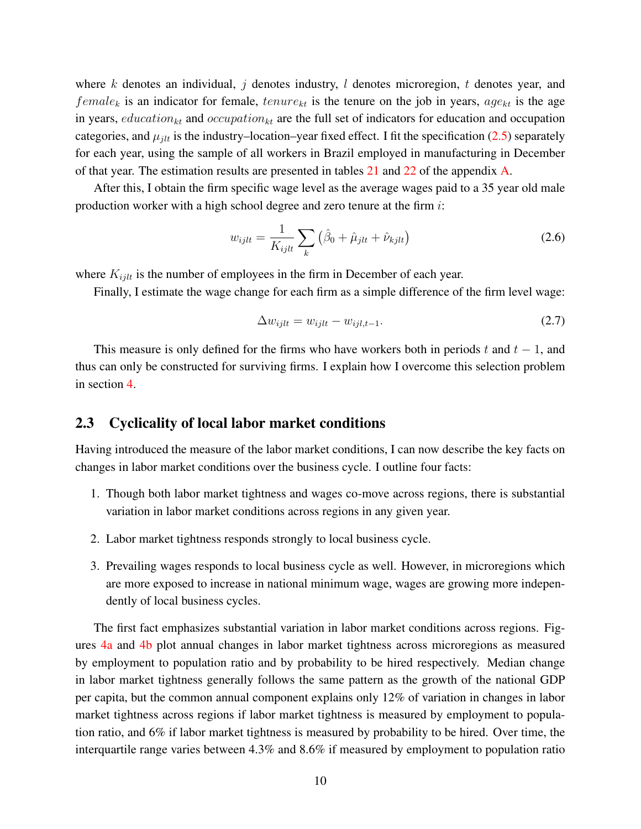where k denotes an individual, j denotes industry, l denotes microregion, t denotes year, and  $female_k$  is an indicator for female,  $tenure_{kt}$  is the tenure on the job in years,  $age_{kt}$  is the age in years, education<sub>kt</sub> and occupation<sub>kt</sub> are the full set of indicators for education and occupation categories, and  $\mu_{jlt}$  is the industry–location–year fixed effect. I fit the specification [\(2.5\)](#page-8-0) separately for each year, using the sample of all workers in Brazil employed in manufacturing in December of that year. The estimation results are presented in tables [21](#page-66-0) and [22](#page-67-0) of the appendix [A.](#page-66-1)

After this, I obtain the firm specific wage level as the average wages paid to a 35 year old male production worker with a high school degree and zero tenure at the firm i:

$$
w_{ijlt} = \frac{1}{K_{ijlt}} \sum_{k} \left( \hat{\beta}_0 + \hat{\mu}_{jlt} + \hat{\nu}_{kjlt} \right)
$$
 (2.6)

where  $K_{ijlt}$  is the number of employees in the firm in December of each year.

Finally, I estimate the wage change for each firm as a simple difference of the firm level wage:

$$
\Delta w_{ijlt} = w_{ijlt} - w_{ijlt, t-1}.\tag{2.7}
$$

This measure is only defined for the firms who have workers both in periods t and  $t - 1$ , and thus can only be constructed for surviving firms. I explain how I overcome this selection problem in section [4.](#page-18-0)

#### <span id="page-9-0"></span>2.3 Cyclicality of local labor market conditions

Having introduced the measure of the labor market conditions, I can now describe the key facts on changes in labor market conditions over the business cycle. I outline four facts:

- 1. Though both labor market tightness and wages co-move across regions, there is substantial variation in labor market conditions across regions in any given year.
- 2. Labor market tightness responds strongly to local business cycle.
- 3. Prevailing wages responds to local business cycle as well. However, in microregions which are more exposed to increase in national minimum wage, wages are growing more independently of local business cycles.

The first fact emphasizes substantial variation in labor market conditions across regions. Figures [4a](#page-59-0) and [4b](#page-59-0) plot annual changes in labor market tightness across microregions as measured by employment to population ratio and by probability to be hired respectively. Median change in labor market tightness generally follows the same pattern as the growth of the national GDP per capita, but the common annual component explains only 12% of variation in changes in labor market tightness across regions if labor market tightness is measured by employment to population ratio, and 6% if labor market tightness is measured by probability to be hired. Over time, the interquartile range varies between 4.3% and 8.6% if measured by employment to population ratio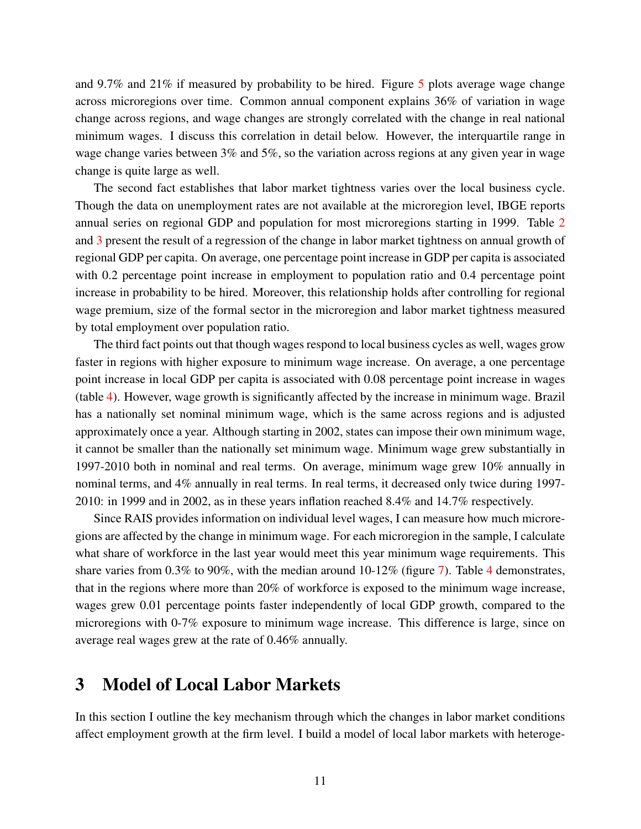and 9.7% and 21% if measured by probability to be hired. Figure [5](#page-60-0) plots average wage change across microregions over time. Common annual component explains 36% of variation in wage change across regions, and wage changes are strongly correlated with the change in real national minimum wages. I discuss this correlation in detail below. However, the interquartile range in wage change varies between 3% and 5%, so the variation across regions at any given year in wage change is quite large as well.

The second fact establishes that labor market tightness varies over the local business cycle. Though the data on unemployment rates are not available at the microregion level, IBGE reports annual series on regional GDP and population for most microregions starting in 1999. Table [2](#page-40-0) and [3](#page-41-0) present the result of a regression of the change in labor market tightness on annual growth of regional GDP per capita. On average, one percentage point increase in GDP per capita is associated with 0.2 percentage point increase in employment to population ratio and 0.4 percentage point increase in probability to be hired. Moreover, this relationship holds after controlling for regional wage premium, size of the formal sector in the microregion and labor market tightness measured by total employment over population ratio.

The third fact points out that though wages respond to local business cycles as well, wages grow faster in regions with higher exposure to minimum wage increase. On average, a one percentage point increase in local GDP per capita is associated with 0.08 percentage point increase in wages (table [4\)](#page-42-0). However, wage growth is significantly affected by the increase in minimum wage. Brazil has a nationally set nominal minimum wage, which is the same across regions and is adjusted approximately once a year. Although starting in 2002, states can impose their own minimum wage, it cannot be smaller than the nationally set minimum wage. Minimum wage grew substantially in 1997-2010 both in nominal and real terms. On average, minimum wage grew 10% annually in nominal terms, and 4% annually in real terms. In real terms, it decreased only twice during 1997- 2010: in 1999 and in 2002, as in these years inflation reached 8.4% and 14.7% respectively.

Since RAIS provides information on individual level wages, I can measure how much microregions are affected by the change in minimum wage. For each microregion in the sample, I calculate what share of workforce in the last year would meet this year minimum wage requirements. This share varies from 0.3% to 90%, with the median around 10-12% (figure [7\)](#page-61-0). Table [4](#page-42-0) demonstrates, that in the regions where more than 20% of workforce is exposed to the minimum wage increase, wages grew 0.01 percentage points faster independently of local GDP growth, compared to the microregions with 0-7% exposure to minimum wage increase. This difference is large, since on average real wages grew at the rate of 0.46% annually.

### <span id="page-10-0"></span>3 Model of Local Labor Markets

In this section I outline the key mechanism through which the changes in labor market conditions affect employment growth at the firm level. I build a model of local labor markets with heteroge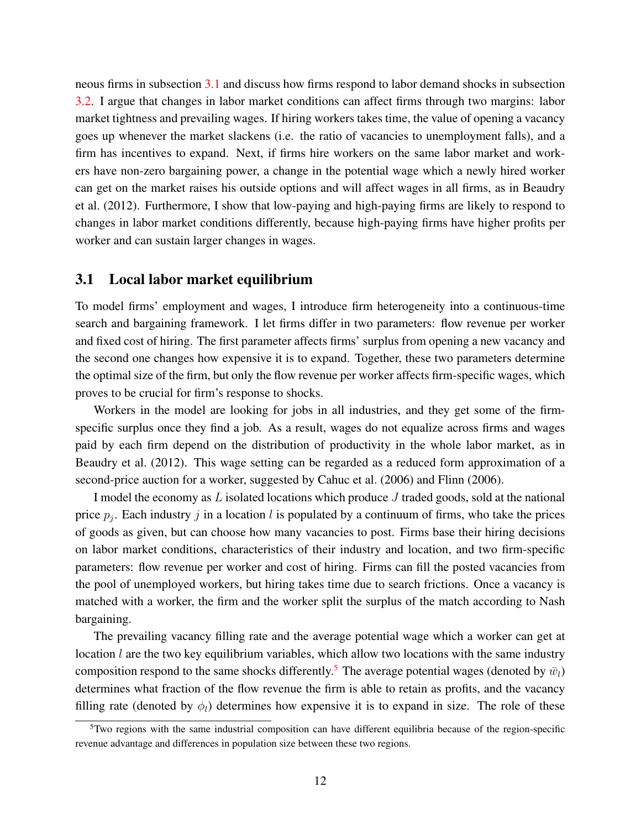neous firms in subsection [3.1](#page-11-0) and discuss how firms respond to labor demand shocks in subsection [3.2.](#page-16-0) I argue that changes in labor market conditions can affect firms through two margins: labor market tightness and prevailing wages. If hiring workers takes time, the value of opening a vacancy goes up whenever the market slackens (i.e. the ratio of vacancies to unemployment falls), and a firm has incentives to expand. Next, if firms hire workers on the same labor market and workers have non-zero bargaining power, a change in the potential wage which a newly hired worker can get on the market raises his outside options and will affect wages in all firms, as in [Beaudry](#page-37-4) [et al.](#page-37-4) [\(2012\)](#page-37-4). Furthermore, I show that low-paying and high-paying firms are likely to respond to changes in labor market conditions differently, because high-paying firms have higher profits per worker and can sustain larger changes in wages.

#### <span id="page-11-0"></span>3.1 Local labor market equilibrium

To model firms' employment and wages, I introduce firm heterogeneity into a continuous-time search and bargaining framework. I let firms differ in two parameters: flow revenue per worker and fixed cost of hiring. The first parameter affects firms' surplus from opening a new vacancy and the second one changes how expensive it is to expand. Together, these two parameters determine the optimal size of the firm, but only the flow revenue per worker affects firm-specific wages, which proves to be crucial for firm's response to shocks.

Workers in the model are looking for jobs in all industries, and they get some of the firmspecific surplus once they find a job. As a result, wages do not equalize across firms and wages paid by each firm depend on the distribution of productivity in the whole labor market, as in [Beaudry et al.](#page-37-4) [\(2012\)](#page-37-4). This wage setting can be regarded as a reduced form approximation of a second-price auction for a worker, suggested by [Cahuc et al.](#page-37-12) [\(2006\)](#page-37-12) and [Flinn](#page-37-13) [\(2006\)](#page-37-13).

I model the economy as  $L$  isolated locations which produce  $J$  traded goods, sold at the national price  $p_j$ . Each industry j in a location l is populated by a continuum of firms, who take the prices of goods as given, but can choose how many vacancies to post. Firms base their hiring decisions on labor market conditions, characteristics of their industry and location, and two firm-specific parameters: flow revenue per worker and cost of hiring. Firms can fill the posted vacancies from the pool of unemployed workers, but hiring takes time due to search frictions. Once a vacancy is matched with a worker, the firm and the worker split the surplus of the match according to Nash bargaining.

The prevailing vacancy filling rate and the average potential wage which a worker can get at location *l* are the two key equilibrium variables, which allow two locations with the same industry composition respond to the same shocks differently.<sup>[5](#page-11-1)</sup> The average potential wages (denoted by  $\bar{w}_l$ ) determines what fraction of the flow revenue the firm is able to retain as profits, and the vacancy filling rate (denoted by  $\phi_l$ ) determines how expensive it is to expand in size. The role of these

<span id="page-11-1"></span> $5$ Two regions with the same industrial composition can have different equilibria because of the region-specific revenue advantage and differences in population size between these two regions.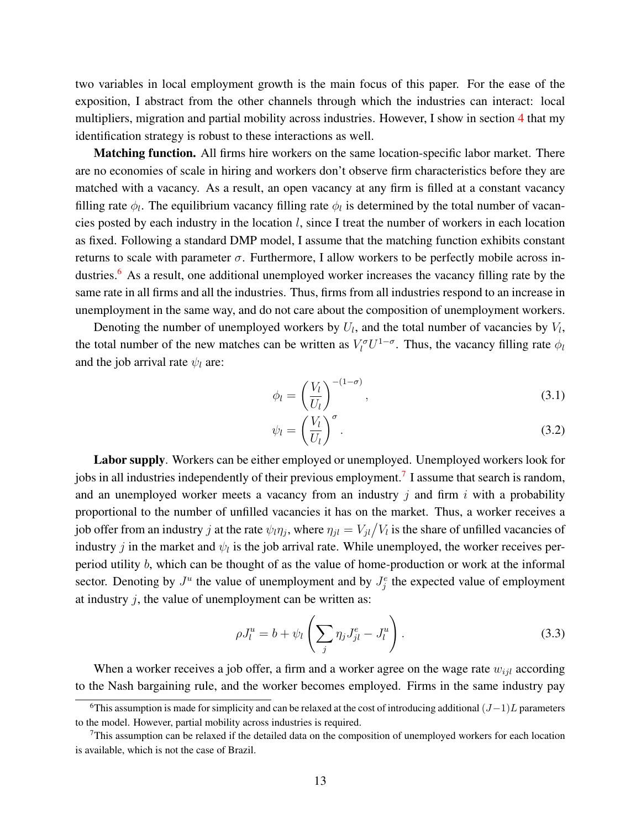two variables in local employment growth is the main focus of this paper. For the ease of the exposition, I abstract from the other channels through which the industries can interact: local multipliers, migration and partial mobility across industries. However, I show in section [4](#page-18-0) that my identification strategy is robust to these interactions as well.

**Matching function.** All firms hire workers on the same location-specific labor market. There are no economies of scale in hiring and workers don't observe firm characteristics before they are matched with a vacancy. As a result, an open vacancy at any firm is filled at a constant vacancy filling rate  $\phi_l$ . The equilibrium vacancy filling rate  $\phi_l$  is determined by the total number of vacancies posted by each industry in the location  $l$ , since I treat the number of workers in each location as fixed. Following a standard DMP model, I assume that the matching function exhibits constant returns to scale with parameter  $σ$ . Furthermore, I allow workers to be perfectly mobile across in-dustries.<sup>[6](#page-12-0)</sup> As a result, one additional unemployed worker increases the vacancy filling rate by the same rate in all firms and all the industries. Thus, firms from all industries respond to an increase in unemployment in the same way, and do not care about the composition of unemployment workers.

Denoting the number of unemployed workers by  $U_l$ , and the total number of vacancies by  $V_l$ , the total number of the new matches can be written as  $V_l^{\sigma}U^{1-\sigma}$ . Thus, the vacancy filling rate  $\phi_l$ and the job arrival rate  $\psi_l$  are:

$$
\phi_l = \left(\frac{V_l}{U_l}\right)^{-(1-\sigma)},\tag{3.1}
$$

$$
\psi_l = \left(\frac{V_l}{U_l}\right)^{\sigma}.\tag{3.2}
$$

Labor supply. Workers can be either employed or unemployed. Unemployed workers look for jobs in all industries independently of their previous employment.<sup>[7](#page-12-1)</sup> I assume that search is random, and an unemployed worker meets a vacancy from an industry  $j$  and firm  $i$  with a probability proportional to the number of unfilled vacancies it has on the market. Thus, a worker receives a job offer from an industry j at the rate  $\psi_l \eta_j$ , where  $\eta_{jl} = V_{jl}/V_l$  is the share of unfilled vacancies of industry j in the market and  $\psi_l$  is the job arrival rate. While unemployed, the worker receives perperiod utility b, which can be thought of as the value of home-production or work at the informal sector. Denoting by  $J^u$  the value of unemployment and by  $J^e_j$  the expected value of employment at industry  $i$ , the value of unemployment can be written as:

$$
\rho J_l^u = b + \psi_l \left( \sum_j \eta_j J_{jl}^e - J_l^u \right). \tag{3.3}
$$

When a worker receives a job offer, a firm and a worker agree on the wage rate  $w_{ijl}$  according to the Nash bargaining rule, and the worker becomes employed. Firms in the same industry pay

<span id="page-12-0"></span><sup>6</sup>This assumption is made for simplicity and can be relaxed at the cost of introducing additional  $(J-1)L$  parameters to the model. However, partial mobility across industries is required.

<span id="page-12-1"></span> $7$ This assumption can be relaxed if the detailed data on the composition of unemployed workers for each location is available, which is not the case of Brazil.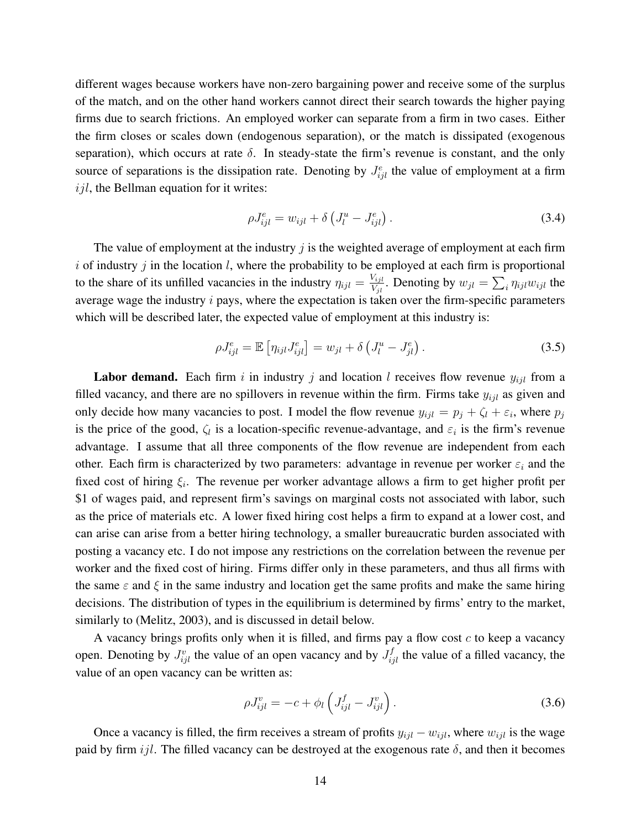different wages because workers have non-zero bargaining power and receive some of the surplus of the match, and on the other hand workers cannot direct their search towards the higher paying firms due to search frictions. An employed worker can separate from a firm in two cases. Either the firm closes or scales down (endogenous separation), or the match is dissipated (exogenous separation), which occurs at rate  $\delta$ . In steady-state the firm's revenue is constant, and the only source of separations is the dissipation rate. Denoting by  $J_{ijl}^e$  the value of employment at a firm  $ijl$ , the Bellman equation for it writes:

$$
\rho J_{ijl}^e = w_{ijl} + \delta \left( J_l^u - J_{ijl}^e \right). \tag{3.4}
$$

The value of employment at the industry  $\hat{j}$  is the weighted average of employment at each firm i of industry j in the location l, where the probability to be employed at each firm is proportional to the share of its unfilled vacancies in the industry  $\eta_{ijl} = \frac{V_{ijl}}{V_{ij}}$  $\frac{V_{ijl}}{V_{jl}}$ . Denoting by  $w_{jl} = \sum_i \eta_{ijl} w_{ijl}$  the average wage the industry  $i$  pays, where the expectation is taken over the firm-specific parameters which will be described later, the expected value of employment at this industry is:

$$
\rho J_{ijl}^e = \mathbb{E}\left[\eta_{ijl}J_{ijl}^e\right] = w_{jl} + \delta\left(J_l^u - J_{jl}^e\right). \tag{3.5}
$$

**Labor demand.** Each firm i in industry j and location l receives flow revenue  $y_{ijl}$  from a filled vacancy, and there are no spillovers in revenue within the firm. Firms take  $y_{ijl}$  as given and only decide how many vacancies to post. I model the flow revenue  $y_{ijl} = p_j + \zeta_l + \varepsilon_i$ , where  $p_j$ is the price of the good,  $\zeta_l$  is a location-specific revenue-advantage, and  $\varepsilon_i$  is the firm's revenue advantage. I assume that all three components of the flow revenue are independent from each other. Each firm is characterized by two parameters: advantage in revenue per worker  $\varepsilon_i$  and the fixed cost of hiring  $\xi_i$ . The revenue per worker advantage allows a firm to get higher profit per \$1 of wages paid, and represent firm's savings on marginal costs not associated with labor, such as the price of materials etc. A lower fixed hiring cost helps a firm to expand at a lower cost, and can arise can arise from a better hiring technology, a smaller bureaucratic burden associated with posting a vacancy etc. I do not impose any restrictions on the correlation between the revenue per worker and the fixed cost of hiring. Firms differ only in these parameters, and thus all firms with the same  $\varepsilon$  and  $\xi$  in the same industry and location get the same profits and make the same hiring decisions. The distribution of types in the equilibrium is determined by firms' entry to the market, similarly to [\(Melitz,](#page-38-8) [2003\)](#page-38-8), and is discussed in detail below.

A vacancy brings profits only when it is filled, and firms pay a flow cost  $c$  to keep a vacancy open. Denoting by  $J_{ijl}^v$  the value of an open vacancy and by  $J_{ijl}^f$  the value of a filled vacancy, the value of an open vacancy can be written as:

$$
\rho J_{ijl}^v = -c + \phi_l \left( J_{ijl}^f - J_{ijl}^v \right). \tag{3.6}
$$

Once a vacancy is filled, the firm receives a stream of profits  $y_{ijl} - w_{ijl}$ , where  $w_{ijl}$  is the wage paid by firm ijl. The filled vacancy can be destroyed at the exogenous rate  $\delta$ , and then it becomes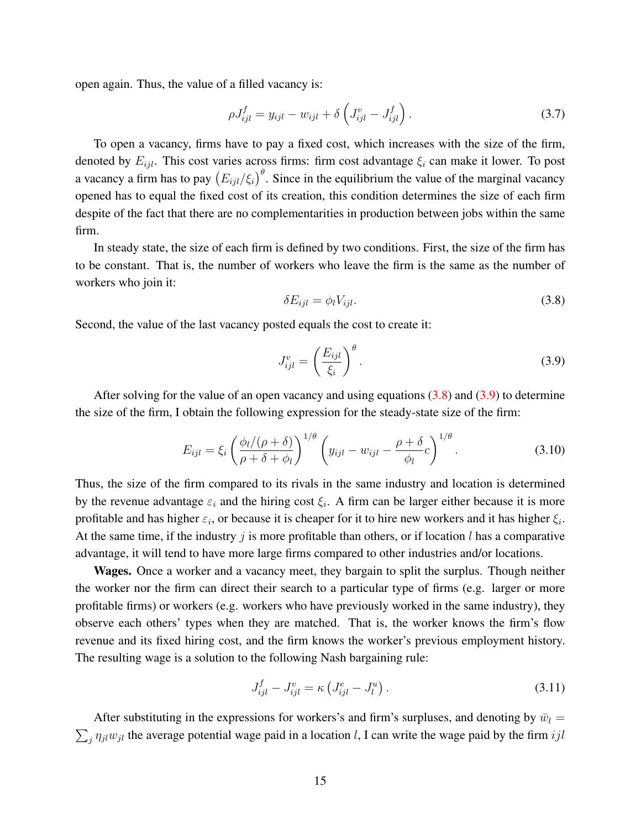open again. Thus, the value of a filled vacancy is:

$$
\rho J_{ijl}^f = y_{ijl} - w_{ijl} + \delta \left( J_{ijl}^v - J_{ijl}^f \right). \tag{3.7}
$$

To open a vacancy, firms have to pay a fixed cost, which increases with the size of the firm, denoted by  $E_{ijl}$ . This cost varies across firms: firm cost advantage  $\xi_i$  can make it lower. To post a vacancy a firm has to pay  $(E_{ijl}/\xi_i)^{\theta}$ . Since in the equilibrium the value of the marginal vacancy opened has to equal the fixed cost of its creation, this condition determines the size of each firm despite of the fact that there are no complementarities in production between jobs within the same firm.

In steady state, the size of each firm is defined by two conditions. First, the size of the firm has to be constant. That is, the number of workers who leave the firm is the same as the number of workers who join it:

<span id="page-14-0"></span>
$$
\delta E_{ijl} = \phi_l V_{ijl}.\tag{3.8}
$$

Second, the value of the last vacancy posted equals the cost to create it:

<span id="page-14-1"></span>
$$
J_{ijl}^v = \left(\frac{E_{ijl}}{\xi_i}\right)^{\theta}.
$$
\n(3.9)

After solving for the value of an open vacancy and using equations  $(3.8)$  and  $(3.9)$  to determine the size of the firm, I obtain the following expression for the steady-state size of the firm:

<span id="page-14-2"></span>
$$
E_{ijl} = \xi_i \left( \frac{\phi_l/(\rho + \delta)}{\rho + \delta + \phi_l} \right)^{1/\theta} \left( y_{ijl} - w_{ijl} - \frac{\rho + \delta}{\phi_l} c \right)^{1/\theta}.
$$
 (3.10)

Thus, the size of the firm compared to its rivals in the same industry and location is determined by the revenue advantage  $\varepsilon_i$  and the hiring cost  $\xi_i$ . A firm can be larger either because it is more profitable and has higher  $\varepsilon_i$ , or because it is cheaper for it to hire new workers and it has higher  $\xi_i$ . At the same time, if the industry  $j$  is more profitable than others, or if location  $l$  has a comparative advantage, it will tend to have more large firms compared to other industries and/or locations.

Wages. Once a worker and a vacancy meet, they bargain to split the surplus. Though neither the worker nor the firm can direct their search to a particular type of firms (e.g. larger or more profitable firms) or workers (e.g. workers who have previously worked in the same industry), they observe each others' types when they are matched. That is, the worker knows the firm's flow revenue and its fixed hiring cost, and the firm knows the worker's previous employment history. The resulting wage is a solution to the following Nash bargaining rule:

$$
J_{ijl}^f - J_{ijl}^v = \kappa \left( J_{ijl}^e - J_l^u \right). \tag{3.11}
$$

After substituting in the expressions for workers's and firm's surpluses, and denoting by  $\bar{w}_l =$  $\sum_j \eta_{jl} w_{jl}$  the average potential wage paid in a location l, I can write the wage paid by the firm ijl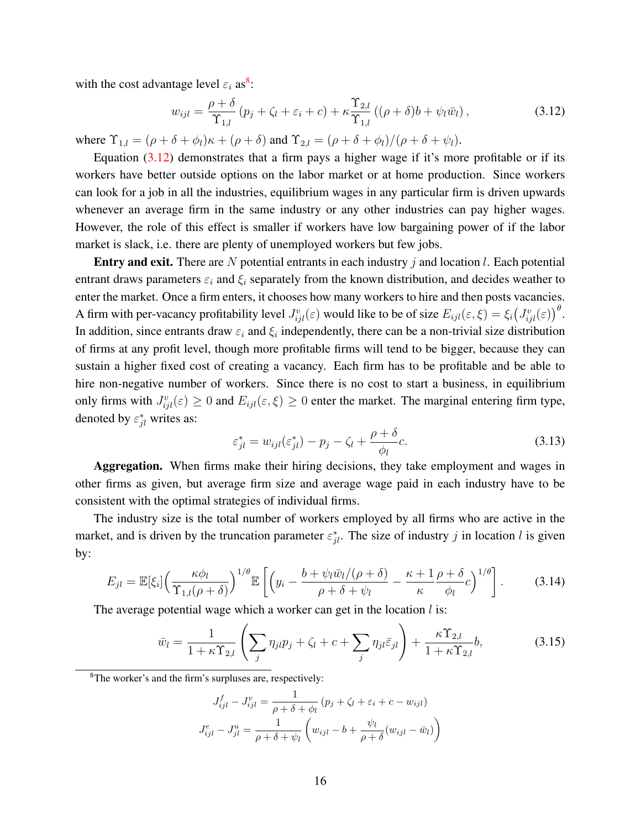with the cost advantage level  $\varepsilon_i$  as<sup>[8](#page-15-0)</sup>:

<span id="page-15-1"></span>
$$
w_{ijl} = \frac{\rho + \delta}{\Upsilon_{1,l}} \left( p_j + \zeta_l + \varepsilon_i + c \right) + \kappa \frac{\Upsilon_{2,l}}{\Upsilon_{1,l}} \left( (\rho + \delta)b + \psi_l \bar{w}_l \right), \tag{3.12}
$$

where  $\Upsilon_{1,l} = (\rho + \delta + \phi_l)\kappa + (\rho + \delta)$  and  $\Upsilon_{2,l} = (\rho + \delta + \phi_l)/(\rho + \delta + \psi_l)$ .

Equation  $(3.12)$  demonstrates that a firm pays a higher wage if it's more profitable or if its workers have better outside options on the labor market or at home production. Since workers can look for a job in all the industries, equilibrium wages in any particular firm is driven upwards whenever an average firm in the same industry or any other industries can pay higher wages. However, the role of this effect is smaller if workers have low bargaining power of if the labor market is slack, i.e. there are plenty of unemployed workers but few jobs.

**Entry and exit.** There are N potential entrants in each industry  $j$  and location  $l$ . Each potential entrant draws parameters  $\varepsilon_i$  and  $\xi_i$  separately from the known distribution, and decides weather to enter the market. Once a firm enters, it chooses how many workers to hire and then posts vacancies. A firm with per-vacancy profitability level  $J_{ijl}^v(\varepsilon)$  would like to be of size  $E_{ijl}(\varepsilon,\xi) = \xi_i \big(J_{ijl}^v(\varepsilon)\big)^\theta$ . In addition, since entrants draw  $\varepsilon_i$  and  $\xi_i$  independently, there can be a non-trivial size distribution of firms at any profit level, though more profitable firms will tend to be bigger, because they can sustain a higher fixed cost of creating a vacancy. Each firm has to be profitable and be able to hire non-negative number of workers. Since there is no cost to start a business, in equilibrium only firms with  $J_{ijl}^v(\varepsilon) \ge 0$  and  $E_{ijl}(\varepsilon, \xi) \ge 0$  enter the market. The marginal entering firm type, denoted by  $\varepsilon_{jl}^*$  writes as:

$$
\varepsilon_{jl}^* = w_{ijl}(\varepsilon_{jl}^*) - p_j - \zeta_l + \frac{\rho + \delta}{\phi_l}c.
$$
\n(3.13)

Aggregation. When firms make their hiring decisions, they take employment and wages in other firms as given, but average firm size and average wage paid in each industry have to be consistent with the optimal strategies of individual firms.

The industry size is the total number of workers employed by all firms who are active in the market, and is driven by the truncation parameter  $\varepsilon_{jl}^*$ . The size of industry j in location l is given by:

$$
E_{jl} = \mathbb{E}[\xi_i] \left(\frac{\kappa \phi_l}{\Upsilon_{1,l}(\rho+\delta)}\right)^{1/\theta} \mathbb{E}\left[\left(y_i - \frac{b + \psi_l \bar{w}_l/(\rho+\delta)}{\rho+\delta+\psi_l} - \frac{\kappa+1}{\kappa} \frac{\rho+\delta}{\phi_l} c\right)^{1/\theta}\right].
$$
 (3.14)

The average potential wage which a worker can get in the location  $l$  is:

$$
\bar{w}_l = \frac{1}{1 + \kappa \Upsilon_{2,l}} \left( \sum_j \eta_{jl} p_j + \zeta_l + c + \sum_j \eta_{jl} \bar{\varepsilon}_{jl} \right) + \frac{\kappa \Upsilon_{2,l}}{1 + \kappa \Upsilon_{2,l}} b, \tag{3.15}
$$

<span id="page-15-0"></span><sup>8</sup>The worker's and the firm's surpluses are, respectively:

$$
J_{ijl}^f - J_{ijl}^v = \frac{1}{\rho + \delta + \phi_l} (p_j + \zeta_l + \varepsilon_i + c - w_{ijl})
$$

$$
J_{ijl}^e - J_{jl}^u = \frac{1}{\rho + \delta + \psi_l} \left( w_{ijl} - b + \frac{\psi_l}{\rho + \delta} (w_{ijl} - \bar{w}_l) \right)
$$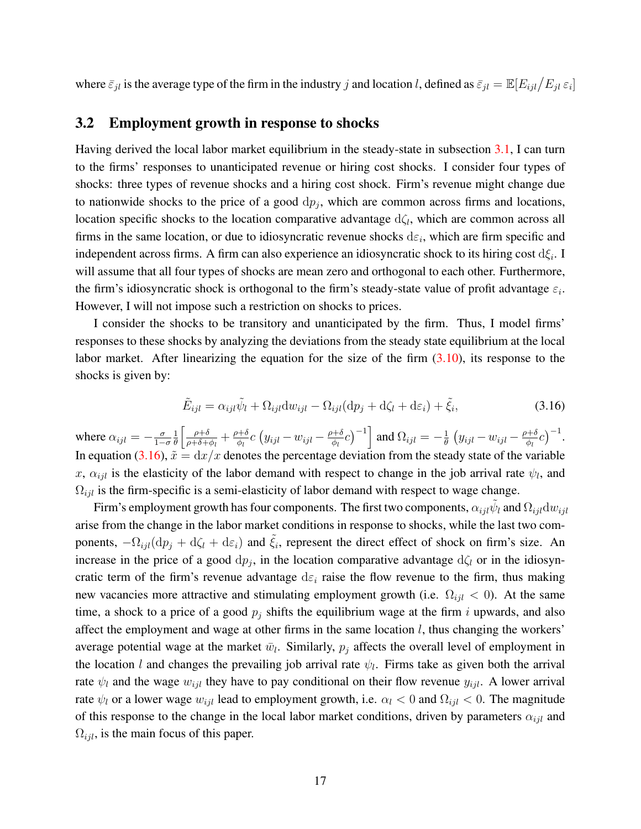where  $\bar{\varepsilon}_{jl}$  is the average type of the firm in the industry j and location l, defined as  $\bar{\varepsilon}_{jl} = \mathbb{E}[E_{ijl}/E_{jl}|\varepsilon_i]$ 

#### <span id="page-16-0"></span>3.2 Employment growth in response to shocks

Having derived the local labor market equilibrium in the steady-state in subsection [3.1,](#page-11-0) I can turn to the firms' responses to unanticipated revenue or hiring cost shocks. I consider four types of shocks: three types of revenue shocks and a hiring cost shock. Firm's revenue might change due to nationwide shocks to the price of a good  $dp_j$ , which are common across firms and locations, location specific shocks to the location comparative advantage  $d\zeta_l$ , which are common across all firms in the same location, or due to idiosyncratic revenue shocks  $d\varepsilon_i$ , which are firm specific and independent across firms. A firm can also experience an idiosyncratic shock to its hiring cost  $d\xi_i$ . I will assume that all four types of shocks are mean zero and orthogonal to each other. Furthermore, the firm's idiosyncratic shock is orthogonal to the firm's steady-state value of profit advantage  $\varepsilon_i$ . However, I will not impose such a restriction on shocks to prices.

I consider the shocks to be transitory and unanticipated by the firm. Thus, I model firms' responses to these shocks by analyzing the deviations from the steady state equilibrium at the local labor market. After linearizing the equation for the size of the firm  $(3.10)$ , its response to the shocks is given by:

<span id="page-16-1"></span>
$$
\tilde{E}_{ijl} = \alpha_{ijl}\tilde{\psi}_l + \Omega_{ijl}dw_{ijl} - \Omega_{ijl}(dp_j + d\zeta_l + d\varepsilon_i) + \tilde{\xi}_i,
$$
\n(3.16)

where  $\alpha_{ijl} = -\frac{\sigma}{1 - \sigma}$  $1-\sigma$ 1  $rac{1}{\theta} \left[ \frac{\rho + \delta}{\rho + \delta + \epsilon} \right]$  $\frac{\rho+\delta}{\rho+\delta+\phi_l}+\frac{\rho+\delta}{\phi_l}$  $\frac{\partial+\delta}{\partial q}c\left(y_{ijl}-w_{ijl}-\frac{\rho+\delta}{\phi_l}\right)$  $\left[\frac{\partial+\delta}{\partial t}c\right)^{-1}\right]$  and  $\Omega_{ijl}=-\frac{1}{\theta}$  $\frac{1}{\theta}\left(y_{ijl}-w_{ijl}-\frac{\rho+\delta}{\phi_l}\right)$  $\frac{\partial+\delta}{\partial l}c\Big)^{-1}.$ In equation [\(3.16\)](#page-16-1),  $\tilde{x} = dx/x$  denotes the percentage deviation from the steady state of the variable x,  $\alpha_{ijl}$  is the elasticity of the labor demand with respect to change in the job arrival rate  $\psi_l$ , and  $\Omega_{ijl}$  is the firm-specific is a semi-elasticity of labor demand with respect to wage change.

Firm's employment growth has four components. The first two components,  $\alpha_{ijl}\tilde{\psi}_l$  and  $\Omega_{ijl}{\rm d}w_{ijl}$ arise from the change in the labor market conditions in response to shocks, while the last two components,  $-\Omega_{ijl}(\mathrm{d}p_j + \mathrm{d}\zeta_l + \mathrm{d}\varepsilon_i)$  and  $\tilde{\zeta}_i$ , represent the direct effect of shock on firm's size. An increase in the price of a good  $dp_j$ , in the location comparative advantage  $d\zeta_l$  or in the idiosyncratic term of the firm's revenue advantage  $d\varepsilon_i$  raise the flow revenue to the firm, thus making new vacancies more attractive and stimulating employment growth (i.e.  $\Omega_{ijl} < 0$ ). At the same time, a shock to a price of a good  $p_i$  shifts the equilibrium wage at the firm i upwards, and also affect the employment and wage at other firms in the same location  $l$ , thus changing the workers' average potential wage at the market  $\bar{w}_l$ . Similarly,  $p_j$  affects the overall level of employment in the location l and changes the prevailing job arrival rate  $\psi_l$ . Firms take as given both the arrival rate  $\psi_l$  and the wage  $w_{ijl}$  they have to pay conditional on their flow revenue  $y_{ijl}$ . A lower arrival rate  $\psi_l$  or a lower wage  $w_{ijl}$  lead to employment growth, i.e.  $\alpha_l < 0$  and  $\Omega_{ijl} < 0$ . The magnitude of this response to the change in the local labor market conditions, driven by parameters  $\alpha_{ijl}$  and  $\Omega_{ijl}$ , is the main focus of this paper.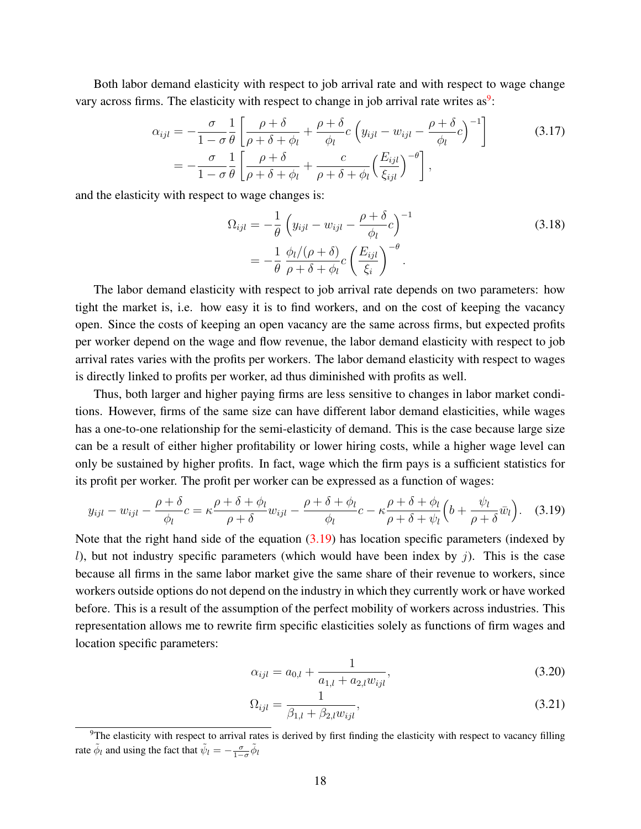Both labor demand elasticity with respect to job arrival rate and with respect to wage change vary across firms. The elasticity with respect to change in job arrival rate writes as<sup>[9](#page-17-0)</sup>:

$$
\alpha_{ijl} = -\frac{\sigma}{1-\sigma} \frac{1}{\theta} \left[ \frac{\rho+\delta}{\rho+\delta+\phi_l} + \frac{\rho+\delta}{\phi_l} c \left( y_{ijl} - w_{ijl} - \frac{\rho+\delta}{\phi_l} c \right)^{-1} \right] \tag{3.17}
$$
\n
$$
= -\frac{\sigma}{1-\sigma} \frac{1}{\theta} \left[ \frac{\rho+\delta}{\rho+\delta+\phi_l} + \frac{c}{\rho+\delta+\phi_l} \left( \frac{E_{ijl}}{\xi_{ijl}} \right)^{-\theta} \right],
$$

and the elasticity with respect to wage changes is:

$$
\Omega_{ijl} = -\frac{1}{\theta} \left( y_{ijl} - w_{ijl} - \frac{\rho + \delta}{\phi_l} c \right)^{-1}
$$
\n
$$
= -\frac{1}{\theta} \frac{\phi_l/(\rho + \delta)}{\rho + \delta + \phi_l} c \left( \frac{E_{ijl}}{\xi_i} \right)^{-\theta} .
$$
\n(3.18)

The labor demand elasticity with respect to job arrival rate depends on two parameters: how tight the market is, i.e. how easy it is to find workers, and on the cost of keeping the vacancy open. Since the costs of keeping an open vacancy are the same across firms, but expected profits per worker depend on the wage and flow revenue, the labor demand elasticity with respect to job arrival rates varies with the profits per workers. The labor demand elasticity with respect to wages is directly linked to profits per worker, ad thus diminished with profits as well.

Thus, both larger and higher paying firms are less sensitive to changes in labor market conditions. However, firms of the same size can have different labor demand elasticities, while wages has a one-to-one relationship for the semi-elasticity of demand. This is the case because large size can be a result of either higher profitability or lower hiring costs, while a higher wage level can only be sustained by higher profits. In fact, wage which the firm pays is a sufficient statistics for its profit per worker. The profit per worker can be expressed as a function of wages:

<span id="page-17-1"></span>
$$
y_{ijl} - w_{ijl} - \frac{\rho + \delta}{\phi_l}c = \kappa \frac{\rho + \delta + \phi_l}{\rho + \delta} w_{ijl} - \frac{\rho + \delta + \phi_l}{\phi_l}c - \kappa \frac{\rho + \delta + \phi_l}{\rho + \delta + \psi_l} \left(b + \frac{\psi_l}{\rho + \delta} \bar{w}_l\right).
$$
 (3.19)

Note that the right hand side of the equation [\(3.19\)](#page-17-1) has location specific parameters (indexed by l), but not industry specific parameters (which would have been index by  $j$ ). This is the case because all firms in the same labor market give the same share of their revenue to workers, since workers outside options do not depend on the industry in which they currently work or have worked before. This is a result of the assumption of the perfect mobility of workers across industries. This representation allows me to rewrite firm specific elasticities solely as functions of firm wages and location specific parameters:

$$
\alpha_{ijl} = a_{0,l} + \frac{1}{a_{1,l} + a_{2,l} w_{ijl}},\tag{3.20}
$$

$$
\Omega_{ijl} = \frac{1}{\beta_{1,l} + \beta_{2,l} w_{ijl}},\tag{3.21}
$$

<span id="page-17-0"></span><sup>&</sup>lt;sup>9</sup>The elasticity with respect to arrival rates is derived by first finding the elasticity with respect to vacancy filling rate  $\tilde{\phi}_l$  and using the fact that  $\tilde{\psi}_l = -\frac{\sigma}{1-\sigma} \tilde{\phi}_l$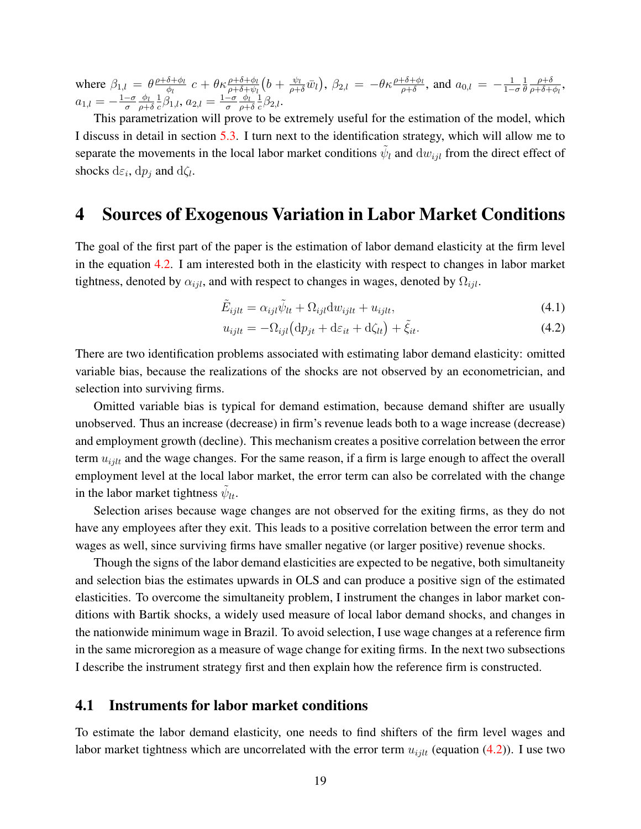where  $\beta_{1,l} = \theta \frac{\rho + \delta + \phi_l}{\phi_l}$  $\frac{\delta+\phi_l}{\phi_l}\; c + \theta \kappa \frac{\rho+\delta+\phi_l}{\rho+\delta+\psi_l}\big(b + \frac{\psi_l}{\rho+\delta}\bar{w}_l\big),\, \beta_{2,l}\,=\, -\theta \kappa \frac{\rho+\delta+\phi_l}{\rho+\delta},\, \text{and}\,\, a_{0,l}\,=\, -\frac{1}{1-l}$  $1-\sigma$ 1 θ  $\rho + \delta$  $\frac{\rho+o}{\rho+\delta+\phi_l},$  $a_{1,l}=-\frac{1-\sigma}{\sigma}$ σ  $\phi_l$  $\rho + \delta$ 1  $\frac{1}{c}\beta_{1,l}, a_{2,l} = \frac{1-\sigma}{\sigma}$ σ  $\phi_l$  $\rho + \delta$ 1  $\frac{1}{c}\beta_{2,l}$ .

This parametrization will prove to be extremely useful for the estimation of the model, which I discuss in detail in section [5.3.](#page-28-0) I turn next to the identification strategy, which will allow me to separate the movements in the local labor market conditions  $\tilde{\psi}_l$  and  $dw_{ijl}$  from the direct effect of shocks  $d\varepsilon_i$ ,  $dp_j$  and  $d\zeta_l$ .

### <span id="page-18-0"></span>4 Sources of Exogenous Variation in Labor Market Conditions

The goal of the first part of the paper is the estimation of labor demand elasticity at the firm level in the equation [4.2.](#page-18-1) I am interested both in the elasticity with respect to changes in labor market tightness, denoted by  $\alpha_{ijl}$ , and with respect to changes in wages, denoted by  $\Omega_{ijl}$ .

$$
\tilde{E}_{ijlt} = \alpha_{ijl}\tilde{\psi}_{lt} + \Omega_{ijl}dw_{ijlt} + u_{ijlt},\tag{4.1}
$$

<span id="page-18-2"></span><span id="page-18-1"></span>
$$
u_{ijlt} = -\Omega_{ijl} \left( \mathrm{d}p_{jt} + \mathrm{d}\varepsilon_{it} + \mathrm{d}\zeta_{lt} \right) + \tilde{\xi}_{it}.
$$
\n(4.2)

There are two identification problems associated with estimating labor demand elasticity: omitted variable bias, because the realizations of the shocks are not observed by an econometrician, and selection into surviving firms.

Omitted variable bias is typical for demand estimation, because demand shifter are usually unobserved. Thus an increase (decrease) in firm's revenue leads both to a wage increase (decrease) and employment growth (decline). This mechanism creates a positive correlation between the error term  $u_{i j l t}$  and the wage changes. For the same reason, if a firm is large enough to affect the overall employment level at the local labor market, the error term can also be correlated with the change in the labor market tightness  $\tilde{\psi}_{lt}$ .

Selection arises because wage changes are not observed for the exiting firms, as they do not have any employees after they exit. This leads to a positive correlation between the error term and wages as well, since surviving firms have smaller negative (or larger positive) revenue shocks.

Though the signs of the labor demand elasticities are expected to be negative, both simultaneity and selection bias the estimates upwards in OLS and can produce a positive sign of the estimated elasticities. To overcome the simultaneity problem, I instrument the changes in labor market conditions with Bartik shocks, a widely used measure of local labor demand shocks, and changes in the nationwide minimum wage in Brazil. To avoid selection, I use wage changes at a reference firm in the same microregion as a measure of wage change for exiting firms. In the next two subsections I describe the instrument strategy first and then explain how the reference firm is constructed.

#### 4.1 Instruments for labor market conditions

To estimate the labor demand elasticity, one needs to find shifters of the firm level wages and labor market tightness which are uncorrelated with the error term  $u_{i j l t}$  (equation [\(4.2\)](#page-18-1)). I use two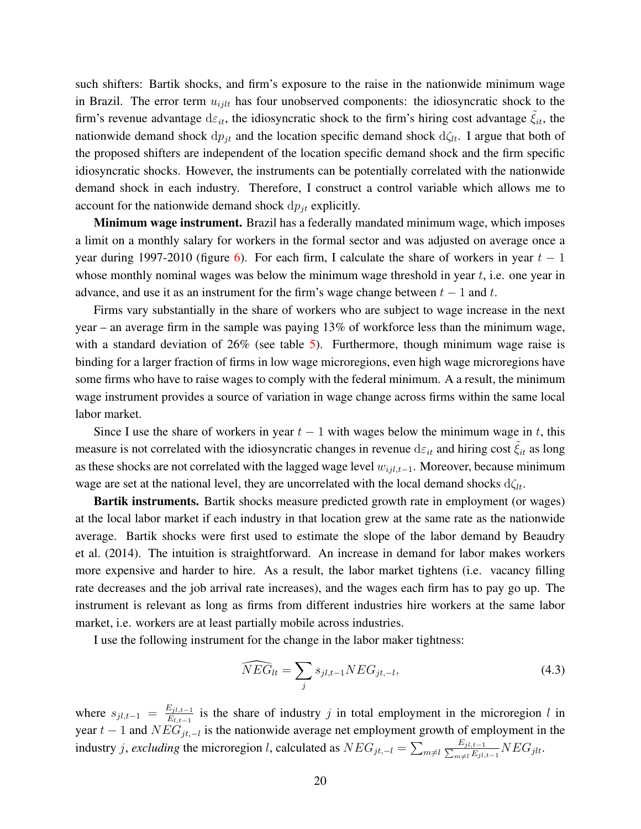such shifters: Bartik shocks, and firm's exposure to the raise in the nationwide minimum wage in Brazil. The error term  $u_{i j l t}$  has four unobserved components: the idiosyncratic shock to the firm's revenue advantage  $d\varepsilon_{it}$ , the idiosyncratic shock to the firm's hiring cost advantage  $\tilde{\xi}_{it}$ , the nationwide demand shock  $dp_{it}$  and the location specific demand shock  $d\zeta_{lt}$ . I argue that both of the proposed shifters are independent of the location specific demand shock and the firm specific idiosyncratic shocks. However, the instruments can be potentially correlated with the nationwide demand shock in each industry. Therefore, I construct a control variable which allows me to account for the nationwide demand shock  $dp_{it}$  explicitly.

**Minimum wage instrument.** Brazil has a federally mandated minimum wage, which imposes a limit on a monthly salary for workers in the formal sector and was adjusted on average once a year during 1997-2010 (figure [6\)](#page-60-1). For each firm, I calculate the share of workers in year  $t - 1$ whose monthly nominal wages was below the minimum wage threshold in year  $t$ , i.e. one year in advance, and use it as an instrument for the firm's wage change between  $t - 1$  and t.

Firms vary substantially in the share of workers who are subject to wage increase in the next year – an average firm in the sample was paying 13% of workforce less than the minimum wage, with a standard deviation of 26% (see table [5\)](#page-43-0). Furthermore, though minimum wage raise is binding for a larger fraction of firms in low wage microregions, even high wage microregions have some firms who have to raise wages to comply with the federal minimum. A a result, the minimum wage instrument provides a source of variation in wage change across firms within the same local labor market.

Since I use the share of workers in year  $t - 1$  with wages below the minimum wage in t, this measure is not correlated with the idiosyncratic changes in revenue  $d\varepsilon_{it}$  and hiring cost  $\tilde{\xi}_{it}$  as long as these shocks are not correlated with the lagged wage level  $w_{ijl,t-1}$ . Moreover, because minimum wage are set at the national level, they are uncorrelated with the local demand shocks  $d\zeta_{lt}$ .

**Bartik instruments.** Bartik shocks measure predicted growth rate in employment (or wages) at the local labor market if each industry in that location grew at the same rate as the nationwide average. Bartik shocks were first used to estimate the slope of the labor demand by [Beaudry](#page-37-5) [et al.](#page-37-5) [\(2014\)](#page-37-5). The intuition is straightforward. An increase in demand for labor makes workers more expensive and harder to hire. As a result, the labor market tightens (i.e. vacancy filling rate decreases and the job arrival rate increases), and the wages each firm has to pay go up. The instrument is relevant as long as firms from different industries hire workers at the same labor market, i.e. workers are at least partially mobile across industries.

I use the following instrument for the change in the labor maker tightness:

$$
\widehat{NEG}_{lt} = \sum_{j} s_{jl,t-1} NEG_{jt,-l},\tag{4.3}
$$

where  $s_{jl,t-1} = \frac{E_{jl,t-1}}{E_{l,t-1}}$  $E_{i,t-1}$  is the share of industry j in total employment in the microregion l in year  $t-1$  and  $NEG_{jt,-l}$  is the nationwide average net employment growth of employment in the industry *j*, *excluding* the microregion *l*, calculated as  $NEG_{jt,-l} = \sum_{m \neq l} \frac{1}{\sum_{j=1}^{l}}$  $E_{jl,t-1}$  $\frac{E_{jl,t-1}}{E_{jl,t-1}}NEG_{jlt}.$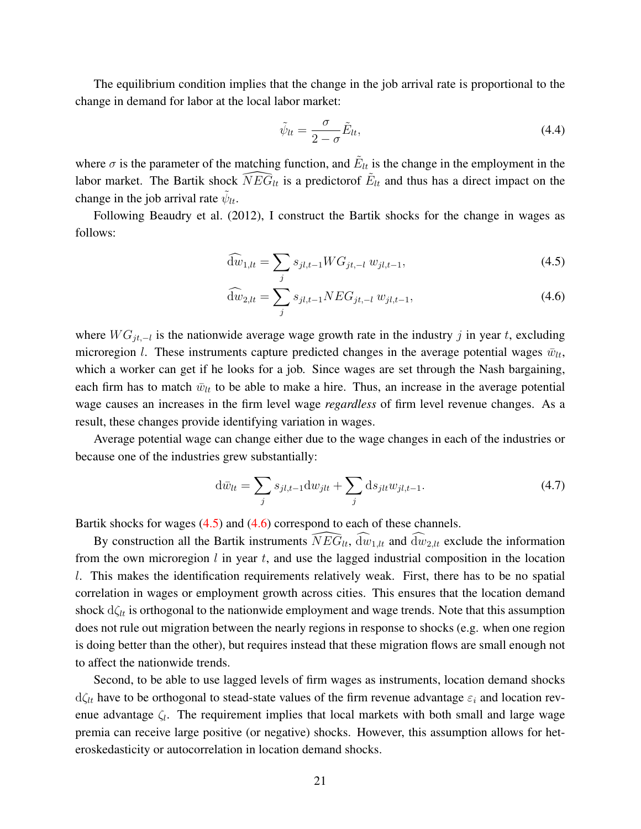The equilibrium condition implies that the change in the job arrival rate is proportional to the change in demand for labor at the local labor market:

<span id="page-20-1"></span><span id="page-20-0"></span>
$$
\tilde{\psi}_{lt} = \frac{\sigma}{2 - \sigma} \tilde{E}_{lt},\tag{4.4}
$$

where  $\sigma$  is the parameter of the matching function, and  $\tilde{E}_{lt}$  is the change in the employment in the labor market. The Bartik shock  $\widehat{NEG}_{lt}$  is a predictorof  $\widetilde{E}_{lt}$  and thus has a direct impact on the change in the job arrival rate  $\tilde{\psi}_{lt}$ .

Following [Beaudry et al.](#page-37-4) [\(2012\)](#page-37-4), I construct the Bartik shocks for the change in wages as follows:

$$
\widehat{dw}_{1,lt} = \sum_{j} s_{jl,t-1} WG_{jt,-l} w_{jl,t-1},\tag{4.5}
$$

$$
\widehat{dw}_{2,lt} = \sum_{j} s_{jl,t-1} NEG_{jt,-l} w_{jl,t-1},\tag{4.6}
$$

where  $WG_{jt,-l}$  is the nationwide average wage growth rate in the industry j in year t, excluding microregion l. These instruments capture predicted changes in the average potential wages  $\bar{w}_{lt}$ , which a worker can get if he looks for a job. Since wages are set through the Nash bargaining, each firm has to match  $\bar{w}_{lt}$  to be able to make a hire. Thus, an increase in the average potential wage causes an increases in the firm level wage *regardless* of firm level revenue changes. As a result, these changes provide identifying variation in wages.

Average potential wage can change either due to the wage changes in each of the industries or because one of the industries grew substantially:

$$
d\bar{w}_{lt} = \sum_{j} s_{jl,t-1} dw_{jlt} + \sum_{j} ds_{jlt} w_{jl,t-1}.
$$
 (4.7)

Bartik shocks for wages [\(4.5\)](#page-20-0) and [\(4.6\)](#page-20-1) correspond to each of these channels.

By construction all the Bartik instruments  $\widehat{NEG}_{lt}$ ,  $\widehat{dw}_{1,lt}$  and  $\widehat{dw}_{2,lt}$  exclude the information from the own microregion  $l$  in year  $t$ , and use the lagged industrial composition in the location l. This makes the identification requirements relatively weak. First, there has to be no spatial correlation in wages or employment growth across cities. This ensures that the location demand shock  $d\zeta_{lt}$  is orthogonal to the nationwide employment and wage trends. Note that this assumption does not rule out migration between the nearly regions in response to shocks (e.g. when one region is doing better than the other), but requires instead that these migration flows are small enough not to affect the nationwide trends.

Second, to be able to use lagged levels of firm wages as instruments, location demand shocks  $d\zeta_{lt}$  have to be orthogonal to stead-state values of the firm revenue advantage  $\varepsilon_i$  and location revenue advantage  $\zeta_l$ . The requirement implies that local markets with both small and large wage premia can receive large positive (or negative) shocks. However, this assumption allows for heteroskedasticity or autocorrelation in location demand shocks.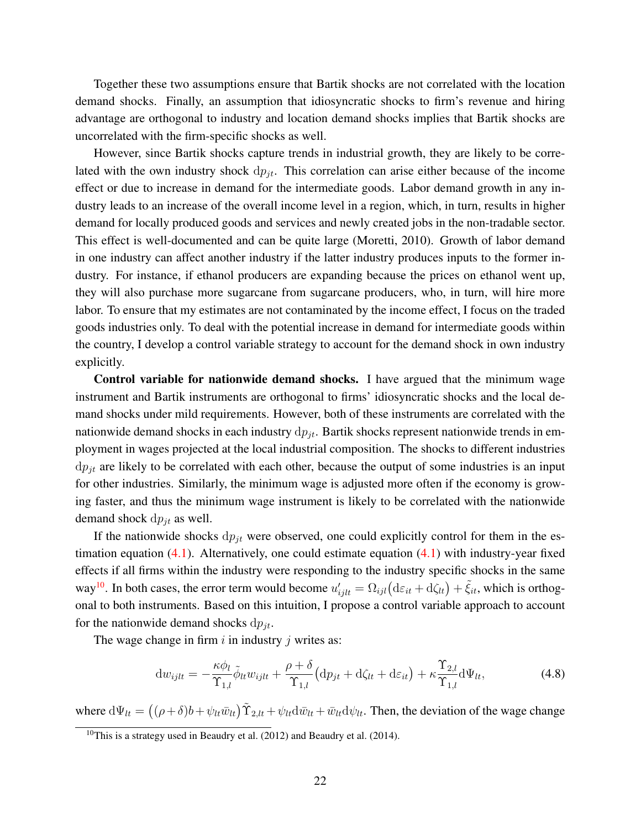Together these two assumptions ensure that Bartik shocks are not correlated with the location demand shocks. Finally, an assumption that idiosyncratic shocks to firm's revenue and hiring advantage are orthogonal to industry and location demand shocks implies that Bartik shocks are uncorrelated with the firm-specific shocks as well.

However, since Bartik shocks capture trends in industrial growth, they are likely to be correlated with the own industry shock  $dp_{it}$ . This correlation can arise either because of the income effect or due to increase in demand for the intermediate goods. Labor demand growth in any industry leads to an increase of the overall income level in a region, which, in turn, results in higher demand for locally produced goods and services and newly created jobs in the non-tradable sector. This effect is well-documented and can be quite large [\(Moretti,](#page-38-9) [2010\)](#page-38-9). Growth of labor demand in one industry can affect another industry if the latter industry produces inputs to the former industry. For instance, if ethanol producers are expanding because the prices on ethanol went up, they will also purchase more sugarcane from sugarcane producers, who, in turn, will hire more labor. To ensure that my estimates are not contaminated by the income effect, I focus on the traded goods industries only. To deal with the potential increase in demand for intermediate goods within the country, I develop a control variable strategy to account for the demand shock in own industry explicitly.

Control variable for nationwide demand shocks. I have argued that the minimum wage instrument and Bartik instruments are orthogonal to firms' idiosyncratic shocks and the local demand shocks under mild requirements. However, both of these instruments are correlated with the nationwide demand shocks in each industry  $dp_{it}$ . Bartik shocks represent nationwide trends in employment in wages projected at the local industrial composition. The shocks to different industries  $dp_{jt}$  are likely to be correlated with each other, because the output of some industries is an input for other industries. Similarly, the minimum wage is adjusted more often if the economy is growing faster, and thus the minimum wage instrument is likely to be correlated with the nationwide demand shock  $dp_{it}$  as well.

If the nationwide shocks  $dp_{it}$  were observed, one could explicitly control for them in the estimation equation  $(4.1)$ . Alternatively, one could estimate equation  $(4.1)$  with industry-year fixed effects if all firms within the industry were responding to the industry specific shocks in the same way<sup>[10](#page-21-0)</sup>. In both cases, the error term would become  $u'_{ijlt} = \Omega_{ijl} (d\varepsilon_{it} + d\zeta_{lt}) + \tilde{\xi}_{it}$ , which is orthogonal to both instruments. Based on this intuition, I propose a control variable approach to account for the nationwide demand shocks  $dp_{it}$ .

The wage change in firm  $i$  in industry  $j$  writes as:

$$
\mathrm{d}w_{ijlt} = -\frac{\kappa \phi_l}{\Upsilon_{1,l}} \tilde{\phi}_{lt} w_{ijlt} + \frac{\rho + \delta}{\Upsilon_{1,l}} \left( \mathrm{d}p_{jt} + \mathrm{d}\zeta_{lt} + \mathrm{d}\varepsilon_{it} \right) + \kappa \frac{\Upsilon_{2,l}}{\Upsilon_{1,l}} \mathrm{d}\Psi_{lt},\tag{4.8}
$$

where  $d\Psi_{lt} = ((\rho + \delta)b + \psi_{lt}\bar{w}_{lt})\tilde{\Upsilon}_{2,lt} + \psi_{lt}d\bar{w}_{lt} + \bar{w}_{lt}d\psi_{lt}$ . Then, the deviation of the wage change

<span id="page-21-0"></span><sup>&</sup>lt;sup>10</sup>This is a strategy used in [Beaudry et al.](#page-37-5) [\(2012\)](#page-37-4) and Beaudry et al. [\(2014\)](#page-37-5).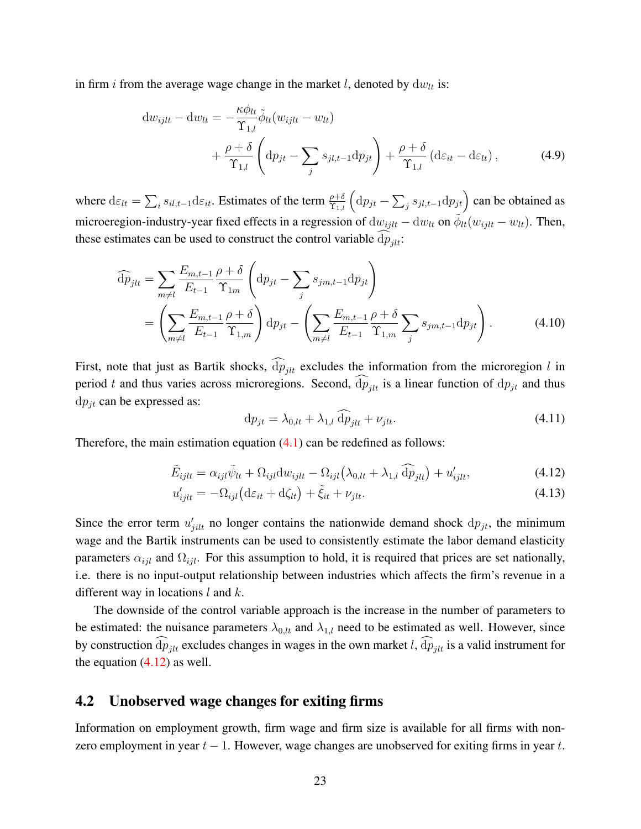in firm *i* from the average wage change in the market *l*, denoted by  $dw_{lt}$  is:

$$
\mathrm{d}w_{ijlt} - \mathrm{d}w_{lt} = -\frac{\kappa \phi_{lt}}{\Upsilon_{1,l}} \tilde{\phi}_{lt}(w_{ijlt} - w_{lt}) + \frac{\rho + \delta}{\Upsilon_{1,l}} \left( \mathrm{d}p_{jt} - \sum_{j} s_{jl,t-1} \mathrm{d}p_{jt} \right) + \frac{\rho + \delta}{\Upsilon_{1,l}} \left( \mathrm{d}\varepsilon_{it} - \mathrm{d}\varepsilon_{lt} \right), \tag{4.9}
$$

where  $d\varepsilon_{lt} = \sum_i s_{il,t-1} d\varepsilon_{it}$ . Estimates of the term  $\frac{\rho+\delta}{\Upsilon_{1,l}} \left( dp_{jt} - \sum_j s_{jl,t-1} dp_{jt} \right)$  can be obtained as microeregion-industry-year fixed effects in a regression of  $dw_{ijlt} - dw_{lt}$  on  $\tilde{\phi}_{lt}(w_{ijlt} - w_{lt})$ . Then, these estimates can be used to construct the control variable  $dp_{jlt}$ :

$$
\widehat{dp}_{jlt} = \sum_{m \neq l} \frac{E_{m,t-1}}{E_{t-1}} \frac{\rho + \delta}{\Upsilon_{1m}} \left( dp_{jt} - \sum_{j} s_{jm,t-1} dp_{jt} \right)
$$
  
= 
$$
\left( \sum_{m \neq l} \frac{E_{m,t-1}}{E_{t-1}} \frac{\rho + \delta}{\Upsilon_{1,m}} \right) dp_{jt} - \left( \sum_{m \neq l} \frac{E_{m,t-1}}{E_{t-1}} \frac{\rho + \delta}{\Upsilon_{1,m}} \sum_{j} s_{jm,t-1} dp_{jt} \right).
$$
 (4.10)

First, note that just as Bartik shocks,  $\widehat{dp}_{jlt}$  excludes the information from the microregion l in period t and thus varies across microregions. Second,  $dp_{it}$  is a linear function of  $dp_{jt}$  and thus  $dp_{jt}$  can be expressed as:

<span id="page-22-0"></span>
$$
\mathrm{d}p_{jt} = \lambda_{0,lt} + \lambda_{1,l} \widehat{\mathrm{d}p}_{jlt} + \nu_{jlt}.\tag{4.11}
$$

Therefore, the main estimation equation  $(4.1)$  can be redefined as follows:

$$
\tilde{E}_{ijlt} = \alpha_{ijl}\tilde{\psi}_{lt} + \Omega_{ijl}dw_{ijlt} - \Omega_{ijl}(\lambda_{0,lt} + \lambda_{1,l}\widehat{dp}_{jlt}) + u'_{ijlt},
$$
\n(4.12)

$$
u'_{ijlt} = -\Omega_{ijl} \left( d\varepsilon_{it} + d\zeta_{lt} \right) + \tilde{\xi}_{it} + \nu_{jlt}.
$$
\n(4.13)

Since the error term  $u'_{jilt}$  no longer contains the nationwide demand shock  $dp_{jt}$ , the minimum wage and the Bartik instruments can be used to consistently estimate the labor demand elasticity parameters  $\alpha_{ijl}$  and  $\Omega_{ijl}$ . For this assumption to hold, it is required that prices are set nationally, i.e. there is no input-output relationship between industries which affects the firm's revenue in a different way in locations  $l$  and  $k$ .

The downside of the control variable approach is the increase in the number of parameters to be estimated: the nuisance parameters  $\lambda_{0,l}$  and  $\lambda_{1,l}$  need to be estimated as well. However, since by construction  $dp_{jlt}$  excludes changes in wages in the own market l,  $dp_{jlt}$  is a valid instrument for the equation  $(4.12)$  as well.

#### 4.2 Unobserved wage changes for exiting firms

Information on employment growth, firm wage and firm size is available for all firms with nonzero employment in year  $t - 1$ . However, wage changes are unobserved for exiting firms in year t.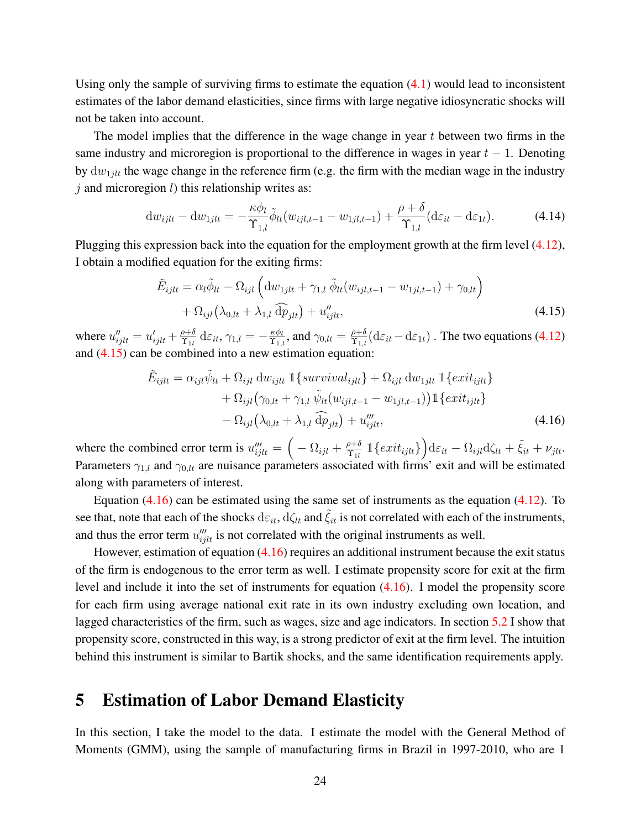Using only the sample of surviving firms to estimate the equation  $(4.1)$  would lead to inconsistent estimates of the labor demand elasticities, since firms with large negative idiosyncratic shocks will not be taken into account.

The model implies that the difference in the wage change in year  $t$  between two firms in the same industry and microregion is proportional to the difference in wages in year  $t - 1$ . Denoting by  $dw_{1jlt}$  the wage change in the reference firm (e.g. the firm with the median wage in the industry  $j$  and microregion  $l$ ) this relationship writes as:

$$
\mathrm{d}w_{ijlt} - \mathrm{d}w_{1jlt} = -\frac{\kappa \phi_l}{\Upsilon_{1,l}} \tilde{\phi}_{lt}(w_{ijl,t-1} - w_{1jl,t-1}) + \frac{\rho + \delta}{\Upsilon_{1,l}} (\mathrm{d}\varepsilon_{it} - \mathrm{d}\varepsilon_{1t}). \tag{4.14}
$$

Plugging this expression back into the equation for the employment growth at the firm level [\(4.12\)](#page-22-0), I obtain a modified equation for the exiting firms:

<span id="page-23-1"></span>
$$
\tilde{E}_{ijlt} = \alpha_l \tilde{\phi}_{lt} - \Omega_{ijl} \left( \mathrm{d}w_{1jlt} + \gamma_{1,l} \tilde{\phi}_{lt}(w_{ijl,t-1} - w_{1jl,t-1}) + \gamma_{0,lt} \right) \n+ \Omega_{ijl} \left( \lambda_{0,lt} + \lambda_{1,l} \tilde{\mathrm{dp}}_{jlt} \right) + u''_{ijlt},
$$
\n(4.15)

where  $u''_{ijlt} = u'_{ijlt} + \frac{\rho + \delta}{\Upsilon_{1l}}$  $\frac{\rho+\delta}{\Upsilon_{1l}}\mathop{}\!\mathrm{d}{\varepsilon_{it}}, \gamma_{1,l}=-\frac{\kappa \phi_l}{\Upsilon_{1,l}}$  $\frac{\kappa \phi_l}{\Upsilon_{1,l}}$ , and  $\gamma_{0,lt} = \frac{\rho + \delta}{\Upsilon_{1,l}}$  $\frac{\rho+\delta}{\Upsilon_{1,l}}(\mathrm{d}\varepsilon_{it}-\mathrm{d}\varepsilon_{1t})$  . The two equations [\(4.12\)](#page-22-0) and [\(4.15\)](#page-23-1) can be combined into a new estimation equation:

<span id="page-23-2"></span>
$$
\tilde{E}_{ijlt} = \alpha_{ijl}\tilde{\psi}_{lt} + \Omega_{ijl} dw_{ijlt} \mathbb{1}\left\{survival_{ijlt}\right\} + \Omega_{ijl} dw_{1jlt} \mathbb{1}\left\{exit_{ijlt}\right\} \n+ \Omega_{ijl}(\gamma_{0,lt} + \gamma_{1,l} \tilde{\psi}_{lt}(w_{ijl,t-1} - w_{1jl,t-1})) \mathbb{1}\left\{exit_{ijlt}\right\} \n- \Omega_{ijl}(\lambda_{0,lt} + \lambda_{1,l} \tilde{dp}_{jlt}) + u_{ijlt}'''
$$
\n(4.16)

where the combined error term is  $u_{ijlt}''' = \left(-\Omega_{ijl} + \frac{\rho + \delta}{\Upsilon_{1l}}\right)$  $\frac{\partial \rho + \delta}{\partial \gamma_{1l}} \, \mathbb{1}\{ext_{ijlt}\}\Big) \mathrm{d}\varepsilon_{it} - \Omega_{ijl} \mathrm{d}\zeta_{lt} + \tilde{\xi}_{it} + \nu_{jlt}.$ Parameters  $\gamma_{1,l}$  and  $\gamma_{0,l}$  are nuisance parameters associated with firms' exit and will be estimated along with parameters of interest.

Equation  $(4.16)$  can be estimated using the same set of instruments as the equation  $(4.12)$ . To see that, note that each of the shocks  $d\varepsilon_{it}$ ,  $d\zeta_{it}$  and  $\tilde{\zeta}_{it}$  is not correlated with each of the instruments, and thus the error term  $u_{ijlt}^{\prime\prime}$  is not correlated with the original instruments as well.

However, estimation of equation  $(4.16)$  requires an additional instrument because the exit status of the firm is endogenous to the error term as well. I estimate propensity score for exit at the firm level and include it into the set of instruments for equation [\(4.16\)](#page-23-2). I model the propensity score for each firm using average national exit rate in its own industry excluding own location, and lagged characteristics of the firm, such as wages, size and age indicators. In section [5.2](#page-26-0) I show that propensity score, constructed in this way, is a strong predictor of exit at the firm level. The intuition behind this instrument is similar to Bartik shocks, and the same identification requirements apply.

### <span id="page-23-0"></span>5 Estimation of Labor Demand Elasticity

In this section, I take the model to the data. I estimate the model with the General Method of Moments (GMM), using the sample of manufacturing firms in Brazil in 1997-2010, who are 1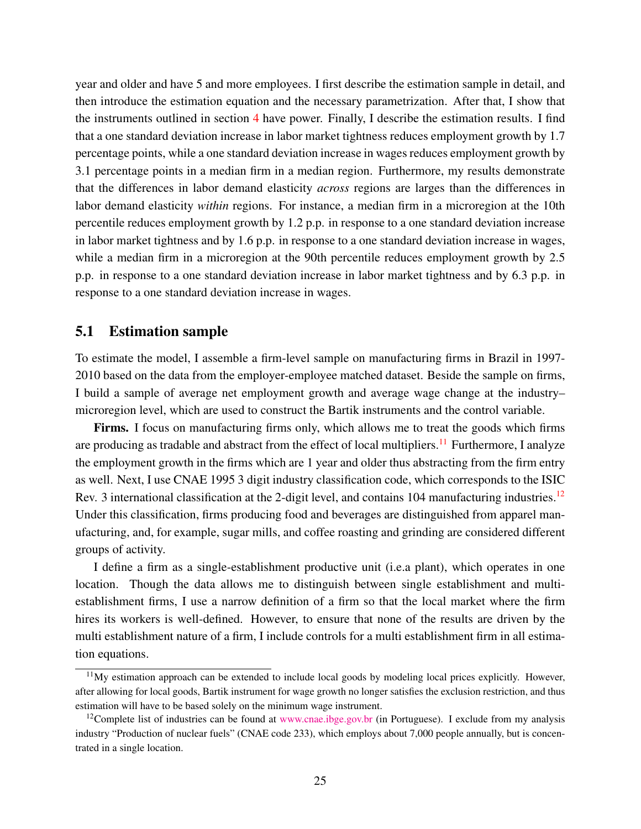year and older and have 5 and more employees. I first describe the estimation sample in detail, and then introduce the estimation equation and the necessary parametrization. After that, I show that the instruments outlined in section [4](#page-18-0) have power. Finally, I describe the estimation results. I find that a one standard deviation increase in labor market tightness reduces employment growth by 1.7 percentage points, while a one standard deviation increase in wages reduces employment growth by 3.1 percentage points in a median firm in a median region. Furthermore, my results demonstrate that the differences in labor demand elasticity *across* regions are larges than the differences in labor demand elasticity *within* regions. For instance, a median firm in a microregion at the 10th percentile reduces employment growth by 1.2 p.p. in response to a one standard deviation increase in labor market tightness and by 1.6 p.p. in response to a one standard deviation increase in wages, while a median firm in a microregion at the 90th percentile reduces employment growth by 2.5 p.p. in response to a one standard deviation increase in labor market tightness and by 6.3 p.p. in response to a one standard deviation increase in wages.

#### 5.1 Estimation sample

To estimate the model, I assemble a firm-level sample on manufacturing firms in Brazil in 1997- 2010 based on the data from the employer-employee matched dataset. Beside the sample on firms, I build a sample of average net employment growth and average wage change at the industry– microregion level, which are used to construct the Bartik instruments and the control variable.

Firms. I focus on manufacturing firms only, which allows me to treat the goods which firms are producing as tradable and abstract from the effect of local multipliers.<sup>[11](#page-24-0)</sup> Furthermore, I analyze the employment growth in the firms which are 1 year and older thus abstracting from the firm entry as well. Next, I use CNAE 1995 3 digit industry classification code, which corresponds to the ISIC Rev. 3 international classification at the 2-digit level, and contains 104 manufacturing industries.<sup>[12](#page-24-1)</sup> Under this classification, firms producing food and beverages are distinguished from apparel manufacturing, and, for example, sugar mills, and coffee roasting and grinding are considered different groups of activity.

I define a firm as a single-establishment productive unit (i.e.a plant), which operates in one location. Though the data allows me to distinguish between single establishment and multiestablishment firms, I use a narrow definition of a firm so that the local market where the firm hires its workers is well-defined. However, to ensure that none of the results are driven by the multi establishment nature of a firm, I include controls for a multi establishment firm in all estimation equations.

<span id="page-24-0"></span><sup>&</sup>lt;sup>11</sup>My estimation approach can be extended to include local goods by modeling local prices explicitly. However, after allowing for local goods, Bartik instrument for wage growth no longer satisfies the exclusion restriction, and thus estimation will have to be based solely on the minimum wage instrument.

<span id="page-24-1"></span><sup>&</sup>lt;sup>12</sup>Complete list of industries can be found at [www.cnae.ibge.gov.br](http://www.cnae.ibge.gov.br) (in Portuguese). I exclude from my analysis industry "Production of nuclear fuels" (CNAE code 233), which employs about 7,000 people annually, but is concentrated in a single location.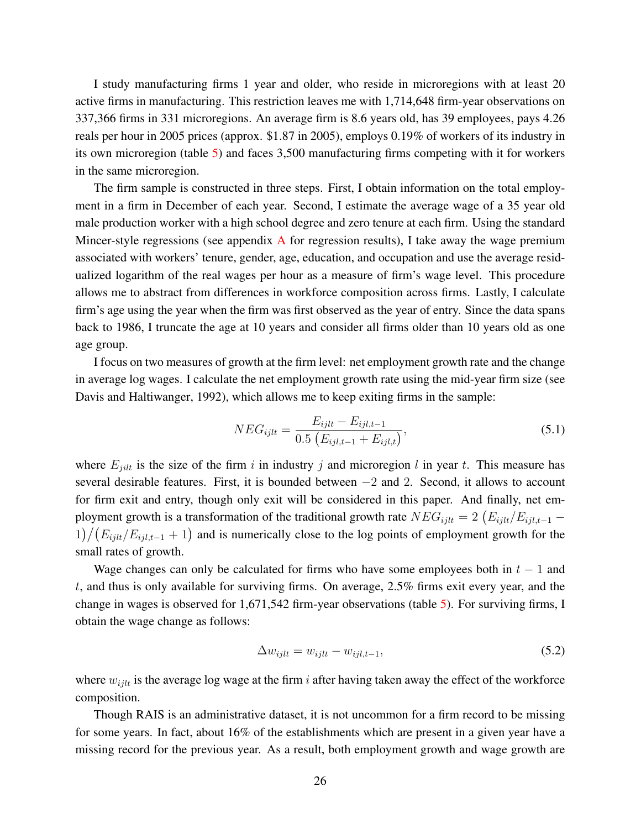I study manufacturing firms 1 year and older, who reside in microregions with at least 20 active firms in manufacturing. This restriction leaves me with 1,714,648 firm-year observations on 337,366 firms in 331 microregions. An average firm is 8.6 years old, has 39 employees, pays 4.26 reals per hour in 2005 prices (approx. \$1.87 in 2005), employs 0.19% of workers of its industry in its own microregion (table [5\)](#page-43-0) and faces 3,500 manufacturing firms competing with it for workers in the same microregion.

The firm sample is constructed in three steps. First, I obtain information on the total employment in a firm in December of each year. Second, I estimate the average wage of a 35 year old male production worker with a high school degree and zero tenure at each firm. Using the standard Mincer-style regressions (see appendix  $\bf{A}$  $\bf{A}$  $\bf{A}$  for regression results), I take away the wage premium associated with workers' tenure, gender, age, education, and occupation and use the average residualized logarithm of the real wages per hour as a measure of firm's wage level. This procedure allows me to abstract from differences in workforce composition across firms. Lastly, I calculate firm's age using the year when the firm was first observed as the year of entry. Since the data spans back to 1986, I truncate the age at 10 years and consider all firms older than 10 years old as one age group.

I focus on two measures of growth at the firm level: net employment growth rate and the change in average log wages. I calculate the net employment growth rate using the mid-year firm size (see [Davis and Haltiwanger,](#page-37-14) [1992\)](#page-37-14), which allows me to keep exiting firms in the sample:

$$
NEG_{ijlt} = \frac{E_{ijlt} - E_{ijlt-1}}{0.5 \left( E_{ijlt-1} + E_{ijlt} \right)},
$$
\n(5.1)

where  $E_{jilt}$  is the size of the firm i in industry j and microregion l in year t. This measure has several desirable features. First, it is bounded between  $-2$  and 2. Second, it allows to account for firm exit and entry, though only exit will be considered in this paper. And finally, net employment growth is a transformation of the traditional growth rate  $NEG_{ijlt} = 2 (E_{ijlt}/E_{ijlt-1} 1/(E_{ijlt}/E_{ijlt-1}+1)$  and is numerically close to the log points of employment growth for the small rates of growth.

Wage changes can only be calculated for firms who have some employees both in  $t - 1$  and t, and thus is only available for surviving firms. On average, 2.5% firms exit every year, and the change in wages is observed for 1,671,542 firm-year observations (table [5\)](#page-43-0). For surviving firms, I obtain the wage change as follows:

$$
\Delta w_{ijlt} = w_{ijlt} - w_{ijlt, t-1},\tag{5.2}
$$

where  $w_{i j l t}$  is the average log wage at the firm i after having taken away the effect of the workforce composition.

Though RAIS is an administrative dataset, it is not uncommon for a firm record to be missing for some years. In fact, about 16% of the establishments which are present in a given year have a missing record for the previous year. As a result, both employment growth and wage growth are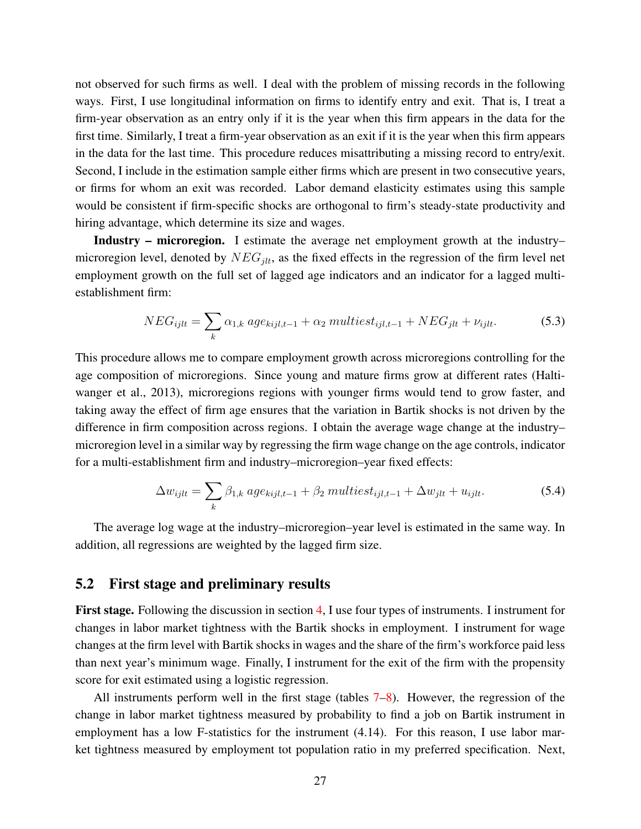not observed for such firms as well. I deal with the problem of missing records in the following ways. First, I use longitudinal information on firms to identify entry and exit. That is, I treat a firm-year observation as an entry only if it is the year when this firm appears in the data for the first time. Similarly, I treat a firm-year observation as an exit if it is the year when this firm appears in the data for the last time. This procedure reduces misattributing a missing record to entry/exit. Second, I include in the estimation sample either firms which are present in two consecutive years, or firms for whom an exit was recorded. Labor demand elasticity estimates using this sample would be consistent if firm-specific shocks are orthogonal to firm's steady-state productivity and hiring advantage, which determine its size and wages.

Industry – microregion. I estimate the average net employment growth at the industry– microregion level, denoted by  $NEG_{jlt}$ , as the fixed effects in the regression of the firm level net employment growth on the full set of lagged age indicators and an indicator for a lagged multiestablishment firm:

$$
NEG_{ijlt} = \sum_{k} \alpha_{1,k} age_{kijlt-1} + \alpha_2 \, multiest_{ijlt-1} + NEG_{jlt} + \nu_{ijlt}. \tag{5.3}
$$

This procedure allows me to compare employment growth across microregions controlling for the age composition of microregions. Since young and mature firms grow at different rates [\(Halti](#page-38-10)[wanger et al.,](#page-38-10) [2013\)](#page-38-10), microregions regions with younger firms would tend to grow faster, and taking away the effect of firm age ensures that the variation in Bartik shocks is not driven by the difference in firm composition across regions. I obtain the average wage change at the industry– microregion level in a similar way by regressing the firm wage change on the age controls, indicator for a multi-establishment firm and industry–microregion–year fixed effects:

$$
\Delta w_{ijlt} = \sum_{k} \beta_{1,k} \, age_{kijl,t-1} + \beta_2 \, multiest_{ijl,t-1} + \Delta w_{jlt} + u_{ijlt}. \tag{5.4}
$$

The average log wage at the industry–microregion–year level is estimated in the same way. In addition, all regressions are weighted by the lagged firm size.

#### <span id="page-26-0"></span>5.2 First stage and preliminary results

First stage. Following the discussion in section [4,](#page-18-0) I use four types of instruments. I instrument for changes in labor market tightness with the Bartik shocks in employment. I instrument for wage changes at the firm level with Bartik shocks in wages and the share of the firm's workforce paid less than next year's minimum wage. Finally, I instrument for the exit of the firm with the propensity score for exit estimated using a logistic regression.

All instruments perform well in the first stage (tables [7–](#page-45-0)[8\)](#page-45-1). However, the regression of the change in labor market tightness measured by probability to find a job on Bartik instrument in employment has a low F-statistics for the instrument (4.14). For this reason, I use labor market tightness measured by employment tot population ratio in my preferred specification. Next,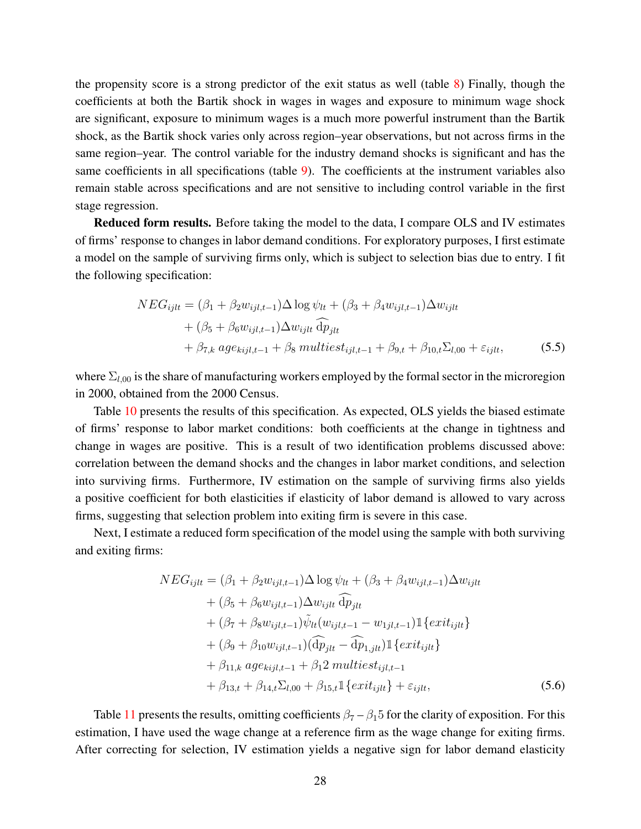the propensity score is a strong predictor of the exit status as well (table  $\delta$ ) Finally, though the coefficients at both the Bartik shock in wages in wages and exposure to minimum wage shock are significant, exposure to minimum wages is a much more powerful instrument than the Bartik shock, as the Bartik shock varies only across region–year observations, but not across firms in the same region–year. The control variable for the industry demand shocks is significant and has the same coefficients in all specifications (table [9\)](#page-46-0). The coefficients at the instrument variables also remain stable across specifications and are not sensitive to including control variable in the first stage regression.

Reduced form results. Before taking the model to the data, I compare OLS and IV estimates of firms' response to changes in labor demand conditions. For exploratory purposes, I first estimate a model on the sample of surviving firms only, which is subject to selection bias due to entry. I fit the following specification:

$$
NEG_{ijlt} = (\beta_1 + \beta_2 w_{ijlt, t-1}) \Delta \log \psi_{lt} + (\beta_3 + \beta_4 w_{ijlt, t-1}) \Delta w_{ijlt}
$$
  
+ (\beta\_5 + \beta\_6 w\_{ijlt, t-1}) \Delta w\_{ijlt} \widehat{dp}\_{jlt}  
+ \beta\_{7,k} age\_{kijlt, t-1} + \beta\_8 multiest\_{ijlt, t-1} + \beta\_{9,t} + \beta\_{10,t} \Sigma\_{l,00} + \varepsilon\_{ijlt}, (5.5)

where  $\Sigma_{l,00}$  is the share of manufacturing workers employed by the formal sector in the microregion in 2000, obtained from the 2000 Census.

Table [10](#page-47-0) presents the results of this specification. As expected, OLS yields the biased estimate of firms' response to labor market conditions: both coefficients at the change in tightness and change in wages are positive. This is a result of two identification problems discussed above: correlation between the demand shocks and the changes in labor market conditions, and selection into surviving firms. Furthermore, IV estimation on the sample of surviving firms also yields a positive coefficient for both elasticities if elasticity of labor demand is allowed to vary across firms, suggesting that selection problem into exiting firm is severe in this case.

Next, I estimate a reduced form specification of the model using the sample with both surviving and exiting firms:

$$
NEG_{ijlt} = (\beta_1 + \beta_2 w_{ijl,t-1}) \Delta \log \psi_{lt} + (\beta_3 + \beta_4 w_{ijl,t-1}) \Delta w_{ijlt} + (\beta_5 + \beta_6 w_{ijl,t-1}) \Delta w_{ijlt} \overline{\hat{dp}}_{jlt} + (\beta_7 + \beta_8 w_{ijl,t-1}) \tilde{\psi}_{lt}(w_{ijl,t-1} - w_{1jl,t-1}) \mathbb{1} \{exit_{ijlt} \} + (\beta_9 + \beta_{10} w_{ijl,t-1}) (\overline{\hat{dp}}_{jlt} - \overline{\hat{dp}}_{1,jlt}) \mathbb{1} \{ exit_{ijlt} \} + \beta_{11,k} age_{kijl,t-1} + \beta_1 2 \, multiest_{ijl,t-1} + \beta_{13,t} + \beta_{14,t} \Sigma_{l,00} + \beta_{15,t} \mathbb{1} \{ exit_{ijlt} \} + \varepsilon_{ijlt},
$$
\n(5.6)

Table [11](#page-48-0) presents the results, omitting coefficients  $\beta_7 - \beta_1 5$  for the clarity of exposition. For this estimation, I have used the wage change at a reference firm as the wage change for exiting firms. After correcting for selection, IV estimation yields a negative sign for labor demand elasticity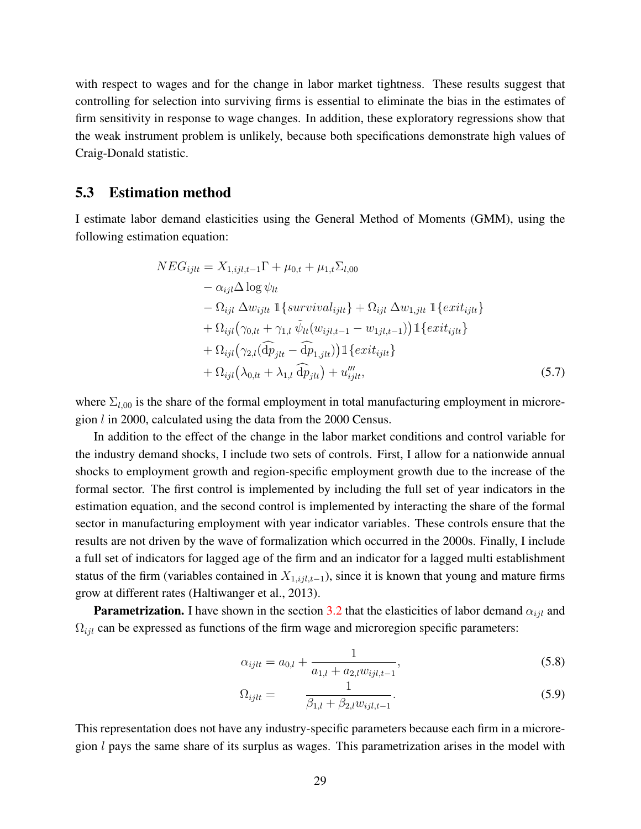with respect to wages and for the change in labor market tightness. These results suggest that controlling for selection into surviving firms is essential to eliminate the bias in the estimates of firm sensitivity in response to wage changes. In addition, these exploratory regressions show that the weak instrument problem is unlikely, because both specifications demonstrate high values of Craig-Donald statistic.

#### <span id="page-28-0"></span>5.3 Estimation method

I estimate labor demand elasticities using the General Method of Moments (GMM), using the following estimation equation:

<span id="page-28-1"></span>
$$
NEG_{ijlt} = X_{1,ijl,t-1}\Gamma + \mu_{0,t} + \mu_{1,t}\Sigma_{l,00}
$$
  
\n
$$
- \alpha_{ijl}\Delta \log \psi_{lt}
$$
  
\n
$$
- \Omega_{ijl} \Delta w_{ijlt} \mathbb{1}\left\{survival_{ijlt}\right\} + \Omega_{ijl} \Delta w_{1,jlt} \mathbb{1}\left\{exit_{ijlt}\right\}
$$
  
\n
$$
+ \Omega_{ijl}(\gamma_{0,lt} + \gamma_{1,l} \tilde{\psi}_{lt}(w_{ijl,t-1} - w_{1jl,t-1})) \mathbb{1}\left\{exit_{ijlt}\right\}
$$
  
\n
$$
+ \Omega_{ijl}(\gamma_{2,l}(\hat{dp}_{jlt} - \hat{dp}_{1,jlt})) \mathbb{1}\left\{exit_{ijlt}\right\}
$$
  
\n
$$
+ \Omega_{ijl}(\lambda_{0,lt} + \lambda_{1,l} \hat{dp}_{jlt}) + u_{ijlt}'''
$$
  
\n(5.7)

where  $\Sigma_{l,00}$  is the share of the formal employment in total manufacturing employment in microregion l in 2000, calculated using the data from the 2000 Census.

In addition to the effect of the change in the labor market conditions and control variable for the industry demand shocks, I include two sets of controls. First, I allow for a nationwide annual shocks to employment growth and region-specific employment growth due to the increase of the formal sector. The first control is implemented by including the full set of year indicators in the estimation equation, and the second control is implemented by interacting the share of the formal sector in manufacturing employment with year indicator variables. These controls ensure that the results are not driven by the wave of formalization which occurred in the 2000s. Finally, I include a full set of indicators for lagged age of the firm and an indicator for a lagged multi establishment status of the firm (variables contained in  $X_{1, ijl,t-1}$ ), since it is known that young and mature firms grow at different rates [\(Haltiwanger et al.,](#page-38-10) [2013\)](#page-38-10).

**Parametrization.** I have shown in the section [3.2](#page-16-0) that the elasticities of labor demand  $\alpha_{ijl}$  and  $\Omega_{ijl}$  can be expressed as functions of the firm wage and microregion specific parameters:

$$
\alpha_{ijlt} = a_{0,l} + \frac{1}{a_{1,l} + a_{2,l} w_{ijl,t-1}},
$$
\n(5.8)

$$
\Omega_{ijlt} = \frac{1}{\beta_{1,l} + \beta_{2,l} w_{ijl,t-1}}.
$$
\n(5.9)

This representation does not have any industry-specific parameters because each firm in a microregion  $l$  pays the same share of its surplus as wages. This parametrization arises in the model with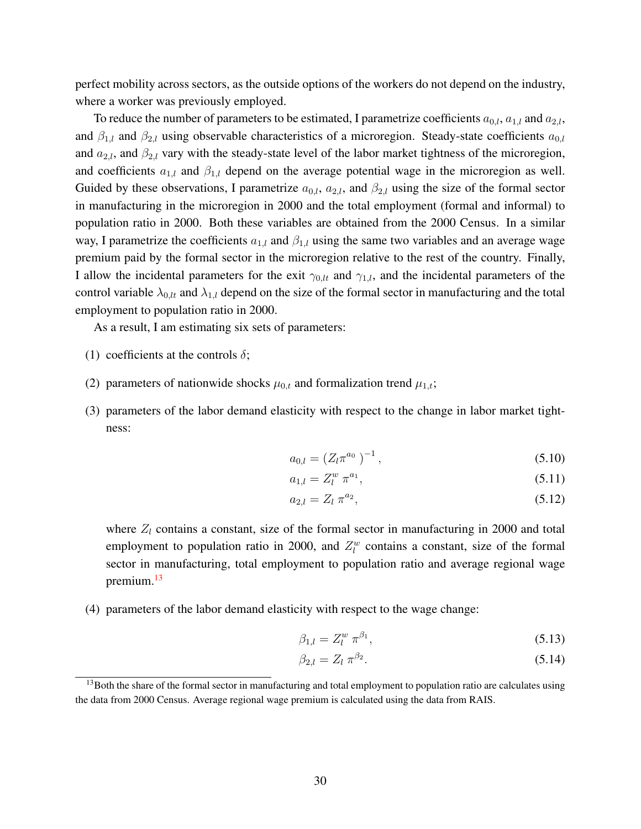perfect mobility across sectors, as the outside options of the workers do not depend on the industry, where a worker was previously employed.

To reduce the number of parameters to be estimated, I parametrize coefficients  $a_{0,l}$ ,  $a_{1,l}$  and  $a_{2,l}$ , and  $\beta_{1,l}$  and  $\beta_{2,l}$  using observable characteristics of a microregion. Steady-state coefficients  $a_{0,l}$ and  $a_{2,l}$ , and  $\beta_{2,l}$  vary with the steady-state level of the labor market tightness of the microregion, and coefficients  $a_{1,l}$  and  $\beta_{1,l}$  depend on the average potential wage in the microregion as well. Guided by these observations, I parametrize  $a_{0,l}$ ,  $a_{2,l}$ , and  $\beta_{2,l}$  using the size of the formal sector in manufacturing in the microregion in 2000 and the total employment (formal and informal) to population ratio in 2000. Both these variables are obtained from the 2000 Census. In a similar way, I parametrize the coefficients  $a_{1,l}$  and  $\beta_{1,l}$  using the same two variables and an average wage premium paid by the formal sector in the microregion relative to the rest of the country. Finally, I allow the incidental parameters for the exit  $\gamma_{0,l}$  and  $\gamma_{1,l}$ , and the incidental parameters of the control variable  $\lambda_{0,l}$  and  $\lambda_{1,l}$  depend on the size of the formal sector in manufacturing and the total employment to population ratio in 2000.

As a result, I am estimating six sets of parameters:

- (1) coefficients at the controls  $\delta$ ;
- (2) parameters of nationwide shocks  $\mu_{0,t}$  and formalization trend  $\mu_{1,t}$ ;
- (3) parameters of the labor demand elasticity with respect to the change in labor market tightness:

$$
a_{0,l} = (Z_l \pi^{a_0})^{-1}, \qquad (5.10)
$$

$$
a_{1,l} = Z_l^w \pi^{a_1}, \tag{5.11}
$$

$$
a_{2,l} = Z_l \, \pi^{a_2},\tag{5.12}
$$

where  $Z_l$  contains a constant, size of the formal sector in manufacturing in 2000 and total employment to population ratio in 2000, and  $Z_l^w$  contains a constant, size of the formal sector in manufacturing, total employment to population ratio and average regional wage premium.<sup>[13](#page-29-0)</sup>

(4) parameters of the labor demand elasticity with respect to the wage change:

$$
\beta_{1,l} = Z_l^w \pi^{\beta_1}, \tag{5.13}
$$

$$
\beta_{2,l} = Z_l \,\pi^{\beta_2}.\tag{5.14}
$$

<span id="page-29-0"></span><sup>&</sup>lt;sup>13</sup>Both the share of the formal sector in manufacturing and total employment to population ratio are calculates using the data from 2000 Census. Average regional wage premium is calculated using the data from RAIS.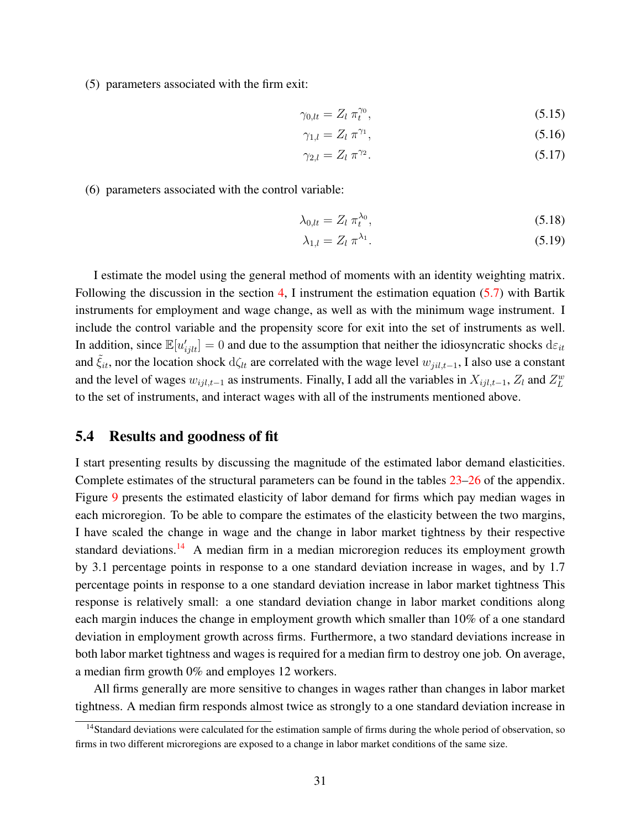(5) parameters associated with the firm exit:

$$
\gamma_{0,lt} = Z_l \; \pi_t^{\gamma_0},\tag{5.15}
$$

$$
\gamma_{1,l} = Z_l \pi^{\gamma_1},\tag{5.16}
$$

$$
\gamma_{2,l} = Z_l \; \pi^{\gamma_2}.\tag{5.17}
$$

(6) parameters associated with the control variable:

$$
\lambda_{0,lt} = Z_l \ \pi_t^{\lambda_0},\tag{5.18}
$$

$$
\lambda_{1,l} = Z_l \, \pi^{\lambda_1}.\tag{5.19}
$$

I estimate the model using the general method of moments with an identity weighting matrix. Following the discussion in the section [4,](#page-18-0) I instrument the estimation equation [\(5.7\)](#page-28-1) with Bartik instruments for employment and wage change, as well as with the minimum wage instrument. I include the control variable and the propensity score for exit into the set of instruments as well. In addition, since  $\mathbb{E}[u'_{ijlt}] = 0$  and due to the assumption that neither the idiosyncratic shocks  $d\varepsilon_{it}$ and  $\hat{\xi}_{it}$ , nor the location shock d $\zeta_{lt}$  are correlated with the wage level  $w_{jil,t-1}$ , I also use a constant and the level of wages  $w_{ijl,t-1}$  as instruments. Finally, I add all the variables in  $X_{ijl,t-1}$ ,  $Z_l$  and  $Z_L^w$ to the set of instruments, and interact wages with all of the instruments mentioned above.

#### 5.4 Results and goodness of fit

I start presenting results by discussing the magnitude of the estimated labor demand elasticities. Complete estimates of the structural parameters can be found in the tables [23](#page-68-0)[–26](#page-71-0) of the appendix. Figure [9](#page-62-0) presents the estimated elasticity of labor demand for firms which pay median wages in each microregion. To be able to compare the estimates of the elasticity between the two margins, I have scaled the change in wage and the change in labor market tightness by their respective standard deviations.<sup>[14](#page-30-0)</sup> A median firm in a median microregion reduces its employment growth by 3.1 percentage points in response to a one standard deviation increase in wages, and by 1.7 percentage points in response to a one standard deviation increase in labor market tightness This response is relatively small: a one standard deviation change in labor market conditions along each margin induces the change in employment growth which smaller than 10% of a one standard deviation in employment growth across firms. Furthermore, a two standard deviations increase in both labor market tightness and wages is required for a median firm to destroy one job. On average, a median firm growth 0% and employes 12 workers.

All firms generally are more sensitive to changes in wages rather than changes in labor market tightness. A median firm responds almost twice as strongly to a one standard deviation increase in

<span id="page-30-0"></span><sup>&</sup>lt;sup>14</sup>Standard deviations were calculated for the estimation sample of firms during the whole period of observation, so firms in two different microregions are exposed to a change in labor market conditions of the same size.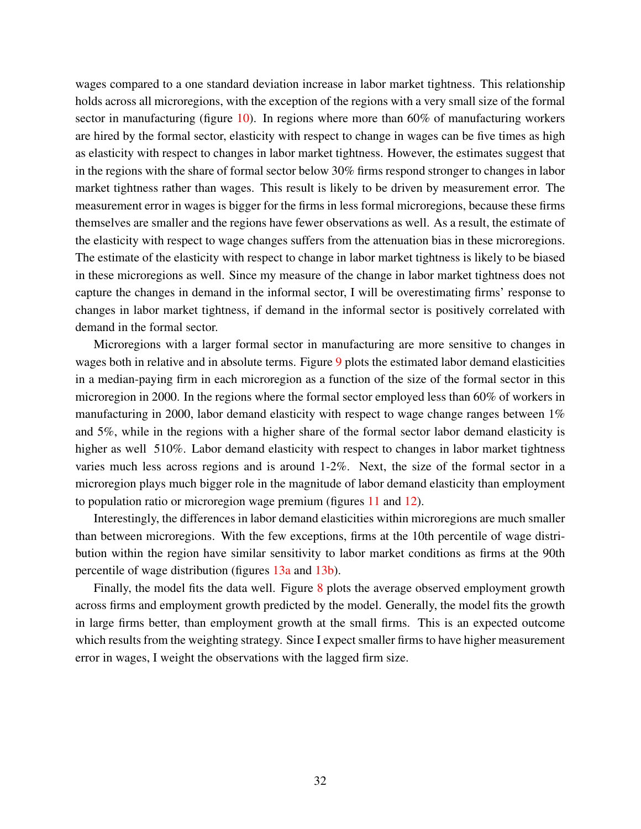wages compared to a one standard deviation increase in labor market tightness. This relationship holds across all microregions, with the exception of the regions with a very small size of the formal sector in manufacturing (figure  $10$ ). In regions where more than 60% of manufacturing workers are hired by the formal sector, elasticity with respect to change in wages can be five times as high as elasticity with respect to changes in labor market tightness. However, the estimates suggest that in the regions with the share of formal sector below 30% firms respond stronger to changes in labor market tightness rather than wages. This result is likely to be driven by measurement error. The measurement error in wages is bigger for the firms in less formal microregions, because these firms themselves are smaller and the regions have fewer observations as well. As a result, the estimate of the elasticity with respect to wage changes suffers from the attenuation bias in these microregions. The estimate of the elasticity with respect to change in labor market tightness is likely to be biased in these microregions as well. Since my measure of the change in labor market tightness does not capture the changes in demand in the informal sector, I will be overestimating firms' response to changes in labor market tightness, if demand in the informal sector is positively correlated with demand in the formal sector.

Microregions with a larger formal sector in manufacturing are more sensitive to changes in wages both in relative and in absolute terms. Figure [9](#page-62-0) plots the estimated labor demand elasticities in a median-paying firm in each microregion as a function of the size of the formal sector in this microregion in 2000. In the regions where the formal sector employed less than 60% of workers in manufacturing in 2000, labor demand elasticity with respect to wage change ranges between 1% and 5%, while in the regions with a higher share of the formal sector labor demand elasticity is higher as well 510%. Labor demand elasticity with respect to changes in labor market tightness varies much less across regions and is around 1-2%. Next, the size of the formal sector in a microregion plays much bigger role in the magnitude of labor demand elasticity than employment to population ratio or microregion wage premium (figures [11](#page-63-0) and [12\)](#page-63-1).

Interestingly, the differences in labor demand elasticities within microregions are much smaller than between microregions. With the few exceptions, firms at the 10th percentile of wage distribution within the region have similar sensitivity to labor market conditions as firms at the 90th percentile of wage distribution (figures [13a](#page-64-0) and [13b\)](#page-64-0).

Finally, the model fits the data well. Figure  $8$  plots the average observed employment growth across firms and employment growth predicted by the model. Generally, the model fits the growth in large firms better, than employment growth at the small firms. This is an expected outcome which results from the weighting strategy. Since I expect smaller firms to have higher measurement error in wages, I weight the observations with the lagged firm size.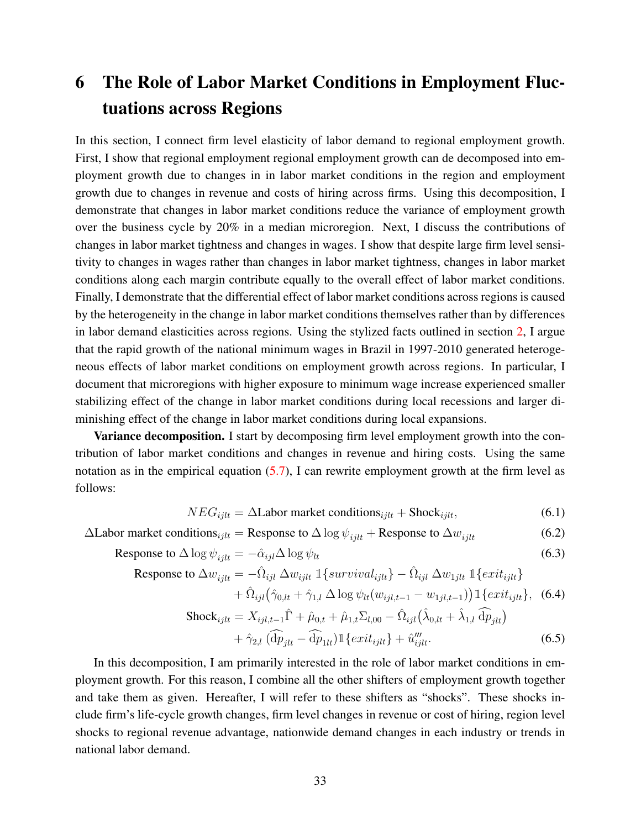## <span id="page-32-0"></span>6 The Role of Labor Market Conditions in Employment Fluctuations across Regions

In this section, I connect firm level elasticity of labor demand to regional employment growth. First, I show that regional employment regional employment growth can de decomposed into employment growth due to changes in in labor market conditions in the region and employment growth due to changes in revenue and costs of hiring across firms. Using this decomposition, I demonstrate that changes in labor market conditions reduce the variance of employment growth over the business cycle by 20% in a median microregion. Next, I discuss the contributions of changes in labor market tightness and changes in wages. I show that despite large firm level sensitivity to changes in wages rather than changes in labor market tightness, changes in labor market conditions along each margin contribute equally to the overall effect of labor market conditions. Finally, I demonstrate that the differential effect of labor market conditions across regions is caused by the heterogeneity in the change in labor market conditions themselves rather than by differences in labor demand elasticities across regions. Using the stylized facts outlined in section [2,](#page-5-0) I argue that the rapid growth of the national minimum wages in Brazil in 1997-2010 generated heterogeneous effects of labor market conditions on employment growth across regions. In particular, I document that microregions with higher exposure to minimum wage increase experienced smaller stabilizing effect of the change in labor market conditions during local recessions and larger diminishing effect of the change in labor market conditions during local expansions.

Variance decomposition. I start by decomposing firm level employment growth into the contribution of labor market conditions and changes in revenue and hiring costs. Using the same notation as in the empirical equation  $(5.7)$ , I can rewrite employment growth at the firm level as follows:

<span id="page-32-1"></span>
$$
NEG_{ijlt} = \Delta \text{Labor market conditions}_{ijlt} + \text{Shock}_{ijlt},\tag{6.1}
$$

 $\Delta$ Labor market conditions<sub>ijlt</sub> = Response to  $\Delta \log \psi_{i j l t}$  + Response to  $\Delta w_{i j l t}$  (6.2)

Response to 
$$
\Delta \log \psi_{ijlt} = -\hat{\alpha}_{ijl} \Delta \log \psi_{lt}
$$
 (6.3)

Response to 
$$
\Delta w_{ijlt} = -\hat{\Omega}_{ijl} \, \Delta w_{ijlt} \, \mathbb{1}\left\{\text{survival}_{ijlt}\right\} - \hat{\Omega}_{ijl} \, \Delta w_{1jlt} \, \mathbb{1}\left\{\text{exit}_{ijlt}\right\}
$$
  
  $+ \hat{\Omega}_{ijl} \left(\hat{\gamma}_{0,lt} + \hat{\gamma}_{1,l} \, \Delta \log \psi_{lt}(w_{ijl,t-1} - w_{1jl,t-1})\right) \mathbb{1}\left\{\text{exit}_{ijlt}\right\},$  (6.4)

$$
\text{Shock}_{ijlt} = X_{ijl,t-1}\hat{\Gamma} + \hat{\mu}_{0,t} + \hat{\mu}_{1,t}\Sigma_{l,00} - \hat{\Omega}_{ijl}(\hat{\lambda}_{0,lt} + \hat{\lambda}_{1,l}\widehat{\mathrm{dp}}_{jlt})
$$

$$
+ \hat{\gamma}_{2,l}(\widehat{\mathrm{dp}}_{jlt} - \widehat{\mathrm{dp}}_{1lt}) \mathbb{1}\lbrace ext_{ijlt} \rbrace + \hat{u}_{ijlt}^{\prime\prime}.
$$
 (6.5)

In this decomposition, I am primarily interested in the role of labor market conditions in employment growth. For this reason, I combine all the other shifters of employment growth together and take them as given. Hereafter, I will refer to these shifters as "shocks". These shocks include firm's life-cycle growth changes, firm level changes in revenue or cost of hiring, region level shocks to regional revenue advantage, nationwide demand changes in each industry or trends in national labor demand.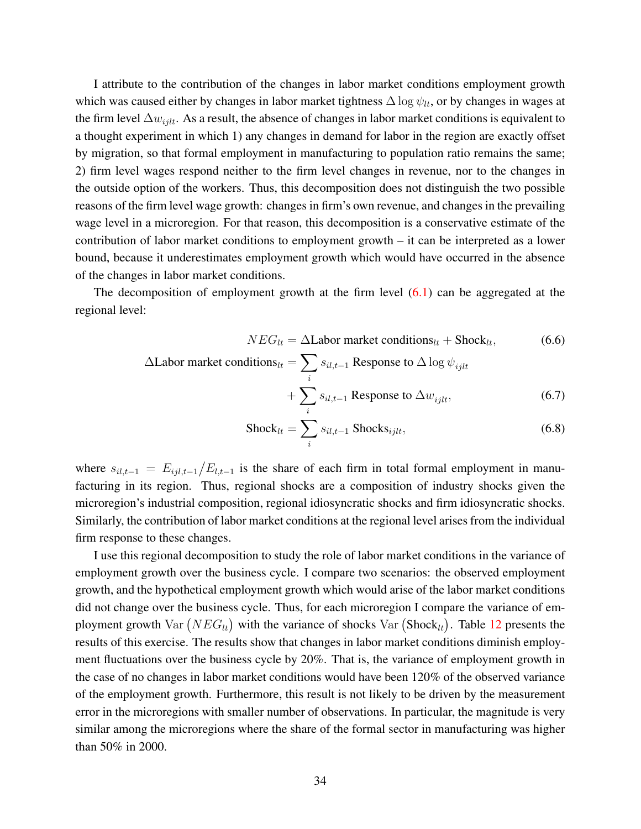I attribute to the contribution of the changes in labor market conditions employment growth which was caused either by changes in labor market tightness  $\Delta \log \psi_{lt}$ , or by changes in wages at the firm level  $\Delta w_{ijlt}$ . As a result, the absence of changes in labor market conditions is equivalent to a thought experiment in which 1) any changes in demand for labor in the region are exactly offset by migration, so that formal employment in manufacturing to population ratio remains the same; 2) firm level wages respond neither to the firm level changes in revenue, nor to the changes in the outside option of the workers. Thus, this decomposition does not distinguish the two possible reasons of the firm level wage growth: changes in firm's own revenue, and changes in the prevailing wage level in a microregion. For that reason, this decomposition is a conservative estimate of the contribution of labor market conditions to employment growth – it can be interpreted as a lower bound, because it underestimates employment growth which would have occurred in the absence of the changes in labor market conditions.

The decomposition of employment growth at the firm level  $(6.1)$  can be aggregated at the regional level:

$$
NEG_{lt} = \Delta \text{Labor market conditions}_{lt} + \text{Shock}_{lt}, \tag{6.6}
$$

$$
\Delta \text{Labor market conditions}_{lt} = \sum_{i} s_{il,t-1} \text{ Response to } \Delta \log \psi_{ijlt} + \sum_{i} s_{il,t-1} \text{Response to } \Delta w_{ijlt}, \qquad (6.7)
$$

$$
Shock_{lt} = \sum_{i} s_{il,t-1} Shocks_{ijlt},
$$
\n(6.8)

where  $s_{il,t-1} = E_{ijl,t-1}/E_{l,t-1}$  is the share of each firm in total formal employment in manufacturing in its region. Thus, regional shocks are a composition of industry shocks given the microregion's industrial composition, regional idiosyncratic shocks and firm idiosyncratic shocks. Similarly, the contribution of labor market conditions at the regional level arises from the individual firm response to these changes.

I use this regional decomposition to study the role of labor market conditions in the variance of employment growth over the business cycle. I compare two scenarios: the observed employment growth, and the hypothetical employment growth which would arise of the labor market conditions did not change over the business cycle. Thus, for each microregion I compare the variance of employment growth  $\text{Var}(NEG_{lt})$  with the variance of shocks  $\text{Var}( \text{Shock}_{lt})$ . Table [12](#page-49-0) presents the results of this exercise. The results show that changes in labor market conditions diminish employment fluctuations over the business cycle by 20%. That is, the variance of employment growth in the case of no changes in labor market conditions would have been 120% of the observed variance of the employment growth. Furthermore, this result is not likely to be driven by the measurement error in the microregions with smaller number of observations. In particular, the magnitude is very similar among the microregions where the share of the formal sector in manufacturing was higher than 50% in 2000.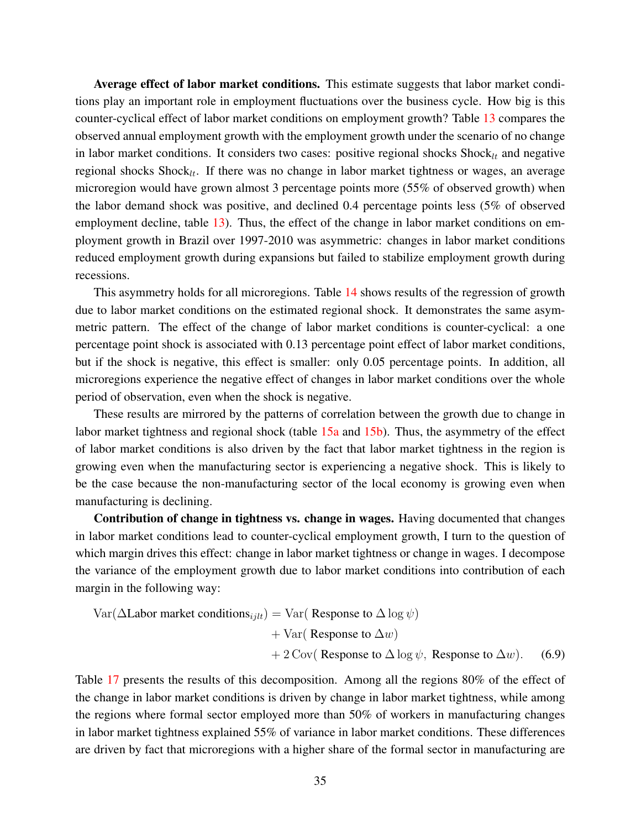Average effect of labor market conditions. This estimate suggests that labor market conditions play an important role in employment fluctuations over the business cycle. How big is this counter-cyclical effect of labor market conditions on employment growth? Table [13](#page-50-0) compares the observed annual employment growth with the employment growth under the scenario of no change in labor market conditions. It considers two cases: positive regional shocks  $\text{Shock}_{lt}$  and negative regional shocks  $\text{Shock}_{lt}$ . If there was no change in labor market tightness or wages, an average microregion would have grown almost 3 percentage points more (55% of observed growth) when the labor demand shock was positive, and declined 0.4 percentage points less (5% of observed employment decline, table [13\)](#page-50-0). Thus, the effect of the change in labor market conditions on employment growth in Brazil over 1997-2010 was asymmetric: changes in labor market conditions reduced employment growth during expansions but failed to stabilize employment growth during recessions.

This asymmetry holds for all microregions. Table [14](#page-51-0) shows results of the regression of growth due to labor market conditions on the estimated regional shock. It demonstrates the same asymmetric pattern. The effect of the change of labor market conditions is counter-cyclical: a one percentage point shock is associated with 0.13 percentage point effect of labor market conditions, but if the shock is negative, this effect is smaller: only 0.05 percentage points. In addition, all microregions experience the negative effect of changes in labor market conditions over the whole period of observation, even when the shock is negative.

These results are mirrored by the patterns of correlation between the growth due to change in labor market tightness and regional shock (table [15a](#page-52-0) and [15b\)](#page-52-0). Thus, the asymmetry of the effect of labor market conditions is also driven by the fact that labor market tightness in the region is growing even when the manufacturing sector is experiencing a negative shock. This is likely to be the case because the non-manufacturing sector of the local economy is growing even when manufacturing is declining.

Contribution of change in tightness vs. change in wages. Having documented that changes in labor market conditions lead to counter-cyclical employment growth, I turn to the question of which margin drives this effect: change in labor market tightness or change in wages. I decompose the variance of the employment growth due to labor market conditions into contribution of each margin in the following way:

$$
Var(\Delta \text{Labor market conditions}_{ijlt}) = Var(\text{ Response to } \Delta \log \psi)
$$
  
+ 
$$
Var(\text{Response to } \Delta w)
$$
  
+ 
$$
2 \text{Cov}(\text{Response to } \Delta \log \psi, \text{ Response to } \Delta w).
$$
 (6.9)

Table [17](#page-54-0) presents the results of this decomposition. Among all the regions 80% of the effect of the change in labor market conditions is driven by change in labor market tightness, while among the regions where formal sector employed more than 50% of workers in manufacturing changes in labor market tightness explained 55% of variance in labor market conditions. These differences are driven by fact that microregions with a higher share of the formal sector in manufacturing are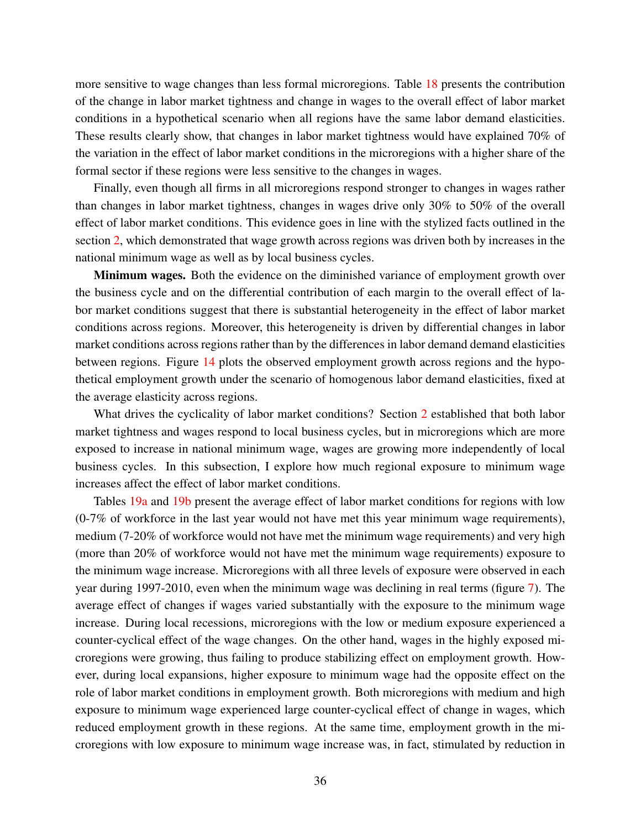more sensitive to wage changes than less formal microregions. Table [18](#page-54-1) presents the contribution of the change in labor market tightness and change in wages to the overall effect of labor market conditions in a hypothetical scenario when all regions have the same labor demand elasticities. These results clearly show, that changes in labor market tightness would have explained 70% of the variation in the effect of labor market conditions in the microregions with a higher share of the formal sector if these regions were less sensitive to the changes in wages.

Finally, even though all firms in all microregions respond stronger to changes in wages rather than changes in labor market tightness, changes in wages drive only 30% to 50% of the overall effect of labor market conditions. This evidence goes in line with the stylized facts outlined in the section [2,](#page-5-0) which demonstrated that wage growth across regions was driven both by increases in the national minimum wage as well as by local business cycles.

Minimum wages. Both the evidence on the diminished variance of employment growth over the business cycle and on the differential contribution of each margin to the overall effect of labor market conditions suggest that there is substantial heterogeneity in the effect of labor market conditions across regions. Moreover, this heterogeneity is driven by differential changes in labor market conditions across regions rather than by the differences in labor demand demand elasticities between regions. Figure [14](#page-65-0) plots the observed employment growth across regions and the hypothetical employment growth under the scenario of homogenous labor demand elasticities, fixed at the average elasticity across regions.

What drives the cyclicality of labor market conditions? Section [2](#page-5-0) established that both labor market tightness and wages respond to local business cycles, but in microregions which are more exposed to increase in national minimum wage, wages are growing more independently of local business cycles. In this subsection, I explore how much regional exposure to minimum wage increases affect the effect of labor market conditions.

Tables [19a](#page-55-0) and [19b](#page-55-0) present the average effect of labor market conditions for regions with low (0-7% of workforce in the last year would not have met this year minimum wage requirements), medium (7-20% of workforce would not have met the minimum wage requirements) and very high (more than 20% of workforce would not have met the minimum wage requirements) exposure to the minimum wage increase. Microregions with all three levels of exposure were observed in each year during 1997-2010, even when the minimum wage was declining in real terms (figure [7\)](#page-61-0). The average effect of changes if wages varied substantially with the exposure to the minimum wage increase. During local recessions, microregions with the low or medium exposure experienced a counter-cyclical effect of the wage changes. On the other hand, wages in the highly exposed microregions were growing, thus failing to produce stabilizing effect on employment growth. However, during local expansions, higher exposure to minimum wage had the opposite effect on the role of labor market conditions in employment growth. Both microregions with medium and high exposure to minimum wage experienced large counter-cyclical effect of change in wages, which reduced employment growth in these regions. At the same time, employment growth in the microregions with low exposure to minimum wage increase was, in fact, stimulated by reduction in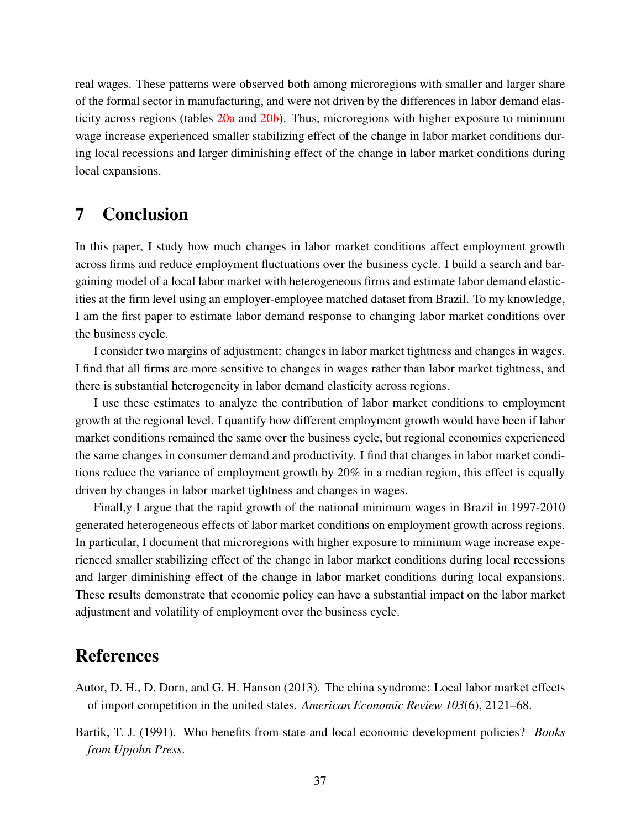real wages. These patterns were observed both among microregions with smaller and larger share of the formal sector in manufacturing, and were not driven by the differences in labor demand elasticity across regions (tables [20a](#page-56-0) and [20b\)](#page-56-0). Thus, microregions with higher exposure to minimum wage increase experienced smaller stabilizing effect of the change in labor market conditions during local recessions and larger diminishing effect of the change in labor market conditions during local expansions.

### 7 Conclusion

In this paper, I study how much changes in labor market conditions affect employment growth across firms and reduce employment fluctuations over the business cycle. I build a search and bargaining model of a local labor market with heterogeneous firms and estimate labor demand elasticities at the firm level using an employer-employee matched dataset from Brazil. To my knowledge, I am the first paper to estimate labor demand response to changing labor market conditions over the business cycle.

I consider two margins of adjustment: changes in labor market tightness and changes in wages. I find that all firms are more sensitive to changes in wages rather than labor market tightness, and there is substantial heterogeneity in labor demand elasticity across regions.

I use these estimates to analyze the contribution of labor market conditions to employment growth at the regional level. I quantify how different employment growth would have been if labor market conditions remained the same over the business cycle, but regional economies experienced the same changes in consumer demand and productivity. I find that changes in labor market conditions reduce the variance of employment growth by 20% in a median region, this effect is equally driven by changes in labor market tightness and changes in wages.

Finall,y I argue that the rapid growth of the national minimum wages in Brazil in 1997-2010 generated heterogeneous effects of labor market conditions on employment growth across regions. In particular, I document that microregions with higher exposure to minimum wage increase experienced smaller stabilizing effect of the change in labor market conditions during local recessions and larger diminishing effect of the change in labor market conditions during local expansions. These results demonstrate that economic policy can have a substantial impact on the labor market adjustment and volatility of employment over the business cycle.

### References

- Autor, D. H., D. Dorn, and G. H. Hanson (2013). The china syndrome: Local labor market effects of import competition in the united states. *American Economic Review 103*(6), 2121–68.
- Bartik, T. J. (1991). Who benefits from state and local economic development policies? *Books from Upjohn Press*.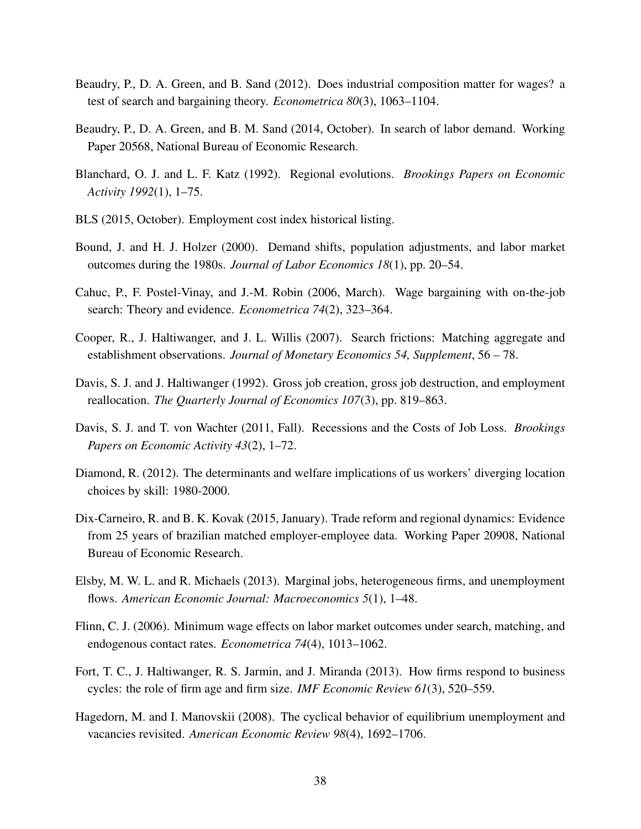- Beaudry, P., D. A. Green, and B. Sand (2012). Does industrial composition matter for wages? a test of search and bargaining theory. *Econometrica 80*(3), 1063–1104.
- Beaudry, P., D. A. Green, and B. M. Sand (2014, October). In search of labor demand. Working Paper 20568, National Bureau of Economic Research.
- Blanchard, O. J. and L. F. Katz (1992). Regional evolutions. *Brookings Papers on Economic Activity 1992*(1), 1–75.
- BLS (2015, October). Employment cost index historical listing.
- Bound, J. and H. J. Holzer (2000). Demand shifts, population adjustments, and labor market outcomes during the 1980s. *Journal of Labor Economics 18*(1), pp. 20–54.
- Cahuc, P., F. Postel-Vinay, and J.-M. Robin (2006, March). Wage bargaining with on-the-job search: Theory and evidence. *Econometrica 74*(2), 323–364.
- Cooper, R., J. Haltiwanger, and J. L. Willis (2007). Search frictions: Matching aggregate and establishment observations. *Journal of Monetary Economics 54, Supplement*, 56 – 78.
- Davis, S. J. and J. Haltiwanger (1992). Gross job creation, gross job destruction, and employment reallocation. *The Quarterly Journal of Economics 107*(3), pp. 819–863.
- Davis, S. J. and T. von Wachter (2011, Fall). Recessions and the Costs of Job Loss. *Brookings Papers on Economic Activity 43*(2), 1–72.
- Diamond, R. (2012). The determinants and welfare implications of us workers' diverging location choices by skill: 1980-2000.
- Dix-Carneiro, R. and B. K. Kovak (2015, January). Trade reform and regional dynamics: Evidence from 25 years of brazilian matched employer-employee data. Working Paper 20908, National Bureau of Economic Research.
- Elsby, M. W. L. and R. Michaels (2013). Marginal jobs, heterogeneous firms, and unemployment flows. *American Economic Journal: Macroeconomics 5*(1), 1–48.
- Flinn, C. J. (2006). Minimum wage effects on labor market outcomes under search, matching, and endogenous contact rates. *Econometrica 74*(4), 1013–1062.
- Fort, T. C., J. Haltiwanger, R. S. Jarmin, and J. Miranda (2013). How firms respond to business cycles: the role of firm age and firm size. *IMF Economic Review 61*(3), 520–559.
- Hagedorn, M. and I. Manovskii (2008). The cyclical behavior of equilibrium unemployment and vacancies revisited. *American Economic Review 98*(4), 1692–1706.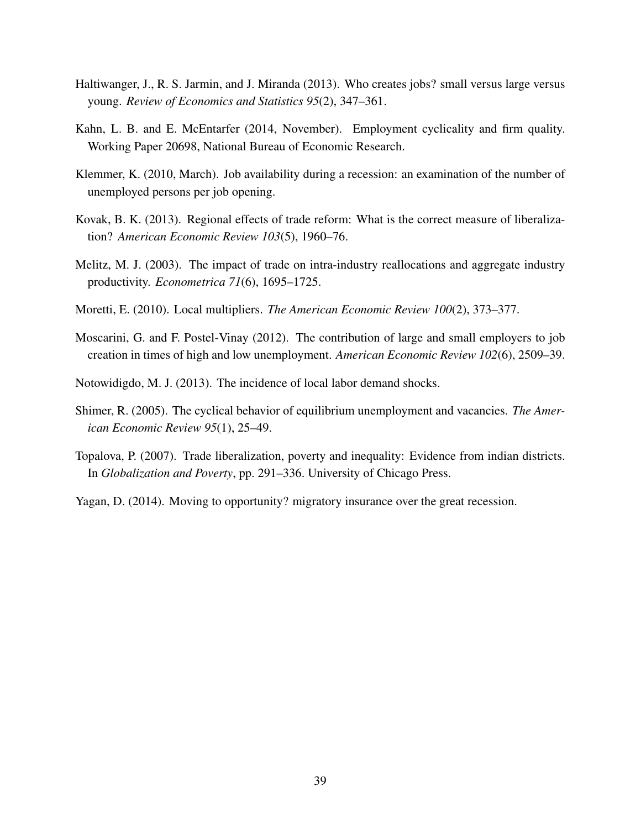- Haltiwanger, J., R. S. Jarmin, and J. Miranda (2013). Who creates jobs? small versus large versus young. *Review of Economics and Statistics 95*(2), 347–361.
- Kahn, L. B. and E. McEntarfer (2014, November). Employment cyclicality and firm quality. Working Paper 20698, National Bureau of Economic Research.
- Klemmer, K. (2010, March). Job availability during a recession: an examination of the number of unemployed persons per job opening.
- Kovak, B. K. (2013). Regional effects of trade reform: What is the correct measure of liberalization? *American Economic Review 103*(5), 1960–76.
- Melitz, M. J. (2003). The impact of trade on intra-industry reallocations and aggregate industry productivity. *Econometrica 71*(6), 1695–1725.
- Moretti, E. (2010). Local multipliers. *The American Economic Review 100*(2), 373–377.
- Moscarini, G. and F. Postel-Vinay (2012). The contribution of large and small employers to job creation in times of high and low unemployment. *American Economic Review 102*(6), 2509–39.
- Notowidigdo, M. J. (2013). The incidence of local labor demand shocks.
- Shimer, R. (2005). The cyclical behavior of equilibrium unemployment and vacancies. *The American Economic Review 95*(1), 25–49.
- Topalova, P. (2007). Trade liberalization, poverty and inequality: Evidence from indian districts. In *Globalization and Poverty*, pp. 291–336. University of Chicago Press.
- Yagan, D. (2014). Moving to opportunity? migratory insurance over the great recession.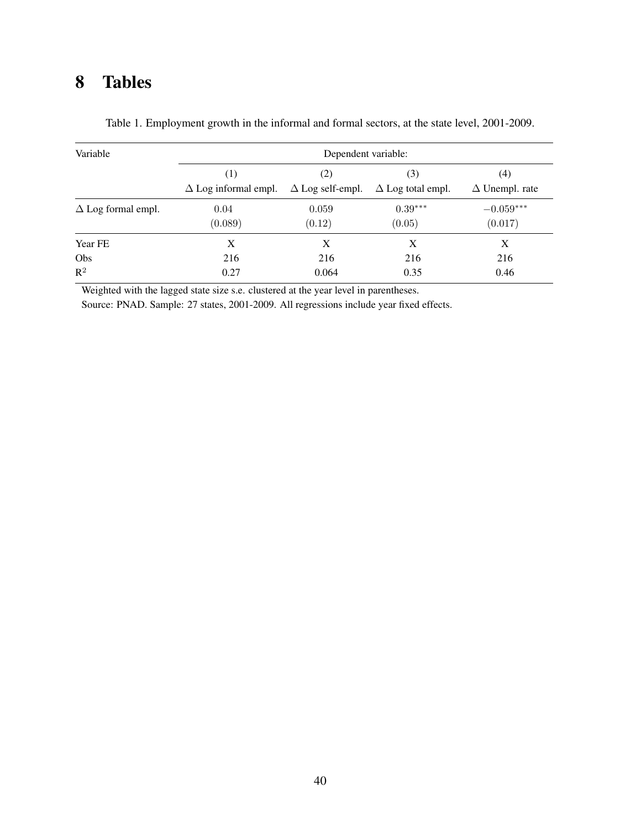## 8 Tables

| Variable                  |                                    | Dependent variable: |                                                         |                                            |
|---------------------------|------------------------------------|---------------------|---------------------------------------------------------|--------------------------------------------|
|                           | (1)<br>$\Delta$ Log informal empl. | (2)                 | (3)<br>$\Delta$ Log self-empl. $\Delta$ Log total empl. | $\left( 4\right)$<br>$\Delta$ Unempl. rate |
| $\Delta$ Log formal empl. | 0.04<br>(0.089)                    | 0.059<br>(0.12)     | $0.39***$<br>(0.05)                                     | $-0.059***$<br>(0.017)                     |
| Year FE                   | Χ                                  | X                   | X                                                       | Х                                          |
| Obs<br>$R^2$              | 216<br>0.27                        | 216<br>0.064        | 216<br>0.35                                             | 216<br>0.46                                |

Table 1. Employment growth in the informal and formal sectors, at the state level, 2001-2009.

Weighted with the lagged state size s.e. clustered at the year level in parentheses.

Source: PNAD. Sample: 27 states, 2001-2009. All regressions include year fixed effects.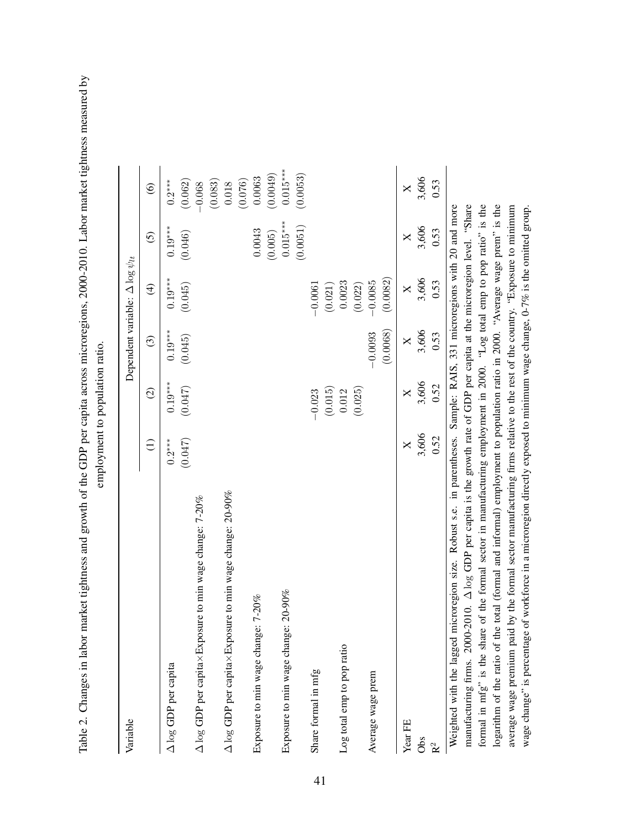Table 2. Changes in labor market tightness and growth of the GDP per capita across microregions, 2000-2010. Labor market tightness measured by Table 2. Changes in labor market tightness and growth of the GDP per capita across microregions, 2000-2010. Labor market tightness measured by employment to population ratio.

| Variable                                                                                                                           |           |           |           | Dependent variable: $\Delta \log \psi_{lt}$ |                |                   |
|------------------------------------------------------------------------------------------------------------------------------------|-----------|-----------|-----------|---------------------------------------------|----------------|-------------------|
|                                                                                                                                    | $\ominus$ | $\odot$   | $\odot$   | $\widehat{\mathfrak{t}}$                    | $\overline{6}$ | $\widehat{\odot}$ |
| $\Delta \log$ GDP per capita                                                                                                       | $0.2***$  | $0.19***$ | $0.19***$ | $0.19***$                                   | $0.19***$      | $0.2***$          |
|                                                                                                                                    | (0.047)   | (0.047)   | (0.045)   | (0.045)                                     | (0.046)        | (0.062)           |
| $\Delta$ log GDP per capita $\times$ Exposure to min wage change: 7-20%                                                            |           |           |           |                                             |                | $-0.068$          |
|                                                                                                                                    |           |           |           |                                             |                | (0.083)           |
| $\Delta$ log GDP per capitax Exposure to min wage change: 20-90%                                                                   |           |           |           |                                             |                | (0.076)<br>0.018  |
| Exposure to min wage change: 7-20%                                                                                                 |           |           |           |                                             | 0.0043         | 0.0063            |
|                                                                                                                                    |           |           |           |                                             | (0.005)        | (0.0049)          |
| Exposure to min wage change: 20-90%                                                                                                |           |           |           |                                             | $0.015***$     | $0.015***$        |
|                                                                                                                                    |           |           |           |                                             | (0.0051)       | (0.0053)          |
| Share formal in mfg                                                                                                                |           | $-0.023$  |           | $-0.0061$                                   |                |                   |
|                                                                                                                                    |           | (0.015)   |           | (0.021)                                     |                |                   |
| Log total emp to pop ratio                                                                                                         |           | 0.012     |           | 0.0023                                      |                |                   |
|                                                                                                                                    |           | (0.025)   |           | (0.022)                                     |                |                   |
| Average wage prem                                                                                                                  |           |           | $-0.0093$ | $-0.0085$                                   |                |                   |
|                                                                                                                                    |           |           | (0.0068)  | (0.0082)                                    |                |                   |
| Year FE                                                                                                                            | X         | X         | $\times$  | $\times$                                    | X              | X                 |
| Obs                                                                                                                                | 3,606     | 3,606     | 3,606     | 3,606                                       | 3,606          | 3,606             |
| $\mathbf{R}^2$                                                                                                                     | 0.52      | 0.52      | 0.53      | 0.53                                        | 0.53           | 0.53              |
| Weighted with the lagged microregion size. Robust s.e. in parentheses. Sample: RAIS, 331 microregions with 20 and more             |           |           |           |                                             |                |                   |
| manufacturing firms. 2000-2010. $\Delta \log$ GDP per capita is the growth rate of GDP per capita at the microregion level. "Share |           |           |           |                                             |                |                   |
| formal in mfg" is the share of the formal sector in manufacturing employment in 2000. "Log total emp to pop ratio" is the          |           |           |           |                                             |                |                   |
| logarithm of the ratio of the total (formal and informal) employment to population ratio in 2000. "Average wage prem" is the       |           |           |           |                                             |                |                   |
| average wage premium paid by the formal sector manufacturing firms relative to the rest of the country. "Exposure to minimum       |           |           |           |                                             |                |                   |

wage change" is percentage of workforce in a microregion directly exposed to minimum wage change, 0-7% is the omitted group.

wage change" is percentage of workforce in a microregion directly exposed to minimum wage change, 0-7% is the omitted group.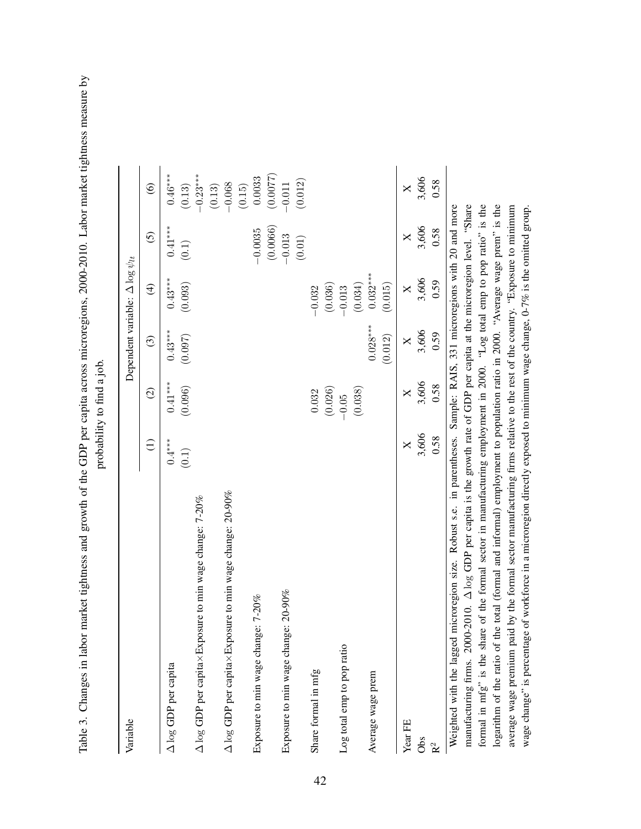Table 3. Changes in labor market tightness and growth of the GDP per capita across microregions, 2000-2010. Labor market tightness measure by Table 3. Changes in labor market tightness and growth of the GDP per capita across microregions, 2000-2010. Labor market tightness measure by probability to find a job.

| Variable                                                                                                                           |                   |                      | Dependent variable: $\Delta \log \psi_{lt}$ |                         |                    |                              |
|------------------------------------------------------------------------------------------------------------------------------------|-------------------|----------------------|---------------------------------------------|-------------------------|--------------------|------------------------------|
|                                                                                                                                    | $\ominus$         | $\odot$              | $\odot$                                     | $\widehat{\mathcal{L}}$ | $\overline{5}$     | $\widehat{\mathbf{e}}$       |
| A log GDP per capita                                                                                                               | $0.4***$<br>(0.1) | $0.41***$<br>(0.096) | $0.43***$<br>(0.097)                        | $0.43***$<br>(0.093)    | $0.41***$<br>(0.1) | $0.46***$<br>(0.13)          |
| $\Delta$ log GDP per capita $\times$ Exposure to min wage change: 7-20%                                                            |                   |                      |                                             |                         |                    | $-0.23***$                   |
| $\Delta$ log GDP per capitax Exposure to min wage change: 20-90%                                                                   |                   |                      |                                             |                         |                    | $-0.068$<br>(0.13)<br>(0.15) |
| Exposure to min wage change: 7-20%                                                                                                 |                   |                      |                                             |                         | $-0.0035$          | 0.0033                       |
|                                                                                                                                    |                   |                      |                                             |                         | (0.0066)           | (0.0077)                     |
| Exposure to min wage change: 20-90%                                                                                                |                   |                      |                                             |                         | $-0.013$<br>(0.01) | (0.012)<br>$-0.011$          |
| Share formal in mfg                                                                                                                |                   | 0.032                |                                             | $-0.032$                |                    |                              |
|                                                                                                                                    |                   | (0.026)              |                                             | (0.036)                 |                    |                              |
| Log total emp to pop ratio                                                                                                         |                   | $-0.05$              |                                             | $-0.013$                |                    |                              |
|                                                                                                                                    |                   | (0.038)              |                                             | (0.034)                 |                    |                              |
| Average wage prem                                                                                                                  |                   |                      | $0.028***$                                  | $0.032***$              |                    |                              |
|                                                                                                                                    |                   |                      | (0.012)                                     | (0.015)                 |                    |                              |
| Year FE                                                                                                                            | X                 | X                    | $\times$                                    | $\times$                | X                  | $\times$                     |
| Obs                                                                                                                                | 3,606             | 3,606                | 3,606                                       | 3,606                   | 3,606              | 3,606                        |
| R <sup>2</sup>                                                                                                                     | 0.58              | 0.58                 | 0.59                                        | 0.59                    | 0.58               | 0.58                         |
| microregion size. Robust s.e. in parentheses. Sample: RAIS, 331 microregions with 20 and more<br>Weighted with the lagged          |                   |                      |                                             |                         |                    |                              |
| manufacturing firms. 2000-2010. A log GDP per capita is the growth rate of GDP per capita at the microregion level. "Share         |                   |                      |                                             |                         |                    |                              |
| formal in mfg" is the share of the formal sector in manufacturing employment in 2000. "Log total emp to pop ratio" is the          |                   |                      |                                             |                         |                    |                              |
| ne total (formal and informal) employment to population ratio in 2000. "Average wage prem" is the<br>logarithm of the ratio of the |                   |                      |                                             |                         |                    |                              |
| average wage premium paid by the formal sector manufacturing firms relative to the rest of the country. "Exposure to minimum       |                   |                      |                                             |                         |                    |                              |

wage change" is percentage of workforce in a microregion directly exposed to minimum wage change, 0-7% is the omitted group.

wage change" is percentage of workforce in a microregion directly exposed to minimum wage change, 0-7% is the omitted group.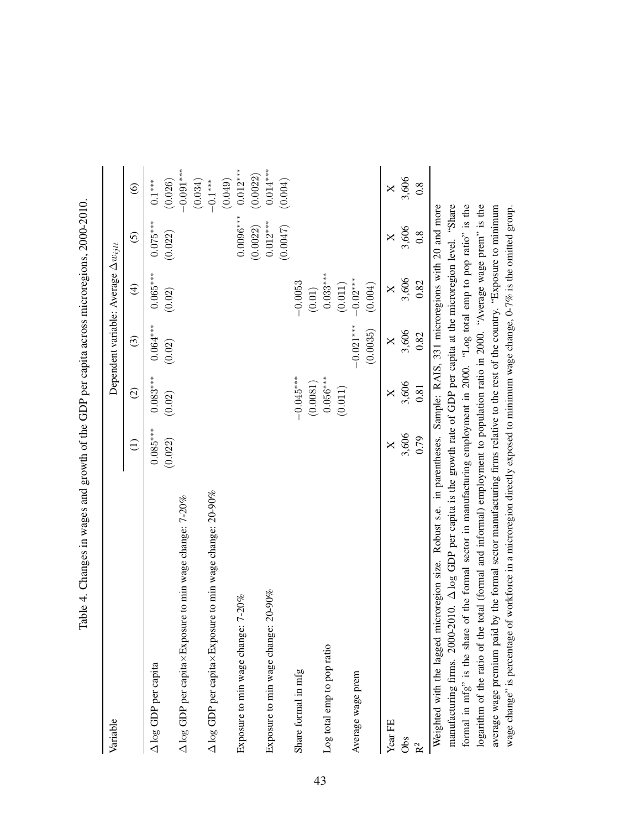| Variable                                                                                                                                                                                                                                                           |                       |                      |                      | Dependent variable: Average $\Delta w_{ijlt}$ |                        |                        |
|--------------------------------------------------------------------------------------------------------------------------------------------------------------------------------------------------------------------------------------------------------------------|-----------------------|----------------------|----------------------|-----------------------------------------------|------------------------|------------------------|
|                                                                                                                                                                                                                                                                    | $\widehat{\Xi}$       | $\widehat{c}$        | $\widehat{c}$        | $\widehat{\mathcal{F}}$                       | $\tilde{c}$            | $\widehat{\odot}$      |
| A log GDP per capita                                                                                                                                                                                                                                               | $0.085***$<br>(0.022) | $0.083***$<br>(0.02) | $0.064***$<br>(0.02) | $0.065***$<br>(0.02)                          | $0.075***$<br>(0.022)  | (0.026)<br>$0.1^{***}$ |
| $\Delta$ log GDP per capitax Exposure to min wage change: 7-20%                                                                                                                                                                                                    |                       |                      |                      |                                               |                        | $-0.091$ ***           |
| $\Delta$ log GDP per capitax Exposure to min wage change: 20-90%                                                                                                                                                                                                   |                       |                      |                      |                                               |                        | (0.034)<br>$-0.1***$   |
| e: 7-20%<br>Exposure to min wage chang                                                                                                                                                                                                                             |                       |                      |                      |                                               | $0.0096***$            | $0.012***$<br>(0.049)  |
| Exposure to min wage change: 20-90%                                                                                                                                                                                                                                |                       |                      |                      |                                               | $0.012***$<br>(0.0022) | $0.014***$<br>(0.0022) |
|                                                                                                                                                                                                                                                                    |                       |                      |                      |                                               | (0.0047)               | (0.004)                |
| Share formal in mfg                                                                                                                                                                                                                                                |                       | $-0.045***$          |                      | $-0.0053$                                     |                        |                        |
|                                                                                                                                                                                                                                                                    |                       | (0.0081)             |                      | (0.01)                                        |                        |                        |
| Log total emp to pop ratio                                                                                                                                                                                                                                         |                       | $0.056***$           |                      | $0.033***$                                    |                        |                        |
|                                                                                                                                                                                                                                                                    |                       | (0.011)              |                      | (0.011)                                       |                        |                        |
| Average wage prem                                                                                                                                                                                                                                                  |                       |                      | $-0.021***$          | $-0.02***$                                    |                        |                        |
|                                                                                                                                                                                                                                                                    |                       |                      | (0.0035)             | (0.004)                                       |                        |                        |
| Year FE                                                                                                                                                                                                                                                            | $\mathsf{X}$          | $\times$             | X                    | X                                             | ×                      | X                      |
| Obs                                                                                                                                                                                                                                                                | 3,606                 | 3,606                | 3,606                | 3,606                                         | 3,606                  | 3,606                  |
| R <sup>2</sup>                                                                                                                                                                                                                                                     | 0.79                  | 0.81                 | 0.82                 | 0.82                                          | $\overline{0.8}$       | $0.\overline{8}$       |
| manufacturing firms. $2000-2010$ . $\Delta \log$ GDP per capita is the growth rate of GDP per capita at the microregion level. "Share<br>microregion size. Robust s.e. in parentheses. Sample: RAIS, 331 microregions with 20 and more<br>Weighted with the lagged |                       |                      |                      |                                               |                        |                        |
| formal in mfg" is the share of the formal sector in manufacturing employment in 2000. "Log total emp to pop ratio" is the                                                                                                                                          |                       |                      |                      |                                               |                        |                        |
| logarithm of the ratio of the total (formal and informal) employment to population ratio in 2000. "Average wage prem" is the                                                                                                                                       |                       |                      |                      |                                               |                        |                        |
| average wage premium paid by the formal sector manufacturing firms relative to the rest of the country. "Exposure to minimum                                                                                                                                       |                       |                      |                      |                                               |                        |                        |

wage change" is percentage of workforce in a microregion directly exposed to minimum wage change, 0-7% is the omitted group.

wage change" is percentage of workforce in a microregion directly exposed to minimum wage change, 0-7% is the omitted group.

Table 4. Changes in wages and growth of the GDP per capita across microregions, 2000-2010. Table 4. Changes in wages and growth of the GDP per capita across microregions, 2000-2010.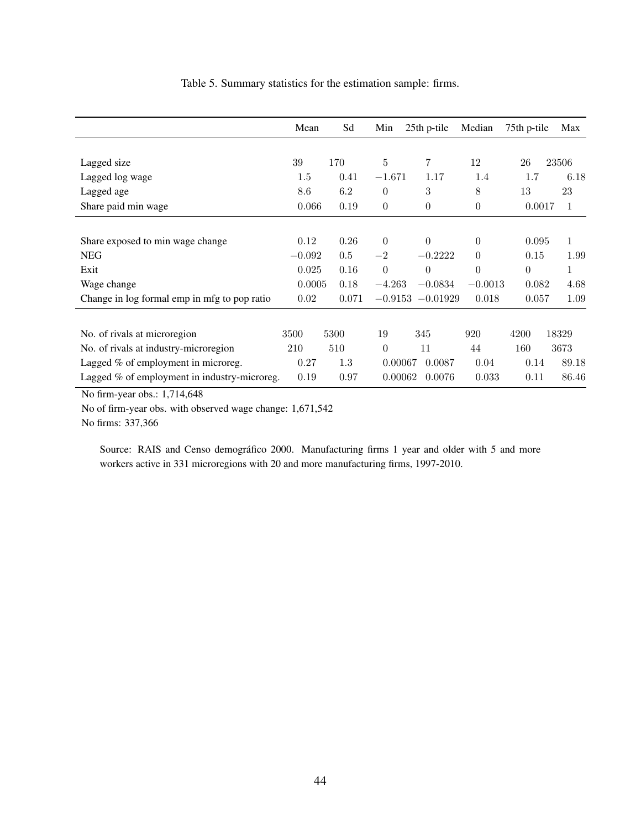|                                              | Mean     | Sd    | Min            | 25th p-tile         | Median    | 75th p-tile    | Max   |
|----------------------------------------------|----------|-------|----------------|---------------------|-----------|----------------|-------|
|                                              |          |       |                |                     |           |                |       |
| Lagged size                                  | 39       | 170   | $\overline{5}$ | 7                   | 12        | 26             | 23506 |
| Lagged log wage                              | 1.5      | 0.41  | $-1.671$       | 1.17                | 1.4       | 1.7            | 6.18  |
| Lagged age                                   | 8.6      | 6.2   | $\Omega$       | 3                   | 8         | 13             | 23    |
| Share paid min wage                          | 0.066    | 0.19  | $\theta$       | $\overline{0}$      | $\Omega$  | 0.0017         | 1     |
|                                              |          |       |                |                     |           |                |       |
| Share exposed to min wage change             | 0.12     | 0.26  | $\theta$       | $\Omega$            | $\theta$  | 0.095          | 1     |
| <b>NEG</b>                                   | $-0.092$ | 0.5   | $-2$           | $-0.2222$           | $\Omega$  | 0.15           | 1.99  |
| Exit                                         | 0.025    | 0.16  | $\theta$       | $\theta$            | $\theta$  | $\overline{0}$ | 1     |
| Wage change                                  | 0.0005   | 0.18  | $-4.263$       | $-0.0834$           | $-0.0013$ | 0.082          | 4.68  |
| Change in log formal emp in mfg to pop ratio | 0.02     | 0.071 |                | $-0.9153 - 0.01929$ | 0.018     | 0.057          | 1.09  |
|                                              |          |       |                |                     |           |                |       |
| No. of rivals at microregion                 | 3500     | 5300  | 19             | 345                 | 920       | 4200           | 18329 |
| No. of rivals at industry-microregion        | 210      | 510   | $\Omega$       | 11                  | 44        | 160            | 3673  |
| Lagged % of employment in microreg.          | 0.27     | 1.3   | 0.00067        | 0.0087              | 0.04      | 0.14           | 89.18 |
| Lagged % of employment in industry-microreg. | 0.19     | 0.97  | 0.00062        | 0.0076              | 0.033     | 0.11           | 86.46 |

Table 5. Summary statistics for the estimation sample: firms.

No firm-year obs.: 1,714,648

No of firm-year obs. with observed wage change: 1,671,542

No firms: 337,366

Source: RAIS and Censo demográfico 2000. Manufacturing firms 1 year and older with 5 and more workers active in 331 microregions with 20 and more manufacturing firms, 1997-2010.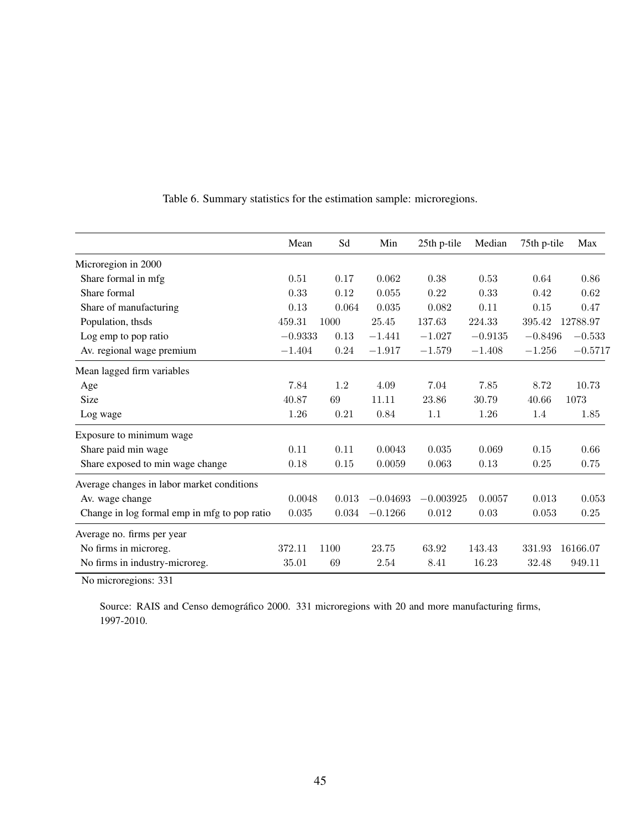|                                              | Mean      | Sd    | Min        | 25th p-tile | Median    | 75th p-tile | Max       |
|----------------------------------------------|-----------|-------|------------|-------------|-----------|-------------|-----------|
| Microregion in 2000                          |           |       |            |             |           |             |           |
| Share formal in mfg                          | 0.51      | 0.17  | 0.062      | 0.38        | 0.53      | 0.64        | 0.86      |
| Share formal                                 | 0.33      | 0.12  | 0.055      | 0.22        | 0.33      | 0.42        | 0.62      |
| Share of manufacturing                       | 0.13      | 0.064 | 0.035      | 0.082       | 0.11      | 0.15        | 0.47      |
| Population, thsds                            | 459.31    | 1000  | 25.45      | 137.63      | 224.33    | 395.42      | 12788.97  |
| Log emp to pop ratio                         | $-0.9333$ | 0.13  | $-1.441$   | $-1.027$    | $-0.9135$ | $-0.8496$   | $-0.533$  |
| Av. regional wage premium                    | $-1.404$  | 0.24  | $-1.917$   | $-1.579$    | $-1.408$  | $-1.256$    | $-0.5717$ |
| Mean lagged firm variables                   |           |       |            |             |           |             |           |
| Age                                          | 7.84      | 1.2   | 4.09       | 7.04        | 7.85      | 8.72        | 10.73     |
| Size                                         | 40.87     | 69    | 11.11      | 23.86       | 30.79     | 40.66       | 1073      |
| Log wage                                     | 1.26      | 0.21  | 0.84       | 1.1         | 1.26      | 1.4         | 1.85      |
| Exposure to minimum wage                     |           |       |            |             |           |             |           |
| Share paid min wage                          | 0.11      | 0.11  | 0.0043     | 0.035       | 0.069     | 0.15        | 0.66      |
| Share exposed to min wage change             | 0.18      | 0.15  | 0.0059     | 0.063       | 0.13      | 0.25        | 0.75      |
| Average changes in labor market conditions   |           |       |            |             |           |             |           |
| Av. wage change                              | 0.0048    | 0.013 | $-0.04693$ | $-0.003925$ | 0.0057    | 0.013       | 0.053     |
| Change in log formal emp in mfg to pop ratio | 0.035     | 0.034 | $-0.1266$  | 0.012       | 0.03      | 0.053       | 0.25      |
| Average no. firms per year                   |           |       |            |             |           |             |           |
| No firms in microreg.                        | 372.11    | 1100  | 23.75      | 63.92       | 143.43    | 331.93      | 16166.07  |
| No firms in industry-microreg.               | 35.01     | 69    | 2.54       | 8.41        | 16.23     | 32.48       | 949.11    |

Table 6. Summary statistics for the estimation sample: microregions.

No microregions: 331

Source: RAIS and Censo demográfico 2000. 331 microregions with 20 and more manufacturing firms, 1997-2010.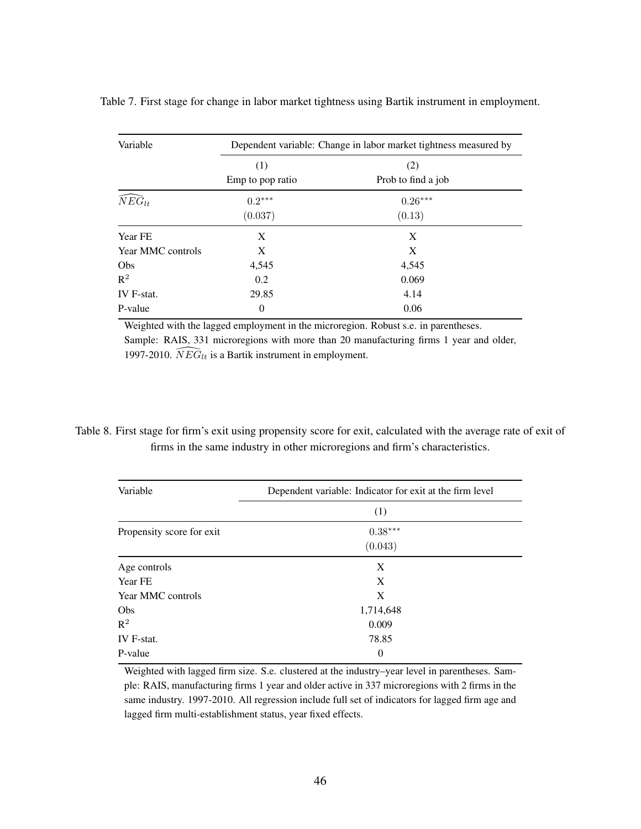| Variable             |                  | Dependent variable: Change in labor market tightness measured by |
|----------------------|------------------|------------------------------------------------------------------|
|                      | (1)              | (2)                                                              |
|                      | Emp to pop ratio | Prob to find a job                                               |
| $\widehat{NEG}_{lt}$ | $0.2***$         | $0.26***$                                                        |
|                      | (0.037)          | (0.13)                                                           |
| Year FE              | X                | X                                                                |
| Year MMC controls    | X                | X                                                                |
| Obs                  | 4,545            | 4,545                                                            |
| $R^2$                | 0.2              | 0.069                                                            |
| IV F-stat.           | 29.85            | 4.14                                                             |
| P-value              | $\theta$         | 0.06                                                             |

Table 7. First stage for change in labor market tightness using Bartik instrument in employment.

Weighted with the lagged employment in the microregion. Robust s.e. in parentheses. Sample: RAIS, 331 microregions with more than 20 manufacturing firms 1 year and older, 1997-2010.  $\widehat{NEG}_{lt}$  is a Bartik instrument in employment.

### Table 8. First stage for firm's exit using propensity score for exit, calculated with the average rate of exit of firms in the same industry in other microregions and firm's characteristics.

| Variable                  | Dependent variable: Indicator for exit at the firm level |
|---------------------------|----------------------------------------------------------|
|                           | (1)                                                      |
| Propensity score for exit | $0.38***$                                                |
|                           | (0.043)                                                  |
| Age controls              | X                                                        |
| Year FE                   | X                                                        |
| Year MMC controls         | X                                                        |
| Obs                       | 1,714,648                                                |
| $R^2$                     | 0.009                                                    |
| IV F-stat.                | 78.85                                                    |
| P-value                   | $\theta$                                                 |

Weighted with lagged firm size. S.e. clustered at the industry–year level in parentheses. Sample: RAIS, manufacturing firms 1 year and older active in 337 microregions with 2 firms in the same industry. 1997-2010. All regression include full set of indicators for lagged firm age and lagged firm multi-establishment status, year fixed effects.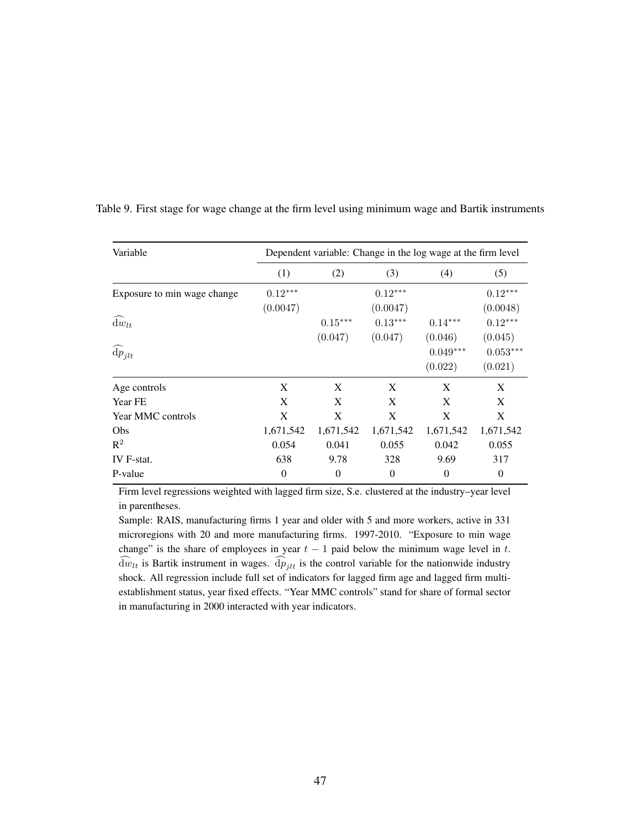| Variable                       |                       |                      | Dependent variable: Change in the log wage at the firm level |                       |                       |
|--------------------------------|-----------------------|----------------------|--------------------------------------------------------------|-----------------------|-----------------------|
|                                | (1)                   | (2)                  | (3)                                                          | (4)                   | (5)                   |
| Exposure to min wage change    | $0.12***$<br>(0.0047) |                      | $0.12***$<br>(0.0047)                                        |                       | $0.12***$<br>(0.0048) |
| $dw_{lt}$                      |                       | $0.15***$<br>(0.047) | $0.13***$<br>(0.047)                                         | $0.14***$<br>(0.046)  | $0.12***$<br>(0.045)  |
| $\widehat{\mathrm{d}} p_{jlt}$ |                       |                      |                                                              | $0.049***$<br>(0.022) | $0.053***$<br>(0.021) |
| Age controls                   | X                     | X                    | X                                                            | X                     | X                     |
| Year FE                        | X                     | X                    | X                                                            | X                     | X                     |
| Year MMC controls              | X                     | X                    | X                                                            | X                     | X                     |
| Obs                            | 1,671,542             | 1,671,542            | 1,671,542                                                    | 1,671,542             | 1,671,542             |
| $R^2$                          | 0.054                 | 0.041                | 0.055                                                        | 0.042                 | 0.055                 |
| IV F-stat.                     | 638                   | 9.78                 | 328                                                          | 9.69                  | 317                   |
| P-value                        | $\overline{0}$        | $\theta$             | $\theta$                                                     | $\theta$              | $\theta$              |

Table 9. First stage for wage change at the firm level using minimum wage and Bartik instruments

Firm level regressions weighted with lagged firm size, S.e. clustered at the industry–year level in parentheses.

Sample: RAIS, manufacturing firms 1 year and older with 5 and more workers, active in 331 microregions with 20 and more manufacturing firms. 1997-2010. "Exposure to min wage change" is the share of employees in year  $t - 1$  paid below the minimum wage level in t.  $\widehat{d}w_{lt}$  is Bartik instrument in wages.  $\widehat{d}p_{jlt}$  is the control variable for the nationwide industry shock. All regression include full set of indicators for lagged firm age and lagged firm multiestablishment status, year fixed effects. "Year MMC controls" stand for share of formal sector in manufacturing in 2000 interacted with year indicators.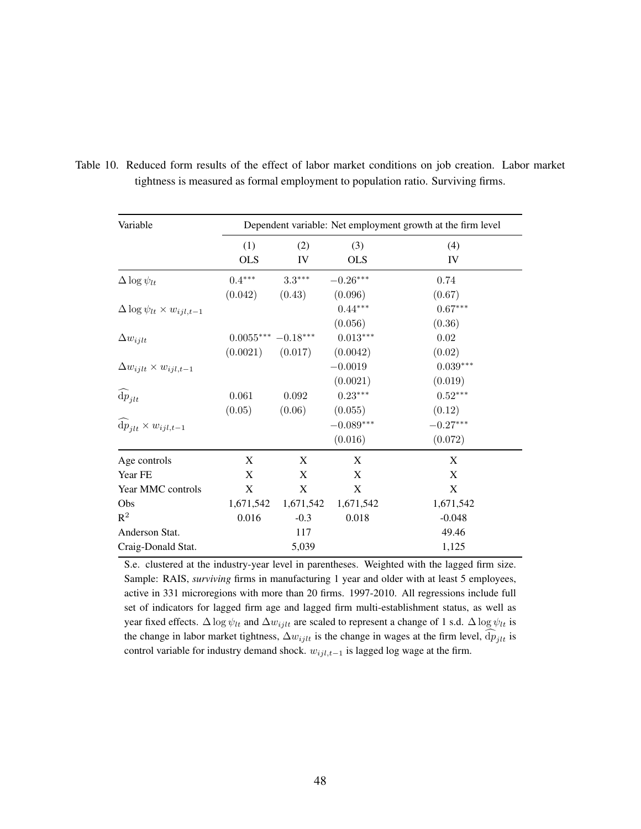| Variable                                        |                      |             |             | Dependent variable: Net employment growth at the firm level |
|-------------------------------------------------|----------------------|-------------|-------------|-------------------------------------------------------------|
|                                                 | (1)                  | (2)         | (3)         | (4)                                                         |
|                                                 | <b>OLS</b>           | IV          | <b>OLS</b>  | IV                                                          |
| $\Delta \log \psi_{lt}$                         | $0.4^{\ast\ast\ast}$ | $3.3***$    | $-0.26***$  | 0.74                                                        |
|                                                 | (0.042)              | (0.43)      | (0.096)     | (0.67)                                                      |
| $\Delta \log \psi_{lt} \times w_{ijl,t-1}$      |                      |             | $0.44***$   | $0.67***$                                                   |
|                                                 |                      |             | (0.056)     | (0.36)                                                      |
| $\Delta w_{ijlt}$                               | $0.0055***-0.18***$  |             | $0.013***$  | 0.02                                                        |
|                                                 | (0.0021)             | (0.017)     | (0.0042)    | (0.02)                                                      |
| $\Delta w_{ijlt} \times w_{ijl,t-1}$            |                      |             | $-0.0019$   | $0.039***$                                                  |
|                                                 |                      |             | (0.0021)    | (0.019)                                                     |
| $\widehat{\mathrm{d}p}_{jlt}$                   | 0.061                | 0.092       | $0.23***$   | $0.52***$                                                   |
|                                                 | (0.05)               | (0.06)      | (0.055)     | (0.12)                                                      |
| $\widehat{\mathrm{d}p}_{ilt}\times w_{ijl,t-1}$ |                      |             | $-0.089***$ | $-0.27***$                                                  |
|                                                 |                      |             | (0.016)     | (0.072)                                                     |
| Age controls                                    | X                    | X           | X           | X                                                           |
| Year FE                                         | X                    | X           | X           | X                                                           |
| Year MMC controls                               | $\mathbf X$          | $\mathbf X$ | X           | $\mathbf X$                                                 |
| Obs                                             | 1,671,542            | 1,671,542   | 1,671,542   | 1,671,542                                                   |
| $\mathbb{R}^2$                                  | 0.016                | $-0.3$      | 0.018       | $-0.048$                                                    |
| Anderson Stat.                                  |                      | 117         |             | 49.46                                                       |
| Craig-Donald Stat.                              |                      | 5,039       |             | 1,125                                                       |

Table 10. Reduced form results of the effect of labor market conditions on job creation. Labor market tightness is measured as formal employment to population ratio. Surviving firms.

S.e. clustered at the industry-year level in parentheses. Weighted with the lagged firm size. Sample: RAIS, *surviving* firms in manufacturing 1 year and older with at least 5 employees, active in 331 microregions with more than 20 firms. 1997-2010. All regressions include full set of indicators for lagged firm age and lagged firm multi-establishment status, as well as year fixed effects.  $\Delta \log \psi_{lt}$  and  $\Delta w_{ijlt}$  are scaled to represent a change of 1 s.d.  $\Delta \log \psi_{lt}$  is the change in labor market tightness,  $\Delta w_{ijlt}$  is the change in wages at the firm level,  $dp_{jlt}$  is control variable for industry demand shock.  $w_{ijl,t-1}$  is lagged log wage at the firm.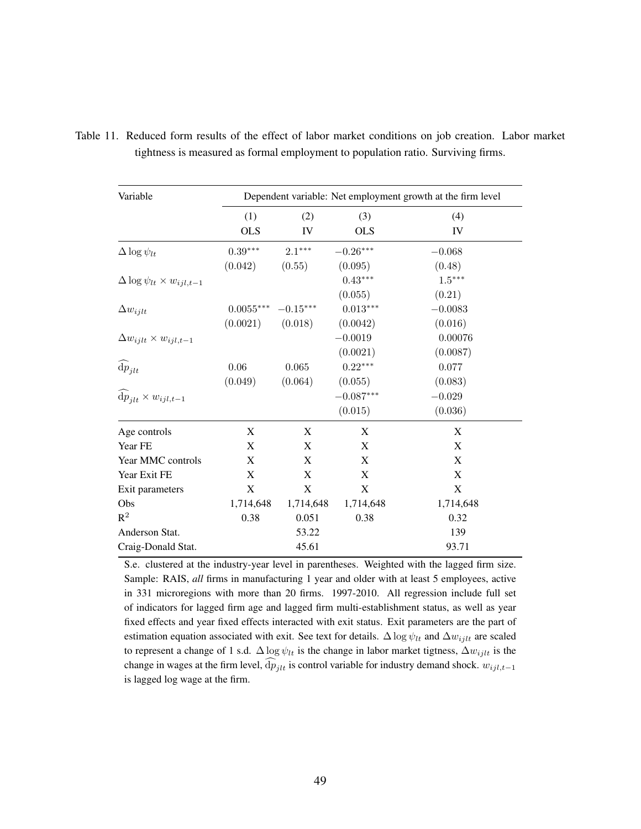| Variable                                         | Dependent variable: Net employment growth at the firm level |            |             |           |
|--------------------------------------------------|-------------------------------------------------------------|------------|-------------|-----------|
|                                                  | (1)                                                         | (2)        | (3)         | (4)       |
|                                                  | <b>OLS</b>                                                  | IV         | <b>OLS</b>  | IV        |
| $\Delta \log \psi_{lt}$                          | $0.39***$                                                   | $2.1***$   | $-0.26***$  | $-0.068$  |
|                                                  | (0.042)                                                     | (0.55)     | (0.095)     | (0.48)    |
| $\Delta \log \psi_{lt} \times w_{ijl,t-1}$       |                                                             |            | $0.43***$   | $1.5***$  |
|                                                  |                                                             |            | (0.055)     | (0.21)    |
| $\Delta w_{i j l t}$                             | $0.0055***$                                                 | $-0.15***$ | $0.013***$  | $-0.0083$ |
|                                                  | (0.0021)                                                    | (0.018)    | (0.0042)    | (0.016)   |
| $\Delta w_{ijlt} \times w_{ijl,t-1}$             |                                                             |            | $-0.0019$   | 0.00076   |
|                                                  |                                                             |            | (0.0021)    | (0.0087)  |
| $\widehat{\mathrm{d}p}_{jlt}$                    | 0.06                                                        | 0.065      | $0.22***$   | 0.077     |
|                                                  | (0.049)                                                     | (0.064)    | (0.055)     | (0.083)   |
| $\widehat{\mathrm{d}p}_{ilt} \times w_{ijl,t-1}$ |                                                             |            | $-0.087***$ | $-0.029$  |
|                                                  |                                                             |            | (0.015)     | (0.036)   |
| Age controls                                     | X                                                           | X          | X           | X         |
| Year FE                                          | X                                                           | X          | $\mathbf X$ | X         |
| Year MMC controls                                | X                                                           | X          | $\mathbf X$ | X         |
| Year Exit FE                                     | X                                                           | X          | $\mathbf X$ | X         |
| Exit parameters                                  | X                                                           | X          | $\mathbf X$ | X         |
| Obs                                              | 1,714,648                                                   | 1,714,648  | 1,714,648   | 1,714,648 |
| $R^2$                                            | 0.38                                                        | 0.051      | 0.38        | 0.32      |
| Anderson Stat.                                   |                                                             | 53.22      |             | 139       |
| Craig-Donald Stat.                               |                                                             | 45.61      |             | 93.71     |

Table 11. Reduced form results of the effect of labor market conditions on job creation. Labor market tightness is measured as formal employment to population ratio. Surviving firms.

S.e. clustered at the industry-year level in parentheses. Weighted with the lagged firm size. Sample: RAIS, *all* firms in manufacturing 1 year and older with at least 5 employees, active in 331 microregions with more than 20 firms. 1997-2010. All regression include full set of indicators for lagged firm age and lagged firm multi-establishment status, as well as year fixed effects and year fixed effects interacted with exit status. Exit parameters are the part of estimation equation associated with exit. See text for details.  $\Delta \log \psi_{lt}$  and  $\Delta w_{ijlt}$  are scaled to represent a change of 1 s.d.  $\Delta \log \psi_{lt}$  is the change in labor market tigtness,  $\Delta w_{ijlt}$  is the change in wages at the firm level,  $\widehat{dp}_{jlt}$  is control variable for industry demand shock.  $w_{ijl,t-1}$ is lagged log wage at the firm.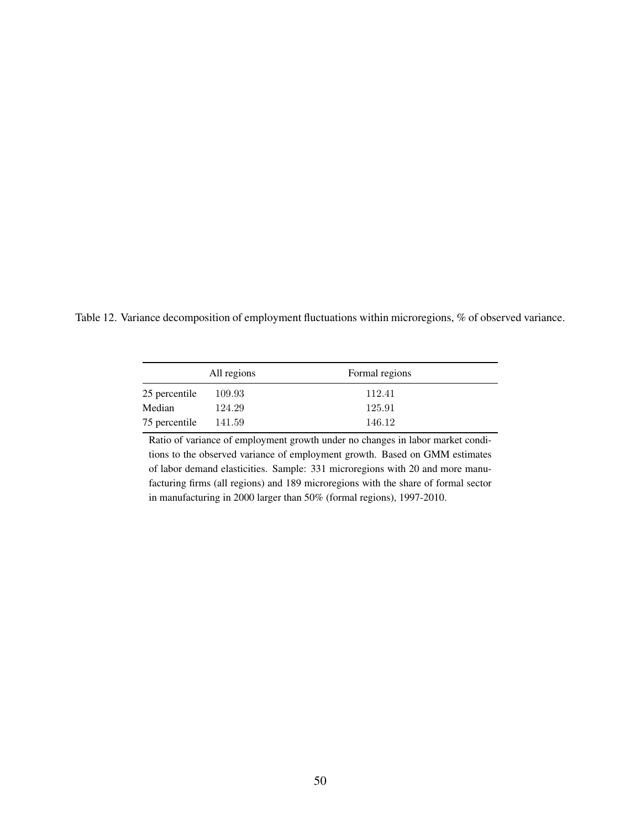Table 12. Variance decomposition of employment fluctuations within microregions, % of observed variance.

|               | All regions | Formal regions |
|---------------|-------------|----------------|
| 25 percentile | 109.93      | 112.41         |
| Median        | 124.29      | 125.91         |
| 75 percentile | 141.59      | 146.12         |

Ratio of variance of employment growth under no changes in labor market conditions to the observed variance of employment growth. Based on GMM estimates of labor demand elasticities. Sample: 331 microregions with 20 and more manufacturing firms (all regions) and 189 microregions with the share of formal sector in manufacturing in 2000 larger than 50% (formal regions), 1997-2010.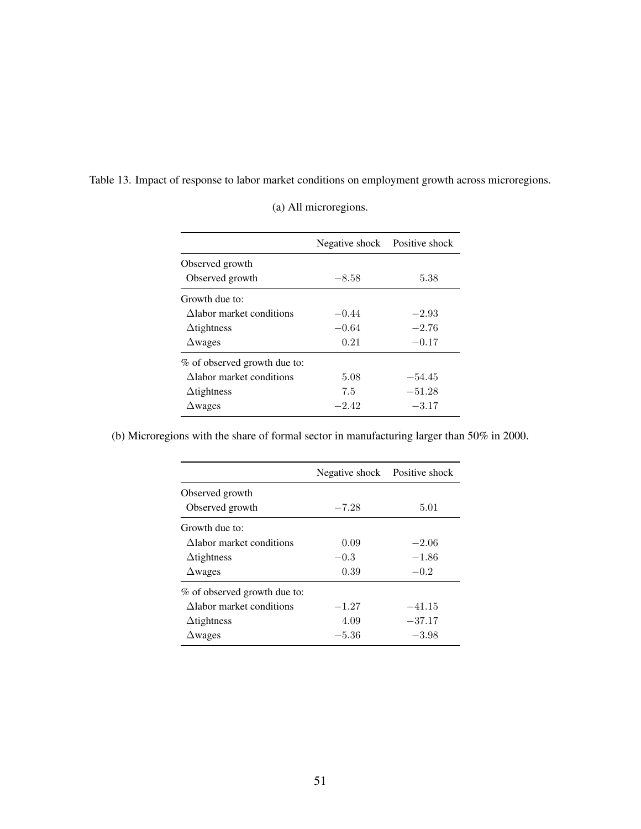| Table 13. Impact of response to labor market conditions on employment growth across microregions. |  |  |
|---------------------------------------------------------------------------------------------------|--|--|

|                              | Negative shock Positive shock |          |
|------------------------------|-------------------------------|----------|
| Observed growth              |                               |          |
| Observed growth              | $-8.58$                       | 5.38     |
| Growth due to:               |                               |          |
| Alabor market conditions     | $-0.44$                       | $-2.93$  |
| $\Delta$ tightness           | $-0.64$                       | $-2.76$  |
| $\Delta$ wages               | 0.21                          | $-0.17$  |
| % of observed growth due to: |                               |          |
| Alabor market conditions     | 5.08                          | $-54.45$ |
| $\Delta$ tightness           | 7.5                           | $-51.28$ |
| $\Delta$ wages               | $-2.42$                       | $-3.17$  |

(a) All microregions.

(b) Microregions with the share of formal sector in manufacturing larger than 50% in 2000.

|                              | Negative shock Positive shock |          |
|------------------------------|-------------------------------|----------|
| Observed growth              |                               |          |
| Observed growth              | $-7.28$                       | 5.01     |
| Growth due to:               |                               |          |
| Alabor market conditions     | 0.09                          | $-2.06$  |
| $\Delta$ tightness           | $-0.3$                        | $-1.86$  |
| $\Delta$ wages               | 0.39                          | $-0.2$   |
| % of observed growth due to: |                               |          |
| Alabor market conditions     | $-1.27$                       | $-41.15$ |
| $\Delta$ tightness           | 4.09                          | $-37.17$ |
| $\Delta$ wages               | $-5.36$                       | $-3.98$  |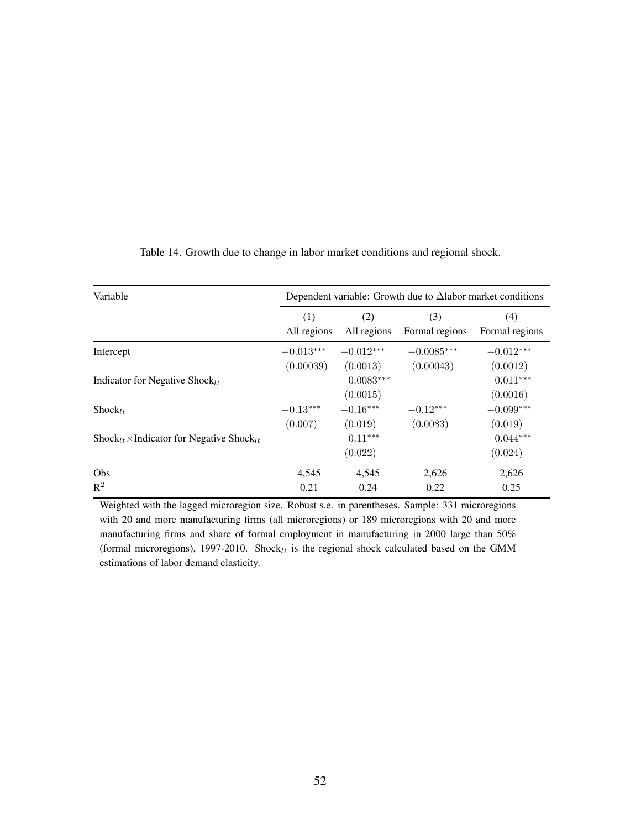| (1)<br>All regions | (2)<br>All regions           | (3)<br>Formal regions                   | (4)<br>Formal regions                                                                               |
|--------------------|------------------------------|-----------------------------------------|-----------------------------------------------------------------------------------------------------|
| $-0.013***$        | $-0.012***$                  | $-0.0085***$                            | $-0.012***$                                                                                         |
|                    | $0.0083***$                  |                                         | (0.0012)<br>$0.011***$<br>(0.0016)                                                                  |
| $-0.13***$         | $-0.16***$                   | $-0.12***$                              | $-0.099***$<br>(0.019)                                                                              |
|                    | $0.11***$<br>(0.022)         |                                         | $0.044***$<br>(0.024)                                                                               |
| 4,545              | 4,545                        | 2,626                                   | 2,626<br>0.25                                                                                       |
|                    | (0.00039)<br>(0.007)<br>0.21 | (0.0013)<br>(0.0015)<br>(0.019)<br>0.24 | Dependent variable: Growth due to $\Delta$ labor market conditions<br>(0.00043)<br>(0.0083)<br>0.22 |

Table 14. Growth due to change in labor market conditions and regional shock.

Weighted with the lagged microregion size. Robust s.e. in parentheses. Sample: 331 microregions with 20 and more manufacturing firms (all microregions) or 189 microregions with 20 and more manufacturing firms and share of formal employment in manufacturing in 2000 large than 50% (formal microregions), 1997-2010. Shock $_{lt}$  is the regional shock calculated based on the GMM estimations of labor demand elasticity.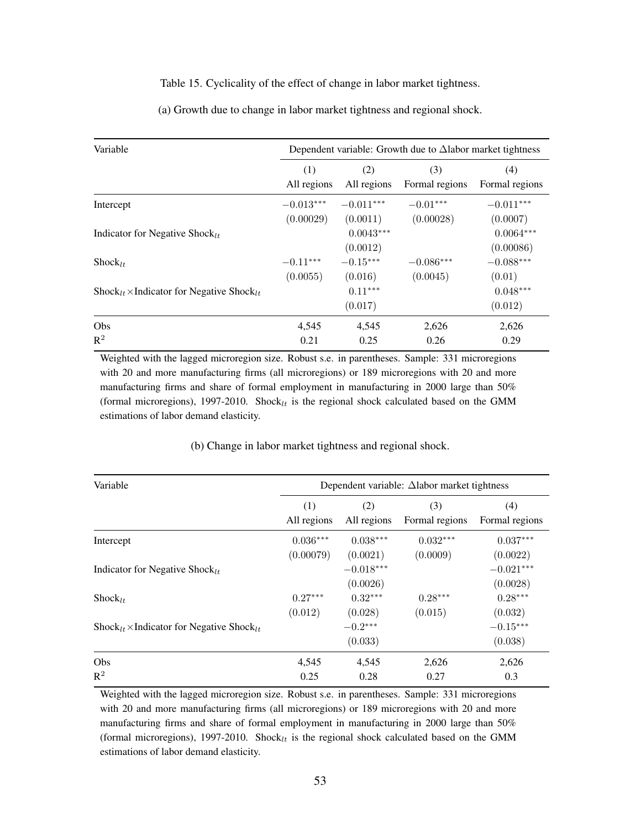#### Table 15. Cyclicality of the effect of change in labor market tightness.

| Variable                                                                      | Dependent variable: Growth due to $\Delta$ labor market tightness |             |                |                |
|-------------------------------------------------------------------------------|-------------------------------------------------------------------|-------------|----------------|----------------|
|                                                                               | (1)                                                               | (2)         | (3)            | (4)            |
|                                                                               | All regions                                                       | All regions | Formal regions | Formal regions |
| Intercept                                                                     | $-0.013***$                                                       | $-0.011***$ | $-0.01***$     | $-0.011***$    |
|                                                                               | (0.00029)                                                         | (0.0011)    | (0.00028)      | (0.0007)       |
| Indicator for Negative Shock <sub>lt</sub>                                    |                                                                   | $0.0043***$ |                | $0.0064***$    |
|                                                                               |                                                                   | (0.0012)    |                | (0.00086)      |
| $Shock_{1+}$                                                                  | $-0.11***$                                                        | $-0.15***$  | $-0.086***$    | $-0.088***$    |
|                                                                               | (0.0055)                                                          | (0.016)     | (0.0045)       | (0.01)         |
| $\text{Shock}_{lt} \times \text{Indication}$ for Negative Shock <sub>lt</sub> |                                                                   | $0.11***$   |                | $0.048***$     |
|                                                                               |                                                                   | (0.017)     |                | (0.012)        |
| Obs                                                                           | 4,545                                                             | 4,545       | 2,626          | 2,626          |
| $R^2$                                                                         | 0.21                                                              | 0.25        | 0.26           | 0.29           |

(a) Growth due to change in labor market tightness and regional shock.

Weighted with the lagged microregion size. Robust s.e. in parentheses. Sample: 331 microregions with 20 and more manufacturing firms (all microregions) or 189 microregions with 20 and more manufacturing firms and share of formal employment in manufacturing in 2000 large than 50% (formal microregions), 1997-2010. Shock $_{lt}$  is the regional shock calculated based on the GMM estimations of labor demand elasticity.

| Variable                                                                      | Dependent variable: $\Delta$ labor market tightness |                         |                |                         |  |  |
|-------------------------------------------------------------------------------|-----------------------------------------------------|-------------------------|----------------|-------------------------|--|--|
|                                                                               | (1)                                                 | (2)                     | (3)            | (4)                     |  |  |
|                                                                               | All regions                                         | All regions             | Formal regions | Formal regions          |  |  |
| Intercept                                                                     | $0.036***$                                          | $0.038***$              | $0.032***$     | $0.037***$              |  |  |
|                                                                               | (0.00079)                                           | (0.0021)                | (0.0009)       | (0.0022)                |  |  |
| Indicator for Negative Shock $_{lt}$                                          |                                                     | $-0.018***$<br>(0.0026) |                | $-0.021***$<br>(0.0028) |  |  |
| $Shock_{l+}$                                                                  | $0.27***$                                           | $0.32***$               | $0.28***$      | $0.28***$               |  |  |
|                                                                               | (0.012)                                             | (0.028)                 | (0.015)        | (0.032)                 |  |  |
| $\text{Shock}_{lt} \times \text{Indication}$ for Negative Shock <sub>lt</sub> |                                                     | $-0.2***$<br>(0.033)    |                | $-0.15***$<br>(0.038)   |  |  |
| Obs                                                                           | 4,545                                               | 4,545                   | 2,626          | 2,626                   |  |  |
| $R^2$                                                                         | 0.25                                                | 0.28                    | 0.27           | 0.3                     |  |  |

(b) Change in labor market tightness and regional shock.

Weighted with the lagged microregion size. Robust s.e. in parentheses. Sample: 331 microregions with 20 and more manufacturing firms (all microregions) or 189 microregions with 20 and more manufacturing firms and share of formal employment in manufacturing in 2000 large than 50% (formal microregions), 1997-2010. Shock $_{lt}$  is the regional shock calculated based on the GMM estimations of labor demand elasticity.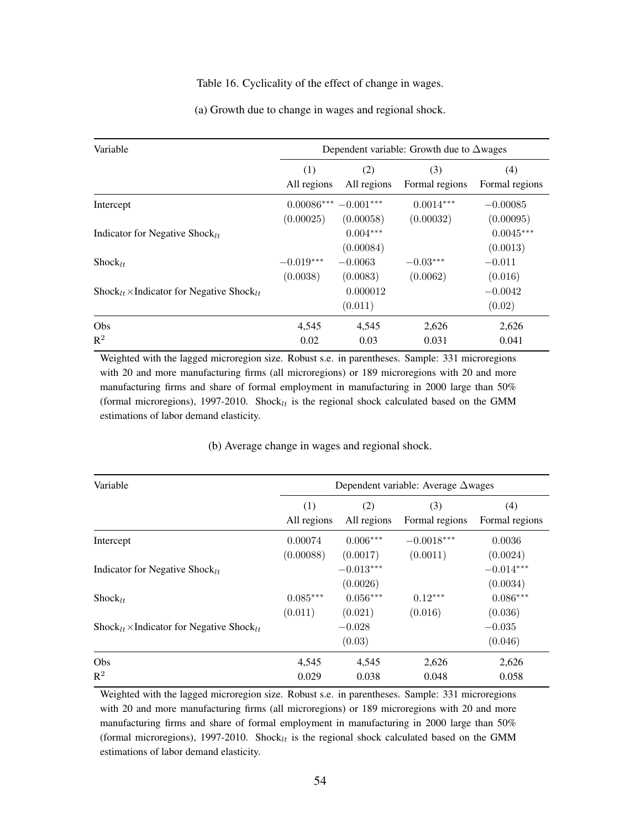#### Table 16. Cyclicality of the effect of change in wages.

|  |  |  |  | (a) Growth due to change in wages and regional shock. |  |
|--|--|--|--|-------------------------------------------------------|--|
|  |  |  |  |                                                       |  |

| Variable                                                                      | Dependent variable: Growth due to $\Delta$ wages |                         |                |                         |
|-------------------------------------------------------------------------------|--------------------------------------------------|-------------------------|----------------|-------------------------|
|                                                                               | (1)                                              | (2)                     | (3)            | (4)                     |
|                                                                               | All regions                                      | All regions             | Formal regions | Formal regions          |
| Intercept                                                                     | $0.00086***$                                     | $-0.001***$             | $0.0014***$    | $-0.00085$              |
|                                                                               | (0.00025)                                        | (0.00058)               | (0.00032)      | (0.00095)               |
| Indicator for Negative Shock <sub>lt</sub>                                    |                                                  | $0.004***$<br>(0.00084) |                | $0.0045***$<br>(0.0013) |
| $Shock_{1+}$                                                                  | $-0.019***$                                      | $-0.0063$               | $-0.03***$     | $-0.011$                |
|                                                                               | (0.0038)                                         | (0.0083)                | (0.0062)       | (0.016)                 |
| $\text{Shock}_{lt} \times \text{Indication}$ for Negative Shock <sub>lt</sub> |                                                  | 0.000012<br>(0.011)     |                | $-0.0042$<br>(0.02)     |
| Obs                                                                           | 4,545                                            | 4,545                   | 2,626          | 2,626                   |
| $R^2$                                                                         | 0.02                                             | 0.03                    | 0.031          | 0.041                   |

Weighted with the lagged microregion size. Robust s.e. in parentheses. Sample: 331 microregions with 20 and more manufacturing firms (all microregions) or 189 microregions with 20 and more manufacturing firms and share of formal employment in manufacturing in 2000 large than 50% (formal microregions), 1997-2010. Shock $_{lt}$  is the regional shock calculated based on the GMM estimations of labor demand elasticity.

| Variable                                                                      |             | Dependent variable: Average $\Delta$ wages |                |                         |  |  |
|-------------------------------------------------------------------------------|-------------|--------------------------------------------|----------------|-------------------------|--|--|
|                                                                               | (1)         | (2)                                        | (3)            | (4)                     |  |  |
|                                                                               | All regions | All regions                                | Formal regions | Formal regions          |  |  |
| Intercept                                                                     | 0.00074     | $0.006***$                                 | $-0.0018***$   | 0.0036                  |  |  |
|                                                                               | (0.00088)   | (0.0017)                                   | (0.0011)       | (0.0024)                |  |  |
| Indicator for Negative Shock <sub>lt</sub>                                    |             | $-0.013***$<br>(0.0026)                    |                | $-0.014***$<br>(0.0034) |  |  |
| $Shock_{1+}$                                                                  | $0.085***$  | $0.056***$                                 | $0.12***$      | $0.086***$              |  |  |
|                                                                               | (0.011)     | (0.021)                                    | (0.016)        | (0.036)                 |  |  |
| $\text{Shock}_{lt} \times \text{Indication}$ for Negative Shock <sub>lt</sub> |             | $-0.028$<br>(0.03)                         |                | $-0.035$<br>(0.046)     |  |  |
| Obs                                                                           | 4,545       | 4,545                                      | 2,626          | 2,626                   |  |  |
| $R^2$                                                                         | 0.029       | 0.038                                      | 0.048          | 0.058                   |  |  |

(b) Average change in wages and regional shock.

Weighted with the lagged microregion size. Robust s.e. in parentheses. Sample: 331 microregions with 20 and more manufacturing firms (all microregions) or 189 microregions with 20 and more manufacturing firms and share of formal employment in manufacturing in 2000 large than 50% (formal microregions), 1997-2010. Shock $_{lt}$  is the regional shock calculated based on the GMM estimations of labor demand elasticity.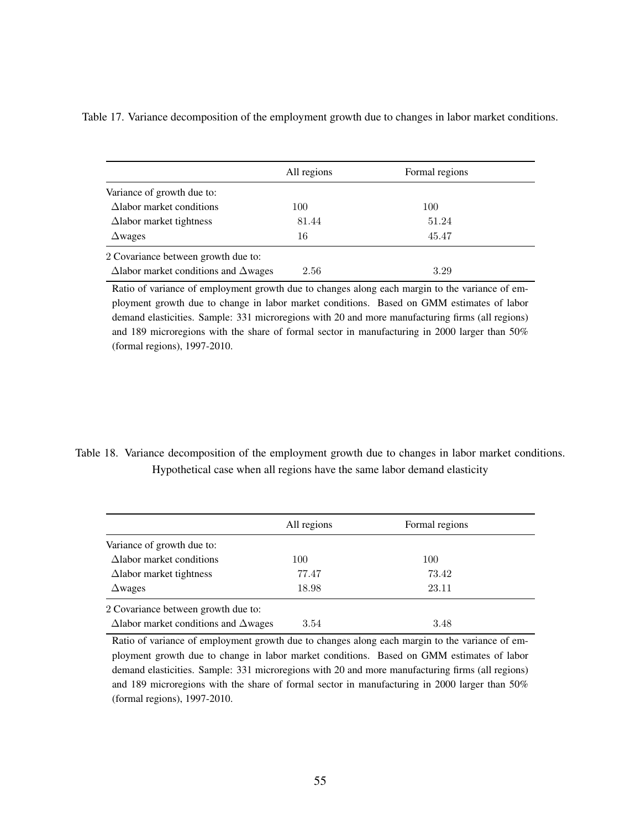|                                                     | All regions | Formal regions |
|-----------------------------------------------------|-------------|----------------|
| Variance of growth due to:                          |             |                |
| $\Delta$ labor market conditions                    | 100         | 100            |
| $\Delta$ labor market tightness                     | 81.44       | 51.24          |
| $\Delta$ wages                                      | 16          | 45.47          |
| 2 Covariance between growth due to:                 |             |                |
| $\Delta$ labor market conditions and $\Delta$ wages | 2.56        | 3.29           |

Table 17. Variance decomposition of the employment growth due to changes in labor market conditions.

Ratio of variance of employment growth due to changes along each margin to the variance of employment growth due to change in labor market conditions. Based on GMM estimates of labor demand elasticities. Sample: 331 microregions with 20 and more manufacturing firms (all regions) and 189 microregions with the share of formal sector in manufacturing in 2000 larger than 50% (formal regions), 1997-2010.

Table 18. Variance decomposition of the employment growth due to changes in labor market conditions. Hypothetical case when all regions have the same labor demand elasticity

|                                                     | All regions | Formal regions |
|-----------------------------------------------------|-------------|----------------|
| Variance of growth due to:                          |             |                |
| $\Delta$ labor market conditions                    | 100         | 100            |
| $\Delta$ labor market tightness                     | 77.47       | 73.42          |
| $\Delta$ wages                                      | 18.98       | 23.11          |
| 2 Covariance between growth due to:                 |             |                |
| $\Delta$ labor market conditions and $\Delta$ wages | 3.54        | 3.48           |

Ratio of variance of employment growth due to changes along each margin to the variance of employment growth due to change in labor market conditions. Based on GMM estimates of labor demand elasticities. Sample: 331 microregions with 20 and more manufacturing firms (all regions) and 189 microregions with the share of formal sector in manufacturing in 2000 larger than 50% (formal regions), 1997-2010.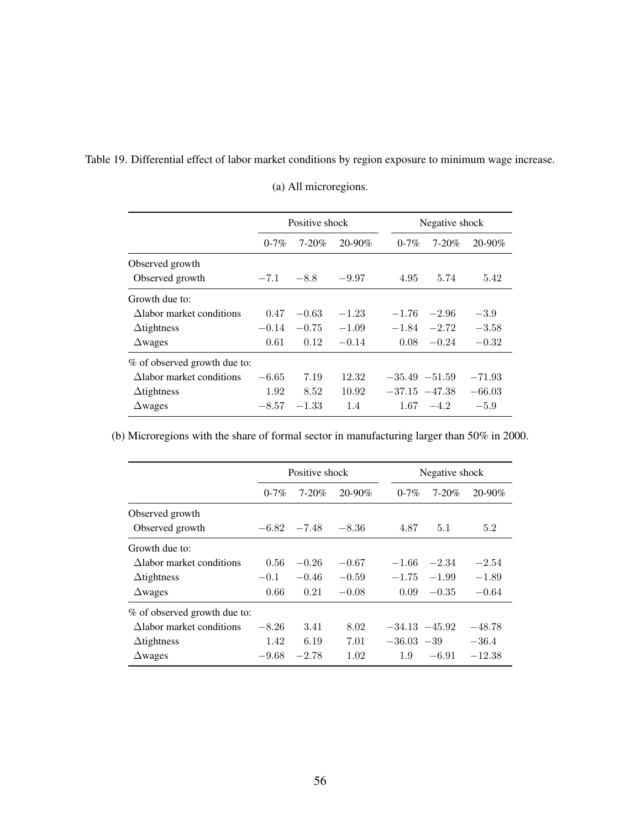Table 19. Differential effect of labor market conditions by region exposure to minimum wage increase.

|                                     | Positive shock |            |             | Negative shock    |            |             |
|-------------------------------------|----------------|------------|-------------|-------------------|------------|-------------|
|                                     | $0 - 7\%$      | $7 - 20\%$ | $20 - 90\%$ | $0 - 7\%$         | $7 - 20\%$ | $20 - 90\%$ |
| Observed growth                     |                |            |             |                   |            |             |
| Observed growth                     | $-7.1$         | $-8.8$     | $-9.97$     | 4.95              | 5.74       | 5.42        |
| Growth due to:                      |                |            |             |                   |            |             |
| $\Delta$ labor market conditions    | 0.47           | $-0.63$    | $-1.23$     | $-1.76$           | $-2.96$    | $-3.9$      |
| $\Delta$ tightness                  | $-0.14$        | $-0.75$    | $-1.09$     | $-1.84$           | $-2.72$    | $-3.58$     |
| $\Delta$ wages                      | 0.61           | 0.12       | $-0.14$     | 0.08              | $-0.24$    | $-0.32$     |
| % of observed growth due to:        |                |            |             |                   |            |             |
| $\triangle$ labor market conditions | $-6.65$        | 7.19       | 12.32       | $-35.49 -51.59$   |            | $-71.93$    |
| $\Delta$ tightness                  | 1.92           | 8.52       | 10.92       | $-37.15$ $-47.38$ |            | $-66.03$    |
| $\Delta$ wages                      | $-8.57$        | $-1.33$    | 1.4         | 1.67              | $-4.2$     | $-5.9$      |

(a) All microregions.

(b) Microregions with the share of formal sector in manufacturing larger than 50% in 2000.

|                                  | Positive shock |               |             | Negative shock   |            |             |
|----------------------------------|----------------|---------------|-------------|------------------|------------|-------------|
|                                  | $0 - 7\%$      | $7 - 20\%$    | $20 - 90\%$ | $0 - 7\%$        | $7 - 20\%$ | $20 - 90\%$ |
| Observed growth                  |                |               |             |                  |            |             |
| Observed growth                  |                | $-6.82 -7.48$ | $-8.36$     | 4.87             | 5.1        | 5.2         |
| Growth due to:                   |                |               |             |                  |            |             |
| Alabor market conditions         | 0.56           | $-0.26$       | $-0.67$     | $-1.66$          | $-2.34$    | $-2.54$     |
| $\Delta$ tightness               | $-0.1$         | $-0.46$       | $-0.59$     | $-1.75$          | $-1.99$    | $-1.89$     |
| $\Delta$ wages                   | 0.66           | 0.21          | $-0.08$     | 0.09             | $-0.35$    | $-0.64$     |
| % of observed growth due to:     |                |               |             |                  |            |             |
| $\Delta$ labor market conditions | $-8.26$        | 3.41          | 8.02        | $-34.13 - 45.92$ |            | $-48.78$    |
| $\Delta$ tightness               | 1.42           | 6.19          | 7.01        | $-36.03 -39$     |            | $-36.4$     |
| $\Delta$ wages                   | $-9.68$        | $-2.78$       | 1.02        | 1.9              | $-6.91$    | $-12.38$    |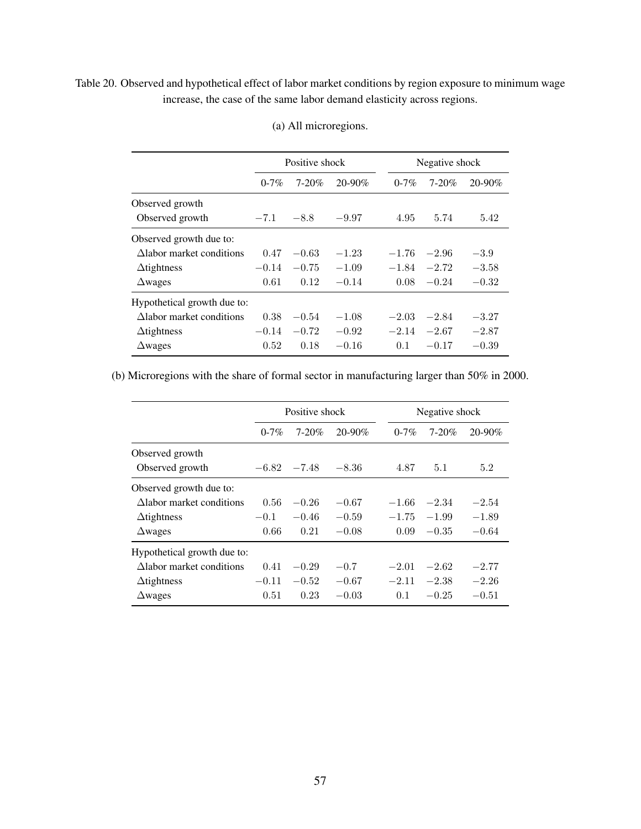### <span id="page-56-0"></span>Table 20. Observed and hypothetical effect of labor market conditions by region exposure to minimum wage increase, the case of the same labor demand elasticity across regions.

|                                  |           | Positive shock |             |           | Negative shock |         |
|----------------------------------|-----------|----------------|-------------|-----------|----------------|---------|
|                                  | $0 - 7\%$ | $7 - 20%$      | $20 - 90\%$ | $0 - 7\%$ | $7 - 20%$      | 20-90%  |
| Observed growth                  |           |                |             |           |                |         |
| Observed growth                  | $-7.1$    | $-8.8$         | $-9.97$     | 4.95      | 5.74           | 5.42    |
| Observed growth due to:          |           |                |             |           |                |         |
| $\Delta$ labor market conditions | 0.47      | $-0.63$        | $-1.23$     | $-1.76$   | $-2.96$        | $-3.9$  |
| $\Delta$ tightness               | $-0.14$   | $-0.75$        | $-1.09$     | $-1.84$   | $-2.72$        | $-3.58$ |
| $\triangle$ wages                | 0.61      | 0.12           | $-0.14$     | 0.08      | $-0.24$        | $-0.32$ |
| Hypothetical growth due to:      |           |                |             |           |                |         |
| $\Delta$ labor market conditions | 0.38      | $-0.54$        | $-1.08$     | $-2.03$   | $-2.84$        | $-3.27$ |
| $\Delta$ tightness               | $-0.14$   | $-0.72$        | $-0.92$     | $-2.14$   | $-2.67$        | $-2.87$ |
| $\triangle$ wages                | 0.52      | 0.18           | $-0.16$     | 0.1       | $-0.17$        | $-0.39$ |

### (a) All microregions.

(b) Microregions with the share of formal sector in manufacturing larger than 50% in 2000.

|                                     |           | Positive shock |         |           | Negative shock |         |  |
|-------------------------------------|-----------|----------------|---------|-----------|----------------|---------|--|
|                                     | $0 - 7\%$ | $7 - 20\%$     | 20-90%  | $0 - 7\%$ | $7 - 20\%$     | 20-90%  |  |
| Observed growth                     |           |                |         |           |                |         |  |
| Observed growth                     | $-6.82$   | $-7.48$        | $-8.36$ | 4.87      | 5.1            | 5.2     |  |
| Observed growth due to:             |           |                |         |           |                |         |  |
| Alabor market conditions            | 0.56      | $-0.26$        | $-0.67$ | $-1.66$   | $-2.34$        | $-2.54$ |  |
| $\Delta$ tightness                  | $-0.1$    | $-0.46$        | $-0.59$ | $-1.75$   | $-1.99$        | $-1.89$ |  |
| $\Delta$ wages                      | 0.66      | 0.21           | $-0.08$ | 0.09      | $-0.35$        | $-0.64$ |  |
| Hypothetical growth due to:         |           |                |         |           |                |         |  |
| $\triangle$ labor market conditions | 0.41      | $-0.29$        | $-0.7$  | $-2.01$   | $-2.62$        | $-2.77$ |  |
| $\Delta$ tightness                  | $-0.11$   | $-0.52$        | $-0.67$ | $-2.11$   | $-2.38$        | $-2.26$ |  |
| $\Delta$ wages                      | 0.51      | 0.23           | $-0.03$ | 0.1       | $-0.25$        | $-0.51$ |  |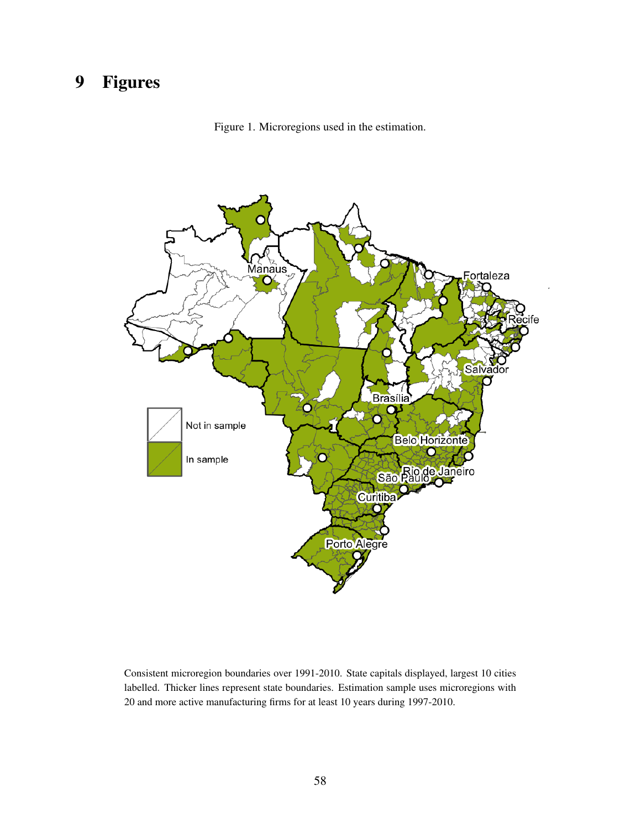# 9 Figures





Consistent microregion boundaries over 1991-2010. State capitals displayed, largest 10 cities labelled. Thicker lines represent state boundaries. Estimation sample uses microregions with 20 and more active manufacturing firms for at least 10 years during 1997-2010.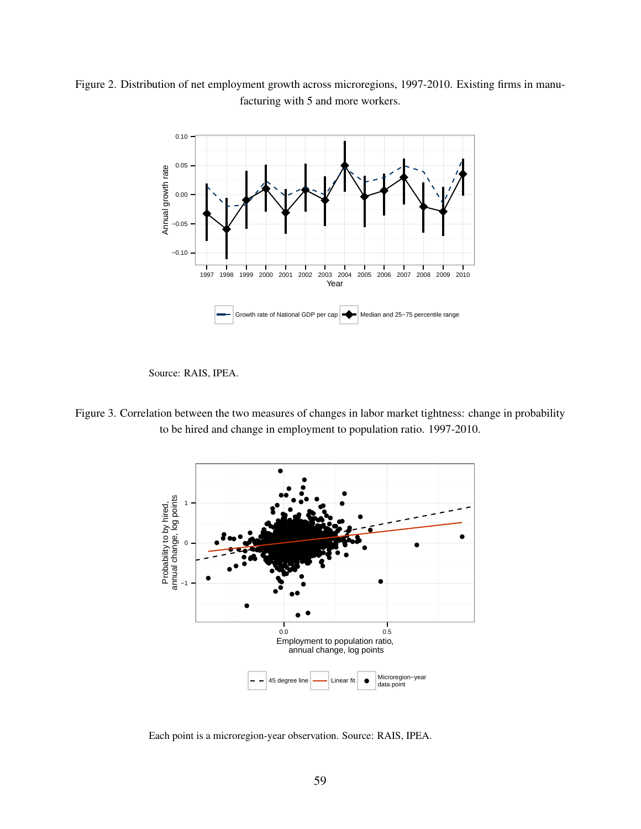Figure 2. Distribution of net employment growth across microregions, 1997-2010. Existing firms in manufacturing with 5 and more workers.



Source: RAIS, IPEA.

Figure 3. Correlation between the two measures of changes in labor market tightness: change in probability to be hired and change in employment to population ratio. 1997-2010.



Each point is a microregion-year observation. Source: RAIS, IPEA.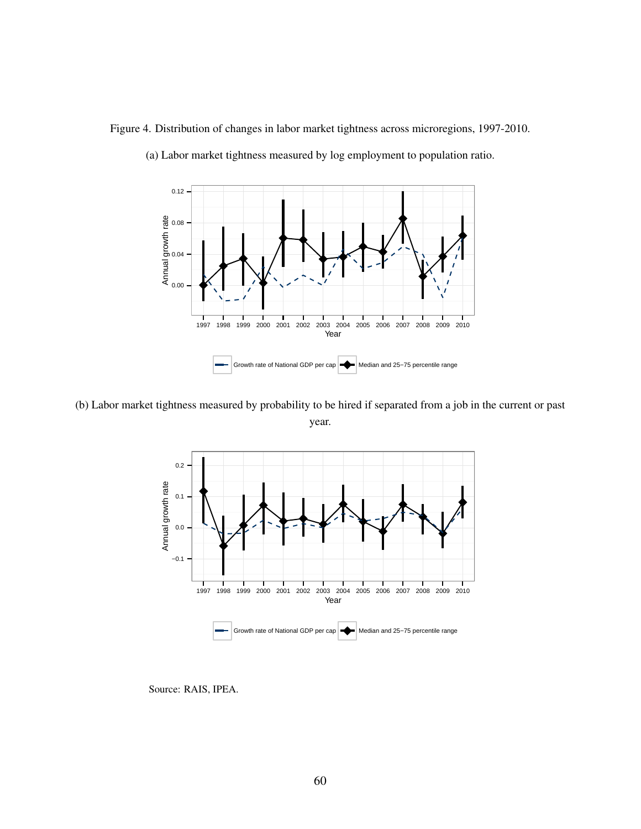Figure 4. Distribution of changes in labor market tightness across microregions, 1997-2010.



(a) Labor market tightness measured by log employment to population ratio.

(b) Labor market tightness measured by probability to be hired if separated from a job in the current or past year.



Source: RAIS, IPEA.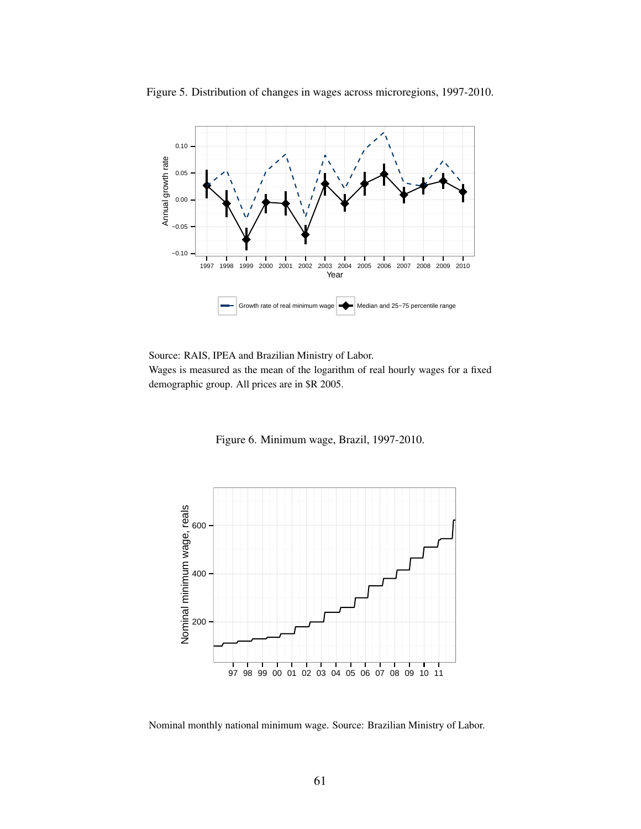

Figure 5. Distribution of changes in wages across microregions, 1997-2010.

Source: RAIS, IPEA and Brazilian Ministry of Labor.

Wages is measured as the mean of the logarithm of real hourly wages for a fixed demographic group. All prices are in \$R 2005.

Figure 6. Minimum wage, Brazil, 1997-2010.



Nominal monthly national minimum wage. Source: Brazilian Ministry of Labor.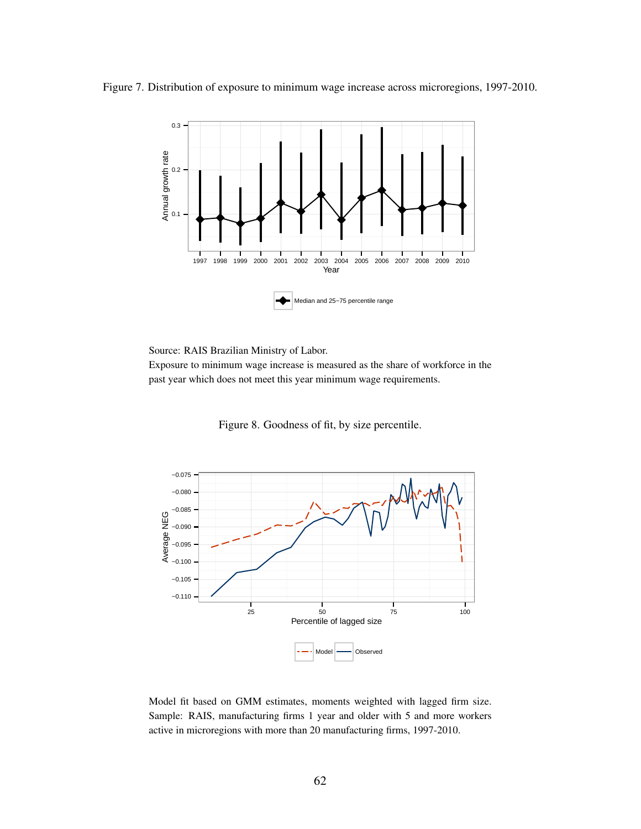



Source: RAIS Brazilian Ministry of Labor.

Exposure to minimum wage increase is measured as the share of workforce in the past year which does not meet this year minimum wage requirements.

Figure 8. Goodness of fit, by size percentile.



Model fit based on GMM estimates, moments weighted with lagged firm size. Sample: RAIS, manufacturing firms 1 year and older with 5 and more workers active in microregions with more than 20 manufacturing firms, 1997-2010.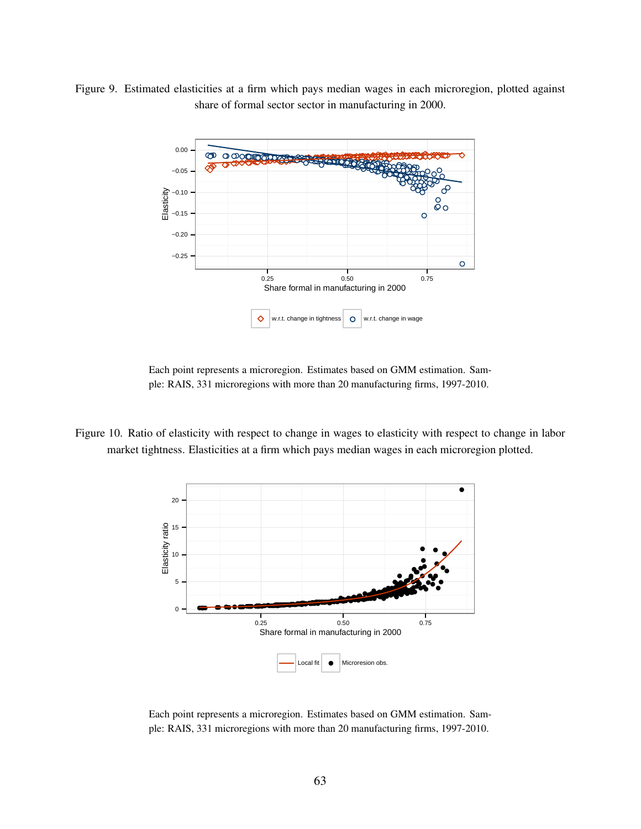Figure 9. Estimated elasticities at a firm which pays median wages in each microregion, plotted against share of formal sector sector in manufacturing in 2000.



Each point represents a microregion. Estimates based on GMM estimation. Sample: RAIS, 331 microregions with more than 20 manufacturing firms, 1997-2010.

Figure 10. Ratio of elasticity with respect to change in wages to elasticity with respect to change in labor market tightness. Elasticities at a firm which pays median wages in each microregion plotted.



Each point represents a microregion. Estimates based on GMM estimation. Sample: RAIS, 331 microregions with more than 20 manufacturing firms, 1997-2010.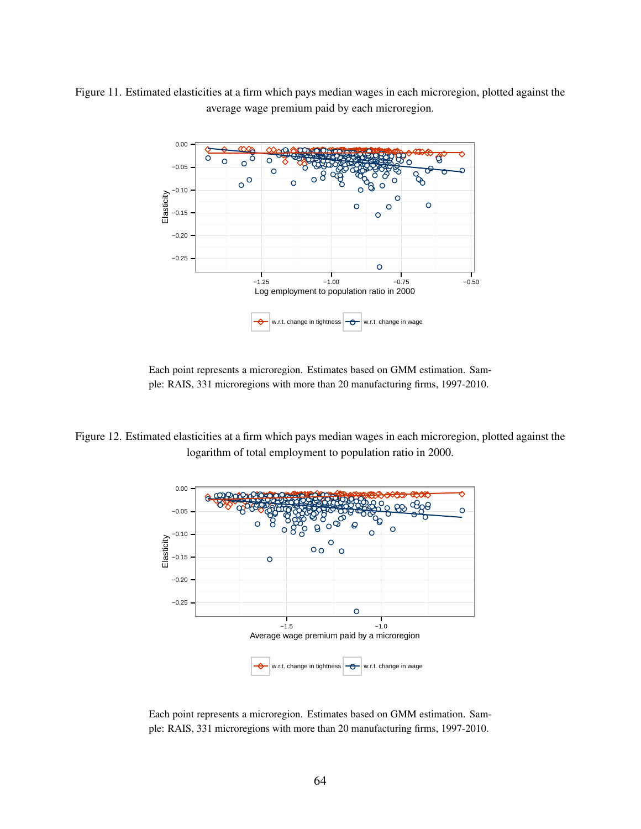Figure 11. Estimated elasticities at a firm which pays median wages in each microregion, plotted against the average wage premium paid by each microregion.



Each point represents a microregion. Estimates based on GMM estimation. Sample: RAIS, 331 microregions with more than 20 manufacturing firms, 1997-2010.

Figure 12. Estimated elasticities at a firm which pays median wages in each microregion, plotted against the logarithm of total employment to population ratio in 2000.



Each point represents a microregion. Estimates based on GMM estimation. Sample: RAIS, 331 microregions with more than 20 manufacturing firms, 1997-2010.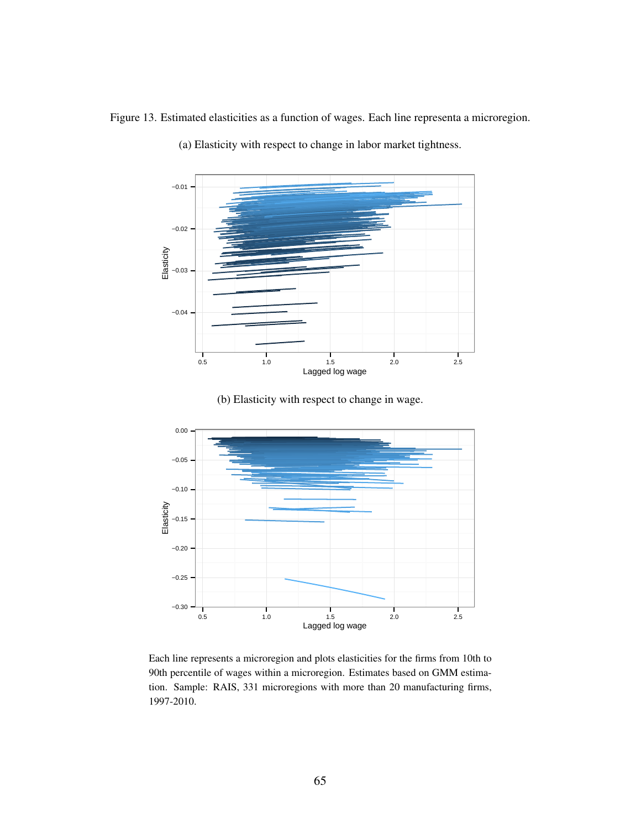Figure 13. Estimated elasticities as a function of wages. Each line representa a microregion.



(a) Elasticity with respect to change in labor market tightness.

(b) Elasticity with respect to change in wage.



Each line represents a microregion and plots elasticities for the firms from 10th to 90th percentile of wages within a microregion. Estimates based on GMM estimation. Sample: RAIS, 331 microregions with more than 20 manufacturing firms, 1997-2010.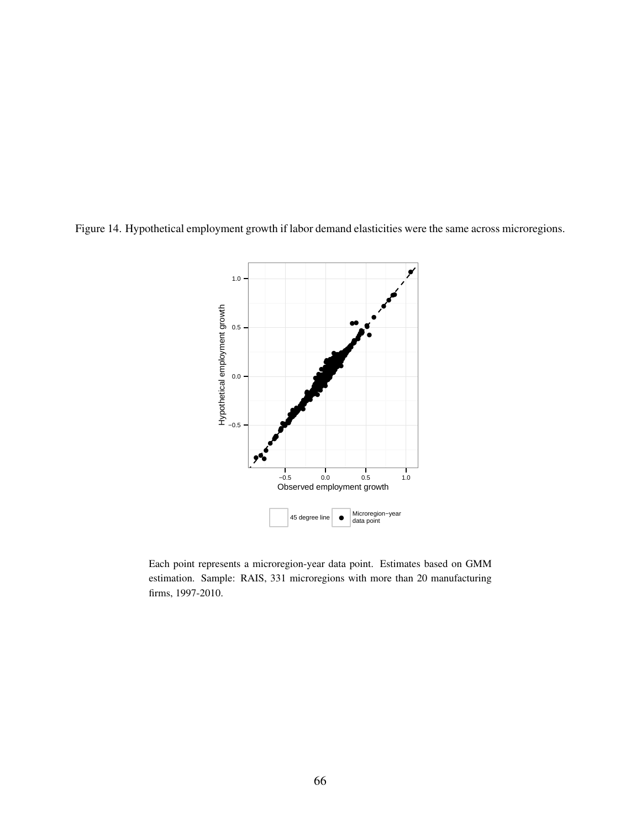Figure 14. Hypothetical employment growth if labor demand elasticities were the same across microregions.



Each point represents a microregion-year data point. Estimates based on GMM estimation. Sample: RAIS, 331 microregions with more than 20 manufacturing firms, 1997-2010.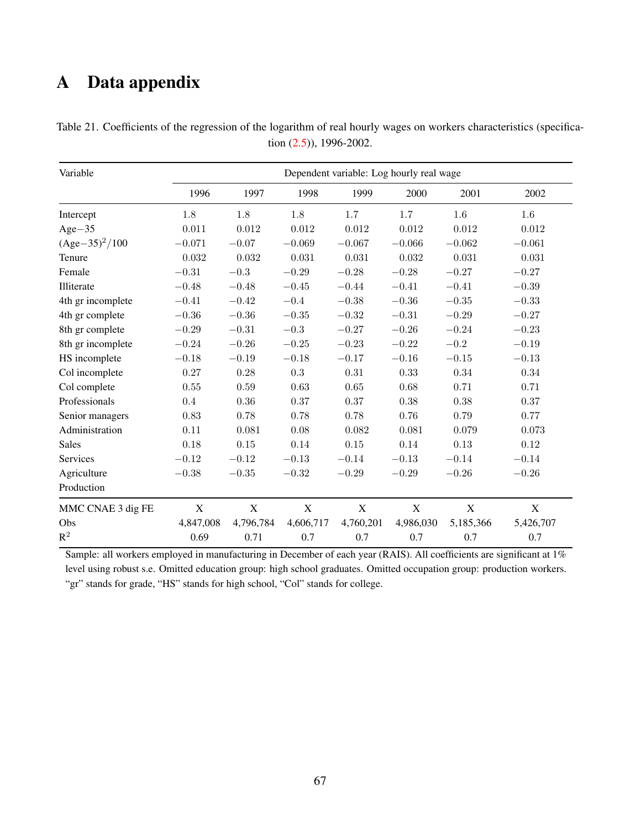# A Data appendix

| Dependent variable: Log hourly real wage<br>Variable |             |             |             |             |             |             |             |
|------------------------------------------------------|-------------|-------------|-------------|-------------|-------------|-------------|-------------|
|                                                      | 1996        | 1997        | 1998        | 1999        | 2000        | 2001        | 2002        |
| Intercept                                            | 1.8         | 1.8         | $1.8\,$     | 1.7         | 1.7         | 1.6         | $1.6\,$     |
| $Age-35$                                             | 0.011       | 0.012       | 0.012       | 0.012       | 0.012       | 0.012       | 0.012       |
| $(Age-35)^2/100$                                     | $-0.071$    | $-0.07$     | $-0.069$    | $-0.067$    | $-0.066$    | $-0.062$    | $-0.061$    |
| Tenure                                               | 0.032       | 0.032       | 0.031       | 0.031       | 0.032       | 0.031       | 0.031       |
| Female                                               | $-0.31$     | $-0.3$      | $-0.29$     | $-0.28$     | $-0.28$     | $-0.27$     | $-0.27$     |
| Illiterate                                           | $-0.48$     | $-0.48$     | $-0.45$     | $-0.44$     | $-0.41$     | $-0.41$     | $-0.39$     |
| 4th gr incomplete                                    | $-0.41$     | $-0.42$     | $-0.4$      | $-0.38$     | $-0.36$     | $-0.35$     | $-0.33$     |
| 4th gr complete                                      | $-0.36$     | $-0.36$     | $-0.35$     | $-0.32$     | $-0.31$     | $-0.29$     | $-0.27$     |
| 8th gr complete                                      | $-0.29$     | $-0.31$     | $-0.3$      | $-0.27$     | $-0.26$     | $-0.24$     | $-0.23$     |
| 8th gr incomplete                                    | $-0.24$     | $-0.26$     | $-0.25$     | $-0.23$     | $-0.22$     | $-0.2$      | $-0.19$     |
| HS incomplete                                        | $-0.18$     | $-0.19$     | $-0.18$     | $-0.17$     | $-0.16$     | $-0.15$     | $-0.13$     |
| Col incomplete                                       | 0.27        | 0.28        | 0.3         | 0.31        | 0.33        | 0.34        | $0.34\,$    |
| Col complete                                         | $0.55\,$    | $0.59\,$    | 0.63        | 0.65        | 0.68        | 0.71        | 0.71        |
| Professionals                                        | $0.4\,$     | 0.36        | 0.37        | 0.37        | $0.38\,$    | 0.38        | 0.37        |
| Senior managers                                      | 0.83        | 0.78        | 0.78        | 0.78        | 0.76        | 0.79        | 0.77        |
| Administration                                       | 0.11        | 0.081       | $0.08\,$    | 0.082       | 0.081       | 0.079       | 0.073       |
| <b>Sales</b>                                         | 0.18        | $0.15\,$    | 0.14        | 0.15        | 0.14        | 0.13        | 0.12        |
| Services                                             | $-0.12$     | $-0.12$     | $-0.13$     | $-0.14$     | $-0.13$     | $-0.14$     | $-0.14$     |
| Agriculture                                          | $-0.38$     | $-0.35$     | $-0.32$     | $-0.29$     | $-0.29$     | $-0.26$     | $-0.26$     |
| Production                                           |             |             |             |             |             |             |             |
| MMC CNAE 3 dig FE                                    | $\mathbf X$ | $\mathbf X$ | $\mathbf X$ | $\mathbf X$ | $\mathbf X$ | $\mathbf X$ | $\mathbf X$ |
| Obs                                                  | 4,847,008   | 4,796,784   | 4,606,717   | 4,760,201   | 4,986,030   | 5,185,366   | 5,426,707   |
| $\mathbb{R}^2$                                       | 0.69        | 0.71        | 0.7         | 0.7         | 0.7         | 0.7         | 0.7         |

Table 21. Coefficients of the regression of the logarithm of real hourly wages on workers characteristics (specification [\(2.5\)](#page-8-0)), 1996-2002.

Sample: all workers employed in manufacturing in December of each year (RAIS). All coefficients are significant at 1% level using robust s.e. Omitted education group: high school graduates. Omitted occupation group: production workers. "gr" stands for grade, "HS" stands for high school, "Col" stands for college.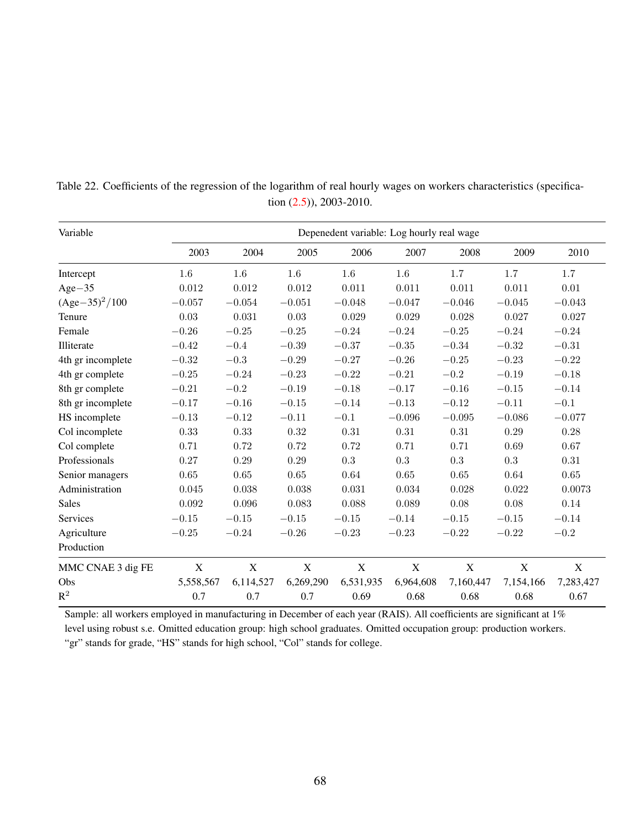| Variable          | Depenedent variable: Log hourly real wage |             |             |             |             |             |                  |             |
|-------------------|-------------------------------------------|-------------|-------------|-------------|-------------|-------------|------------------|-------------|
|                   | 2003                                      | 2004        | 2005        | 2006        | 2007        | 2008        | 2009             | 2010        |
| Intercept         | 1.6                                       | 1.6         | 1.6         | 1.6         | 1.6         | 1.7         | 1.7              | 1.7         |
| $Age-35$          | 0.012                                     | 0.012       | 0.012       | 0.011       | 0.011       | 0.011       | 0.011            | 0.01        |
| $(Age-35)^2/100$  | $-0.057$                                  | $-0.054$    | $-0.051$    | $-0.048$    | $-0.047$    | $-0.046$    | $-0.045$         | $-0.043$    |
| Tenure            | 0.03                                      | 0.031       | 0.03        | 0.029       | 0.029       | 0.028       | 0.027            | 0.027       |
| Female            | $-0.26$                                   | $-0.25$     | $-0.25$     | $-0.24$     | $-0.24$     | $-0.25$     | $-0.24$          | $-0.24$     |
| Illiterate        | $-0.42$                                   | $-0.4$      | $-0.39$     | $-0.37$     | $-0.35$     | $-0.34$     | $-0.32$          | $-0.31$     |
| 4th gr incomplete | $-0.32$                                   | $-0.3$      | $-0.29$     | $-0.27$     | $-0.26$     | $-0.25$     | $-0.23$          | $-0.22$     |
| 4th gr complete   | $-0.25$                                   | $-0.24$     | $-0.23$     | $-0.22$     | $-0.21$     | $-0.2$      | $-0.19$          | $-0.18$     |
| 8th gr complete   | $-0.21$                                   | $-0.2$      | $-0.19$     | $-0.18$     | $-0.17$     | $-0.16$     | $-0.15$          | $-0.14$     |
| 8th gr incomplete | $-0.17$                                   | $-0.16$     | $-0.15$     | $-0.14$     | $-0.13$     | $-0.12$     | $-0.11$          | $-0.1$      |
| HS incomplete     | $-0.13$                                   | $-0.12$     | $-0.11$     | $-0.1$      | $-0.096$    | $-0.095$    | $-0.086$         | $-0.077$    |
| Col incomplete    | 0.33                                      | 0.33        | 0.32        | 0.31        | 0.31        | 0.31        | 0.29             | $0.28\,$    |
| Col complete      | 0.71                                      | 0.72        | 0.72        | 0.72        | 0.71        | 0.71        | 0.69             | 0.67        |
| Professionals     | 0.27                                      | 0.29        | 0.29        | 0.3         | 0.3         | 0.3         | 0.3              | 0.31        |
| Senior managers   | 0.65                                      | 0.65        | 0.65        | 0.64        | 0.65        | 0.65        | 0.64             | $0.65\,$    |
| Administration    | 0.045                                     | 0.038       | 0.038       | 0.031       | 0.034       | 0.028       | 0.022            | 0.0073      |
| <b>Sales</b>      | 0.092                                     | 0.096       | 0.083       | 0.088       | 0.089       | 0.08        | 0.08             | 0.14        |
| Services          | $-0.15$                                   | $-0.15$     | $-0.15$     | $-0.15$     | $-0.14$     | $-0.15$     | $\!-0.15\!$      | $-0.14$     |
| Agriculture       | $-0.25$                                   | $-0.24$     | $-0.26$     | $-0.23$     | $-0.23$     | $-0.22$     | $-0.22$          | $-0.2$      |
| Production        |                                           |             |             |             |             |             |                  |             |
| MMC CNAE 3 dig FE | $\mathbf X$                               | $\mathbf X$ | $\mathbf X$ | $\mathbf X$ | $\mathbf X$ | $\mathbf X$ | $\boldsymbol{X}$ | $\mathbf X$ |
| Obs               | 5,558,567                                 | 6,114,527   | 6,269,290   | 6,531,935   | 6,964,608   | 7,160,447   | 7,154,166        | 7,283,427   |
| $\mathbb{R}^2$    | 0.7                                       | 0.7         | 0.7         | 0.69        | 0.68        | 0.68        | 0.68             | 0.67        |

Table 22. Coefficients of the regression of the logarithm of real hourly wages on workers characteristics (specification [\(2.5\)](#page-8-0)), 2003-2010.

Sample: all workers employed in manufacturing in December of each year (RAIS). All coefficients are significant at 1% level using robust s.e. Omitted education group: high school graduates. Omitted occupation group: production workers. "gr" stands for grade, "HS" stands for high school, "Col" stands for college.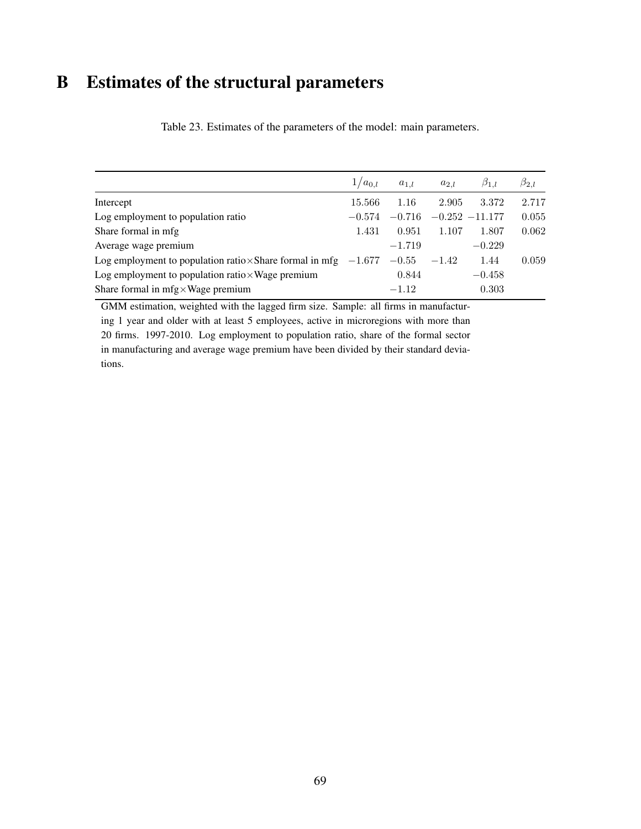## B Estimates of the structural parameters

|                                                                          | $1/a_{0,l}$ | $a_{1,l}$     | $a_{2,l}$ | $\beta_{1,l}$    | $\beta_{2,l}$ |
|--------------------------------------------------------------------------|-------------|---------------|-----------|------------------|---------------|
| Intercept                                                                | 15.566      | 1.16          | 2.905     | 3.372            | 2.717         |
| Log employment to population ratio                                       | $-0.574$    | $-0.716$      |           | $-0.252 -11.177$ | 0.055         |
| Share formal in mfg                                                      | 1.431       | 0.951         | 1.107     | 1.807            | 0.062         |
| Average wage premium                                                     |             | $-1.719$      |           | $-0.229$         |               |
| Log employment to population ratio $\times$ Share formal in mfg $-1.677$ |             | $-0.55 -1.42$ |           | 1.44             | 0.059         |
| Log employment to population ratio $\times$ Wage premium                 |             | 0.844         |           | $-0.458$         |               |
| Share formal in $mfg \times Wage$ premium                                |             | $-1.12$       |           | 0.303            |               |

Table 23. Estimates of the parameters of the model: main parameters.

GMM estimation, weighted with the lagged firm size. Sample: all firms in manufacturing 1 year and older with at least 5 employees, active in microregions with more than 20 firms. 1997-2010. Log employment to population ratio, share of the formal sector in manufacturing and average wage premium have been divided by their standard deviations.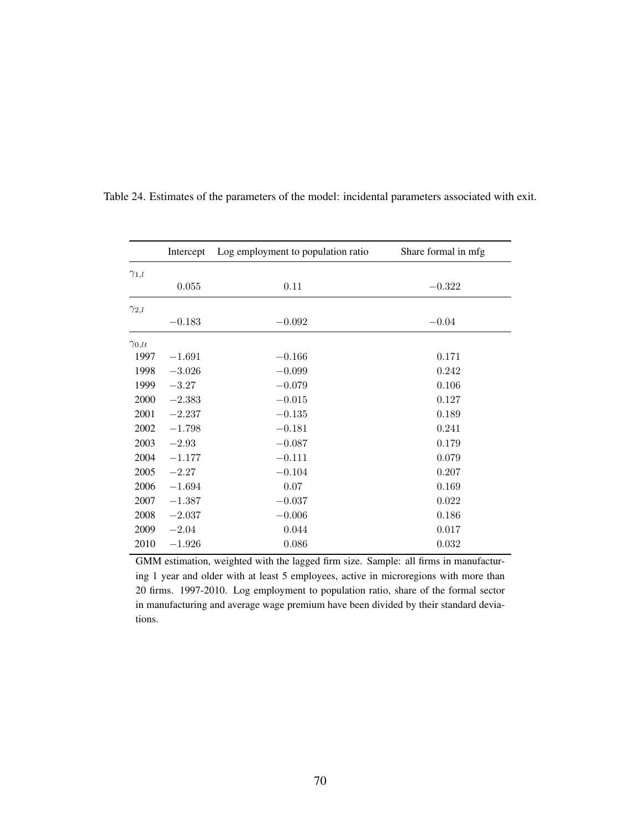|                 | Intercept | Log employment to population ratio | Share formal in mfg |
|-----------------|-----------|------------------------------------|---------------------|
| $\gamma_{1,l}$  |           |                                    |                     |
|                 | 0.055     | 0.11                               | $-0.322$            |
| $\gamma_{2,l}$  |           |                                    |                     |
|                 | $-0.183$  | $-0.092$                           | $-0.04$             |
| $\gamma_{0,lt}$ |           |                                    |                     |
| 1997            | $-1.691$  | $-0.166$                           | 0.171               |
| 1998            | $-3.026$  | $-0.099$                           | 0.242               |
| 1999            | $-3.27$   | $-0.079$                           | 0.106               |
| 2000            | $-2.383$  | $-0.015$                           | 0.127               |
| 2001            | $-2.237$  | $-0.135$                           | 0.189               |
| 2002            | $-1.798$  | $-0.181$                           | 0.241               |
| 2003            | $-2.93$   | $-0.087$                           | 0.179               |
| 2004            | $-1.177$  | $-0.111$                           | 0.079               |
| 2005            | $-2.27$   | $-0.104$                           | 0.207               |
| 2006            | $-1.694$  | 0.07                               | 0.169               |
| 2007            | $-1.387$  | $-0.037$                           | 0.022               |
| 2008            | $-2.037$  | $-0.006$                           | 0.186               |
| 2009            | $-2.04$   | 0.044                              | 0.017               |
| 2010            | $-1.926$  | 0.086                              | 0.032               |

Table 24. Estimates of the parameters of the model: incidental parameters associated with exit.

GMM estimation, weighted with the lagged firm size. Sample: all firms in manufacturing 1 year and older with at least 5 employees, active in microregions with more than 20 firms. 1997-2010. Log employment to population ratio, share of the formal sector in manufacturing and average wage premium have been divided by their standard deviations.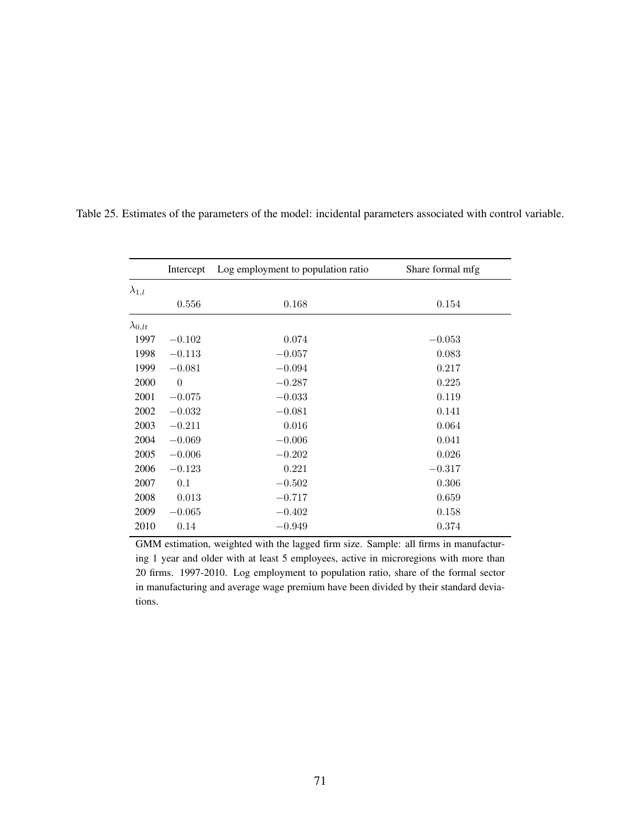|                  | Intercept | Log employment to population ratio | Share formal mfg |
|------------------|-----------|------------------------------------|------------------|
| $\lambda_{1,l}$  |           |                                    |                  |
|                  | 0.556     | 0.168                              | 0.154            |
| $\lambda_{0,lt}$ |           |                                    |                  |
| 1997             | $-0.102$  | 0.074                              | $-0.053$         |
| 1998             | $-0.113$  | $-0.057$                           | 0.083            |
| 1999             | $-0.081$  | $-0.094$                           | 0.217            |
| 2000             | $\theta$  | $-0.287$                           | 0.225            |
| 2001             | $-0.075$  | $-0.033$                           | 0.119            |
| 2002             | $-0.032$  | $-0.081$                           | 0.141            |
| 2003             | $-0.211$  | 0.016                              | 0.064            |
| 2004             | $-0.069$  | $-0.006$                           | 0.041            |
| 2005             | $-0.006$  | $-0.202$                           | 0.026            |
| 2006             | $-0.123$  | 0.221                              | $-0.317$         |
| 2007             | 0.1       | $-0.502$                           | $0.306\,$        |
| 2008             | 0.013     | $-0.717$                           | 0.659            |
| 2009             | $-0.065$  | $-0.402$                           | 0.158            |
| 2010             | 0.14      | $-0.949$                           | 0.374            |

Table 25. Estimates of the parameters of the model: incidental parameters associated with control variable.

GMM estimation, weighted with the lagged firm size. Sample: all firms in manufacturing 1 year and older with at least 5 employees, active in microregions with more than 20 firms. 1997-2010. Log employment to population ratio, share of the formal sector in manufacturing and average wage premium have been divided by their standard deviations.